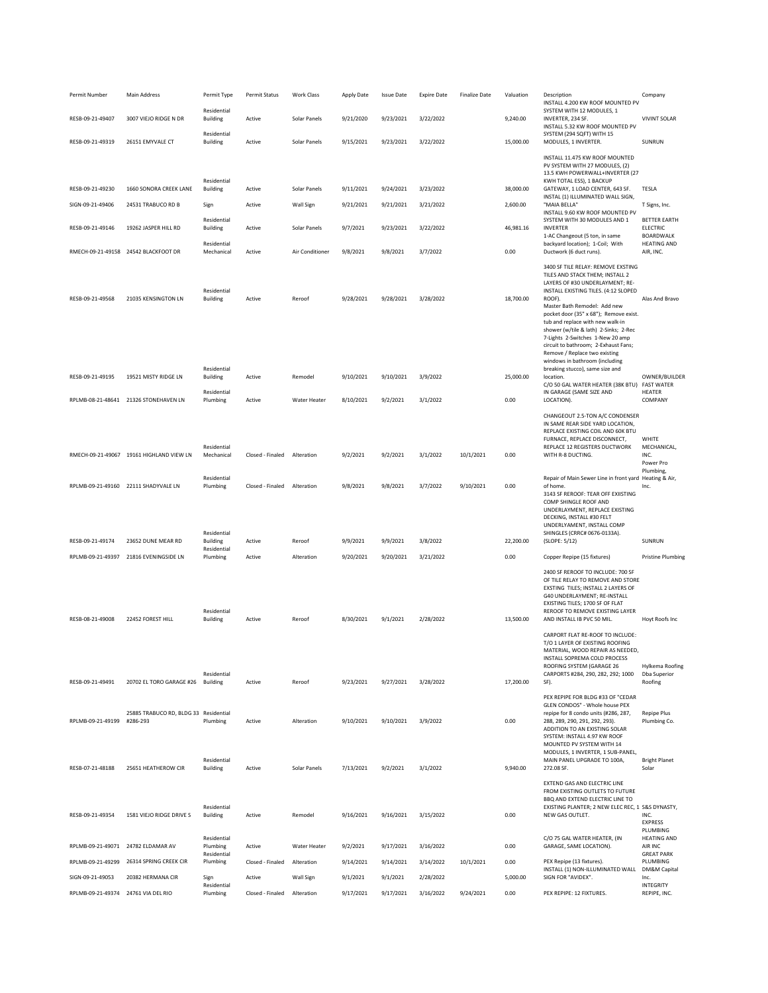| Permit Number                       | Main Address                                      | Permit Type                            | Permit Status    | Work Class      | Apply Date | <b>Issue Date</b> | <b>Expire Date</b> | <b>Finalize Date</b> | Valuation | Description<br>INSTALL 4.200 KW ROOF MOUNTED PV                                                                                                                                                                                                                                                                                                                                                                                | Company                                             |
|-------------------------------------|---------------------------------------------------|----------------------------------------|------------------|-----------------|------------|-------------------|--------------------|----------------------|-----------|--------------------------------------------------------------------------------------------------------------------------------------------------------------------------------------------------------------------------------------------------------------------------------------------------------------------------------------------------------------------------------------------------------------------------------|-----------------------------------------------------|
| RESB-09-21-49407                    | 3007 VIEJO RIDGE N DR                             | Residential<br><b>Building</b>         | Active           | Solar Panels    | 9/21/2020  | 9/23/2021         | 3/22/2022          |                      | 9,240.00  | SYSTEM WITH 12 MODULES, 1<br>INVERTER, 234 SF.<br>INSTALL 5.32 KW ROOF MOUNTED PV                                                                                                                                                                                                                                                                                                                                              | <b>VIVINT SOLAR</b>                                 |
| RESB-09-21-49319                    | 26151 EMYVALE CT                                  | Residential<br><b>Building</b>         | Active           | Solar Panels    | 9/15/2021  | 9/23/2021         | 3/22/2022          |                      | 15,000.00 | SYSTEM (294 SQFT) WITH 15<br>MODULES, 1 INVERTER.                                                                                                                                                                                                                                                                                                                                                                              | SUNRUN                                              |
|                                     |                                                   |                                        |                  |                 |            |                   |                    |                      |           | INSTALL 11.475 KW ROOF MOUNTED<br>PV SYSTEM WITH 27 MODULES, (2)<br>13.5 KWH POWERWALL+INVERTER (27                                                                                                                                                                                                                                                                                                                            |                                                     |
| RESB-09-21-49230                    | 1660 SONORA CREEK LANE                            | Residential<br>Building                | Active           | Solar Panels    | 9/11/2021  | 9/24/2021         | 3/23/2022          |                      | 38,000.00 | KWH TOTAL ESS), 1 BACKUP<br>GATEWAY, 1 LOAD CENTER, 643 SF.                                                                                                                                                                                                                                                                                                                                                                    | TESLA                                               |
| SIGN-09-21-49406                    | 24531 TRABUCO RD B                                | Sign                                   | Active           | Wall Sign       | 9/21/2021  | 9/21/2021         | 3/21/2022          |                      | 2,600.00  | INSTAL (1) ILLUMINATED WALL SIGN,<br>"MAIA BELLA"<br>INSTALL 9.60 KW ROOF MOUNTED PV                                                                                                                                                                                                                                                                                                                                           | T Signs, Inc.                                       |
| RESB-09-21-49146                    | 19262 JASPER HILL RD                              | Residential<br>Building                | Active           | Solar Panels    | 9/7/2021   | 9/23/2021         | 3/22/2022          |                      | 46,981.16 | SYSTEM WITH 30 MODULES AND 1<br><b>INVERTER</b><br>1-AC Changeout (5 ton, in same                                                                                                                                                                                                                                                                                                                                              | <b>BETTER EARTH</b><br><b>ELECTRIC</b><br>BOARDWALK |
|                                     | RMECH-09-21-49158 24542 BLACKFOOT DR              | Residential<br>Mechanical              | Active           | Air Conditioner | 9/8/2021   | 9/8/2021          | 3/7/2022           |                      | 0.00      | backyard location); 1-Coil; With<br>Ductwork (6 duct runs).                                                                                                                                                                                                                                                                                                                                                                    | <b>HEATING AND</b><br>AIR, INC.                     |
| RESB-09-21-49568                    | 21035 KENSINGTON LN                               | Residential<br><b>Building</b>         | Active           | Reroof          | 9/28/2021  | 9/28/2021         | 3/28/2022          |                      | 18,700.00 | 3400 SF TILE RELAY: REMOVE EXSTING<br>TILES AND STACK THEM; INSTALL 2<br>LAYERS OF #30 UNDERLAYMENT; RE-<br>INSTALL EXISTING TILES. (4:12 SLOPED<br>ROOF).<br>Master Bath Remodel: Add new<br>pocket door (35" x 68"); Remove exist.<br>tub and replace with new walk-in<br>shower (w/tile & lath) 2-Sinks; 2-Rec<br>7-Lights 2-Switches 1-New 20 amp<br>circuit to bathroom; 2-Exhaust Fans;<br>Remove / Replace two existing | Alas And Bravo                                      |
| RESB-09-21-49195                    | 19521 MISTY RIDGE LN                              | Residential<br><b>Building</b>         | Active           | Remodel         | 9/10/2021  | 9/10/2021         | 3/9/2022           |                      | 25,000.00 | windows in bathroom (including<br>breaking stucco), same size and<br>location.<br>C/O 50 GAL WATER HEATER (38K BTU)                                                                                                                                                                                                                                                                                                            | OWNER/BUILDER<br><b>FAST WATER</b>                  |
|                                     | RPLMB-08-21-48641 21326 STONEHAVEN LN             | Residential<br>Plumbing                | Active           | Water Heater    | 8/10/2021  | 9/2/2021          | 3/1/2022           |                      | 0.00      | IN GARAGE (SAME SIZE AND<br>LOCATION).                                                                                                                                                                                                                                                                                                                                                                                         | HEATER<br>COMPANY                                   |
|                                     | RMECH-09-21-49067 19161 HIGHLAND VIEW LN          | Residential<br>Mechanical              | Closed - Finaled | Alteration      | 9/2/2021   | 9/2/2021          | 3/1/2022           | 10/1/2021            | 0.00      | CHANGEOUT 2.5-TON A/C CONDENSER<br>IN SAME REAR SIDE YARD LOCATION,<br>REPLACE EXISTING COIL AND 60K BTU<br>FURNACE, REPLACE DISCONNECT,<br>REPLACE 12 REGISTERS DUCTWORK<br>WITH R-8 DUCTING.                                                                                                                                                                                                                                 | WHITE<br>MECHANICAL,<br>INC.<br>Power Pro           |
|                                     | RPLMB-09-21-49160 22111 SHADYVALE LN              | Residential<br>Plumbing                | Closed - Finaled | Alteration      | 9/8/2021   | 9/8/2021          | 3/7/2022           | 9/10/2021            | 0.00      | Repair of Main Sewer Line in front yard Heating & Air,<br>of home.                                                                                                                                                                                                                                                                                                                                                             | Plumbing,<br>Inc.                                   |
| RESB-09-21-49174                    | 23652 DUNE MEAR RD                                | Residential<br><b>Building</b>         | Active           | Reroof          | 9/9/2021   | 9/9/2021          | 3/8/2022           |                      | 22,200.00 | 3143 SF REROOF: TEAR OFF EXIISTING<br>COMP SHINGLE ROOF AND<br>UNDERLAYMENT, REPLACE EXISTING<br>DECKING, INSTALL #30 FELT<br>UNDERLYAMENT, INSTALL COMP<br>SHINGLES (CRRC# 0676-0133A).<br>(SLOPE: 5/12)                                                                                                                                                                                                                      | SUNRUN                                              |
|                                     | RPLMB-09-21-49397 21816 EVENINGSIDE LN            | Residential<br>Plumbing                | Active           | Alteration      | 9/20/2021  | 9/20/2021         | 3/21/2022          |                      | 0.00      | Copper Repipe (15 fixtures)                                                                                                                                                                                                                                                                                                                                                                                                    | <b>Pristine Plumbing</b>                            |
| RFSB-08-21-49008                    | 22452 FOREST HILL                                 | Residential<br>Building                | Active           | Reroof          | 8/30/2021  | 9/1/2021          | 2/28/2022          |                      | 13,500.00 | 2400 SF REROOF TO INCLUDE: 700 SF<br>OF TILE RELAY TO REMOVE AND STORE<br>EXSTING TILES; INSTALL 2 LAYERS OF<br>G40 UNDERLAYMENT; RE-INSTALL<br>EXISTING TILES; 1700 SF OF FLAT<br>REROOF TO REMOVE EXISTING LAYER<br>AND INSTALL IB PVC 50 MIL.                                                                                                                                                                               | Hoyt Roofs Inc                                      |
|                                     |                                                   | Residential                            |                  |                 |            |                   |                    |                      |           | CARPORT FLAT RE-ROOF TO INCLUDE:<br>T/O 1 LAYER OF EXISTING ROOFING<br>MATERIAL, WOOD REPAIR AS NEEDED,<br>INSTALL SOPREMA COLD PROCESS<br>ROOFING SYSTEM (GARAGE 26<br>CARPORTS #284, 290, 282, 292; 1000                                                                                                                                                                                                                     | Hylkema Roofing<br>Dba Superior                     |
| RESB-09-21-49491                    | 20702 EL TORO GARAGE #26 Building                 |                                        | Active           | Reroof          | 9/23/2021  | 9/27/2021         | 3/28/2022          |                      | 17,200.00 | SF).<br>PEX REPIPE FOR BLDG #33 OF "CEDAR                                                                                                                                                                                                                                                                                                                                                                                      | Roofing                                             |
| RPLMB-09-21-49199                   | 25885 TRABUCO RD, BLDG 33 Residential<br>#286-293 | Plumbing                               | Active           | Alteration      | 9/10/2021  | 9/10/2021         | 3/9/2022           |                      | 0.00      | GLEN CONDOS" - Whole house PEX<br>repipe for 8 condo units (#286, 287,<br>288, 289, 290, 291, 292, 293).<br>ADDITION TO AN EXISTING SOLAR<br>SYSTEM: INSTALL 4.97 KW ROOF<br>MOUNTED PV SYSTEM WITH 14<br>MODULES, 1 INVERTER, 1 SUB-PANEL,                                                                                                                                                                                    | Repipe Plus<br>Plumbing Co.                         |
| RESB-07-21-48188                    | 25651 HEATHEROW CIR                               | Residential<br><b>Building</b>         | Active           | Solar Panels    | 7/13/2021  | 9/2/2021          | 3/1/2022           |                      | 9,940.00  | MAIN PANEL UPGRADE TO 100A,<br>272.08 SF.                                                                                                                                                                                                                                                                                                                                                                                      | <b>Bright Planet</b><br>Solar                       |
| RESB-09-21-49354                    | 1581 VIEJO RIDGE DRIVE S                          | Residential<br>Building                | Active           | Remodel         | 9/16/2021  | 9/16/2021         | 3/15/2022          |                      | 0.00      | EXTEND GAS AND ELECTRIC LINE<br>FROM EXISTING OUTLETS TO FUTURE<br>BBQ AND EXTEND ELECTRIC LINE TO<br>EXISTING PLANTER; 2 NEW ELEC REC, 1 S&S DYNASTY,<br>NEW GAS OUTLET.                                                                                                                                                                                                                                                      | INC.<br><b>EXPRESS</b><br>PLUMBING                  |
| RPLMB-09-21-49071 24782 ELDAMAR AV  |                                                   | Residential<br>Plumbing<br>Residential | Active           | Water Heater    | 9/2/2021   | 9/17/2021         | 3/16/2022          |                      | 0.00      | C/O 75 GAL WATER HEATER, (IN<br>GARAGE, SAME LOCATION).                                                                                                                                                                                                                                                                                                                                                                        | <b>HEATING AND</b><br>AIR INC<br><b>GREAT PARK</b>  |
| RPLMB-09-21-49299                   | 26314 SPRING CREEK CIR                            | Plumbing                               | Closed - Finaled | Alteration      | 9/14/2021  | 9/14/2021         | 3/14/2022          | 10/1/2021            | 0.00      | PEX Repipe (13 fixtures).<br>INSTALL (1) NON-ILLUMINATED WALL                                                                                                                                                                                                                                                                                                                                                                  | PLUMBING<br>DM&M Capital                            |
| SIGN-09-21-49053                    | 20382 HERMANA CIR                                 | Sign<br>Residential                    | Active           | Wall Sign       | 9/1/2021   | 9/1/2021          | 2/28/2022          |                      | 5,000.00  | SIGN FOR "AVIDEX".                                                                                                                                                                                                                                                                                                                                                                                                             | Inc.<br>INTEGRITY                                   |
| RPLMB-09-21-49374 24761 VIA DEL RIO |                                                   | Plumbing                               | Closed - Finaled | Alteration      | 9/17/2021  | 9/17/2021         | 3/16/2022          | 9/24/2021            | 0.00      | PEX REPIPE: 12 FIXTURES.                                                                                                                                                                                                                                                                                                                                                                                                       | REPIPE, INC.                                        |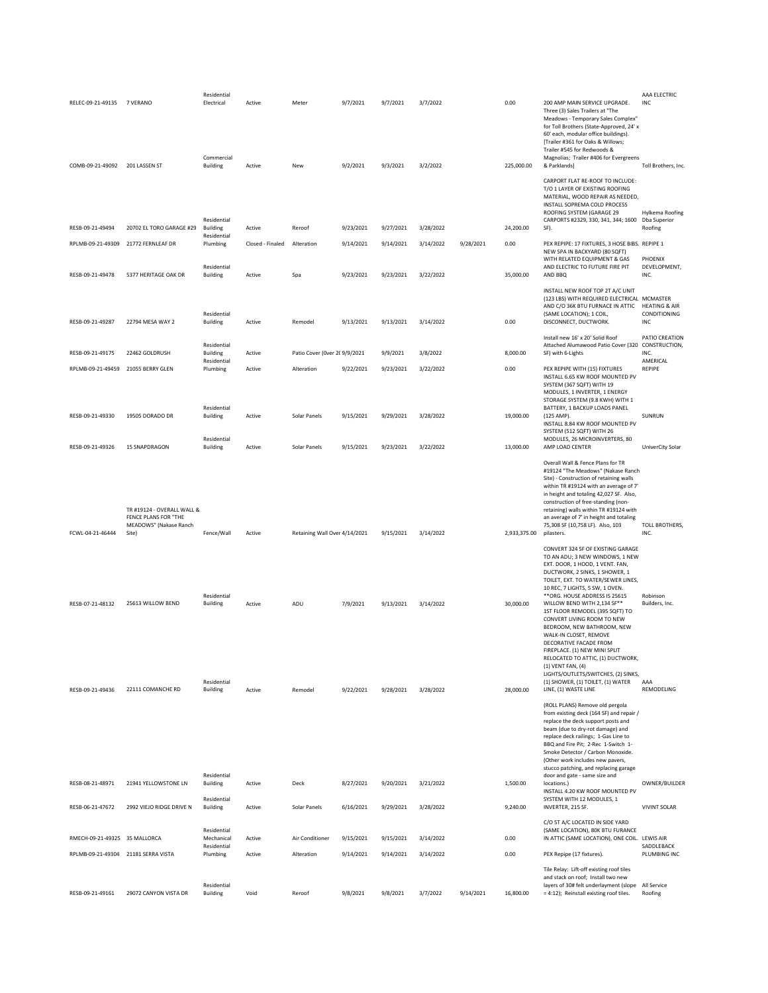| RELEC-09-21-49135                     | 7 VERANO                                                                              | Residential<br>Electrical                  | Active                     | Meter                         | 9/7/2021               | 9/7/2021               | 3/7/2022               |           | 0.00              | 200 AMP MAIN SERVICE UPGRADE.<br>Three (3) Sales Trailers at "The<br>Meadows - Temporary Sales Complex"<br>for Toll Brothers (State-Approved, 24' x<br>60' each, modular office buildings).<br>[Trailer #361 for Oaks & Willows;                                                                                                                                                      | AAA ELECTRIC<br>INC             |
|---------------------------------------|---------------------------------------------------------------------------------------|--------------------------------------------|----------------------------|-------------------------------|------------------------|------------------------|------------------------|-----------|-------------------|---------------------------------------------------------------------------------------------------------------------------------------------------------------------------------------------------------------------------------------------------------------------------------------------------------------------------------------------------------------------------------------|---------------------------------|
| COMB-09-21-49092 201 LASSEN ST        |                                                                                       | Commercial<br><b>Building</b>              | Active                     | New                           | 9/2/2021               | 9/3/2021               | 3/2/2022               |           | 225,000.00        | Trailer #545 for Redwoods &<br>Magnolias; Trailer #406 for Evergreens<br>& Parklands]                                                                                                                                                                                                                                                                                                 | Toll Brothers, Inc.             |
| RESB-09-21-49494                      | 20702 EL TORO GARAGE #29                                                              | Residential<br><b>Building</b>             | Active                     | Reroof                        | 9/23/2021              | 9/27/2021              | 3/28/2022              |           | 24,200.00         | CARPORT FLAT RE-ROOF TO INCLUDE:<br>T/O 1 LAYER OF EXISTING ROOFING<br>MATERIAL, WOOD REPAIR AS NEEDED,<br>INSTALL SOPREMA COLD PROCESS<br>ROOFING SYSTEM (GARAGE 29<br>CARPORTS #2329, 330, 341, 344; 1600 Dba Superior<br>SF).                                                                                                                                                      | Hylkema Roofing<br>Roofing      |
|                                       |                                                                                       | Residential                                |                            |                               |                        |                        |                        |           |                   |                                                                                                                                                                                                                                                                                                                                                                                       |                                 |
| RPLMB-09-21-49309<br>RESB-09-21-49478 | 21772 FERNLEAF DR<br>5377 HERITAGE OAK DR                                             | Plumbing<br>Residential<br><b>Building</b> | Closed - Finaled<br>Active | Alteration<br>Spa             | 9/14/2021<br>9/23/2021 | 9/14/2021<br>9/23/2021 | 3/14/2022<br>3/22/2022 | 9/28/2021 | 0.00<br>35,000.00 | PEX REPIPE: 17 FIXTURES, 3 HOSE BIBS, REPIPE 1<br>NEW SPA IN BACKYARD (80 SQFT)<br>WITH RELATED EQUIPMENT & GAS<br>AND ELECTRIC TO FUTURE FIRE PIT<br>AND BBO                                                                                                                                                                                                                         | PHOENIX<br>DEVELOPMENT,<br>INC. |
| RESB-09-21-49287                      | 22794 MESA WAY 2                                                                      | Residential<br><b>Building</b>             | Active                     | Remodel                       | 9/13/2021              | 9/13/2021              | 3/14/2022              |           | 0.00              | INSTALL NEW ROOF TOP 2T A/C UNIT<br>(123 LBS) WITH REQUIRED ELECTRICAL MCMASTER<br>AND C/O 36K BTU FURNACE IN ATTIC HEATING & AIR<br>(SAME LOCATION); 1 COIL,<br>DISCONNECT, DUCTWORK.                                                                                                                                                                                                | CONDITIONING<br>INC             |
| RESB-09-21-49175                      | 22462 GOLDRUSH                                                                        | Residential<br><b>Building</b>             | Active                     | Patio Cover (Over 2( 9/9/2021 |                        | 9/9/2021               | 3/8/2022               |           | 8,000.00          | Install new 16' x 20' Solid Roof<br>Attached Alumawood Patio Cover (320 CONSTRUCTION,<br>SF) with 6-Lights                                                                                                                                                                                                                                                                            | PATIO CREATION<br>INC.          |
|                                       |                                                                                       | Residential                                |                            |                               |                        |                        |                        |           |                   |                                                                                                                                                                                                                                                                                                                                                                                       | AMERICAL                        |
| RPLMB-09-21-49459                     | 21055 BERRY GLEN                                                                      | Plumbing                                   | Active                     | Alteration                    | 9/22/2021              | 9/23/2021              | 3/22/2022              |           | 0.00              | PEX REPIPE WITH (15) FIXTURES<br>INSTALL 6.65 KW ROOF MOUNTED PV<br>SYSTEM (367 SQFT) WITH 19<br>MODULES, 1 INVERTER, 1 ENERGY<br>STORAGE SYSTEM (9.8 KWH) WITH 1                                                                                                                                                                                                                     | REPIPE                          |
| RESB-09-21-49330                      | 19505 DORADO DR                                                                       | Residential<br><b>Building</b>             | Active                     | Solar Panels                  | 9/15/2021              | 9/29/2021              | 3/28/2022              |           | 19,000.00         | BATTERY, 1 BACKUP LOADS PANEL<br>(125 AMP).<br>INSTALL 8.84 KW ROOF MOUNTED PV<br>SYSTEM (512 SQFT) WITH 26                                                                                                                                                                                                                                                                           | SUNRUN                          |
| RESB-09-21-49326                      | 15 SNAPDRAGON                                                                         | Residential<br>Building                    | Active                     | Solar Panels                  | 9/15/2021              | 9/23/2021              | 3/22/2022              |           | 13,000.00         | MODULES, 26 MICROINVERTERS, 80<br>AMP LOAD CENTER                                                                                                                                                                                                                                                                                                                                     | UniverCity Solar                |
| FCWL-04-21-46444                      | TR #19124 - OVERALL WALL &<br>FENCE PLANS FOR "THE<br>MEADOWS" (Nakase Ranch<br>Site) | Fence/Wall                                 | Active                     | Retaining Wall Over 4/14/2021 |                        | 9/15/2021              | 3/14/2022              |           | 2,933,375.00      | Overall Wall & Fence Plans for TR<br>#19124 "The Meadows" (Nakase Ranch<br>Site) - Construction of retaining walls<br>within TR #19124 with an average of 7'<br>in height and totaling 42,027 SF. Also,<br>construction of free-standing (non-<br>retaining) walls within TR #19124 with<br>an average of 7' in height and totaling<br>75,308 SF (10,758 LF). Also, 103<br>pilasters. | TOLL BROTHERS,<br>INC.          |
|                                       |                                                                                       | Residential                                |                            |                               |                        |                        |                        |           |                   | CONVERT 324 SF OF EXISTING GARAGE<br>TO AN ADU; 3 NEW WINDOWS, 1 NEW<br>EXT. DOOR, 1 HOOD, 1 VENT. FAN,<br>DUCTWORK, 2 SINKS, 1 SHOWER, 1<br>TOILET, EXT. TO WATER/SEWER LINES,<br>10 REC, 7 LIGHTS, 5 SW, 1 OVEN.<br>** ORG. HOUSE ADDRESS IS 25615                                                                                                                                  | Robinson                        |
| RESB-07-21-48132                      | 25613 WILLOW BEND                                                                     | <b>Building</b><br>Residential             | Active                     | ADU                           | 7/9/2021               | 9/13/2021              | 3/14/2022              |           | 30,000.00         | WILLOW BEND WITH 2,134 SF**<br>1ST FLOOR REMODEL (395 SQFT) TO<br>CONVERT LIVING ROOM TO NEW<br>BEDROOM, NEW BATHROOM, NEW<br>WALK-IN CLOSET, REMOVE<br>DECORATIVE FACADE FROM<br>FIREPLACE. (1) NEW MINI SPLIT<br>RELOCATED TO ATTIC, (1) DUCTWORK,<br>(1) VENT FAN, (4)<br>LIGHTS/OUTLETS/SWITCHES, (2) SINKS,<br>(1) SHOWER, (1) TOILET, (1) WATER                                 | Builders, Inc.<br>AAA           |
| RESB-09-21-49436                      | 22111 COMANCHE RD                                                                     | Building                                   | Active                     | Remodel                       | 9/22/2021              | 9/28/2021              | 3/28/2022              |           | 28,000.00         | LINE, (1) WASTE LINE<br>(ROLL PLANS) Remove old pergola                                                                                                                                                                                                                                                                                                                               | REMODELING                      |
|                                       |                                                                                       | Residential                                |                            |                               |                        |                        |                        |           |                   | from existing deck (164 SF) and repair /<br>replace the deck support posts and<br>beam (due to dry-rot damage) and<br>replace deck railings; 1-Gas Line to<br>BBQ and Fire Pit; 2-Rec 1-Switch 1-<br>Smoke Detector / Carbon Monoxide.<br>(Other work includes new pavers,<br>stucco patching, and replacing garage<br>door and gate - same size and                                  |                                 |
| RESB-08-21-48971                      | 21941 YELLOWSTONE LN                                                                  | Building<br>Residential                    | Active                     | Deck                          | 8/27/2021              | 9/20/2021              | 3/21/2022              |           | 1,500.00          | locations.)<br>INSTALL 4.20 KW ROOF MOUNTED PV<br>SYSTEM WITH 12 MODULES, 1                                                                                                                                                                                                                                                                                                           | OWNER/BUILDER                   |
| RESB-06-21-47672                      | 2992 VIEJO RIDGE DRIVE N                                                              | <b>Building</b>                            | Active                     | Solar Panels                  | 6/16/2021              | 9/29/2021              | 3/28/2022              |           | 9,240.00          | INVERTER, 215 SF.<br>C/O 5T A/C LOCATED IN SIDE YARD                                                                                                                                                                                                                                                                                                                                  | <b>VIVINT SOLAR</b>             |
| RMECH-09-21-49325 35 MALLORCA         |                                                                                       | Residential<br>Mechanical<br>Residential   | Active                     | Air Conditioner               | 9/15/2021              | 9/15/2021              | 3/14/2022              |           | 0.00              | (SAME LOCATION), 80K BTU FURANCE<br>IN ATTIC (SAME LOCATION), ONE COIL. LEWIS AIR                                                                                                                                                                                                                                                                                                     | SADDLEBACK                      |
| RPLMB-09-21-49304 21181 SERRA VISTA   |                                                                                       | Plumbing                                   | Active                     | Alteration                    | 9/14/2021              | 9/14/2021              | 3/14/2022              |           | 0.00              | PEX Repipe (17 fixtures).                                                                                                                                                                                                                                                                                                                                                             | PLUMBING INC                    |
| RESB-09-21-49161                      | 29072 CANYON VISTA DR                                                                 | Residential<br><b>Building</b>             | Void                       | Reroof                        | 9/8/2021               | 9/8/2021               | 3/7/2022               | 9/14/2021 | 16,800.00         | Tile Relay: Lift-off existing roof tiles<br>and stack on roof; Install two new<br>layers of 30# felt underlayment (slope All Service<br>= 4:12); Reinstall existing roof tiles.                                                                                                                                                                                                       | Roofing                         |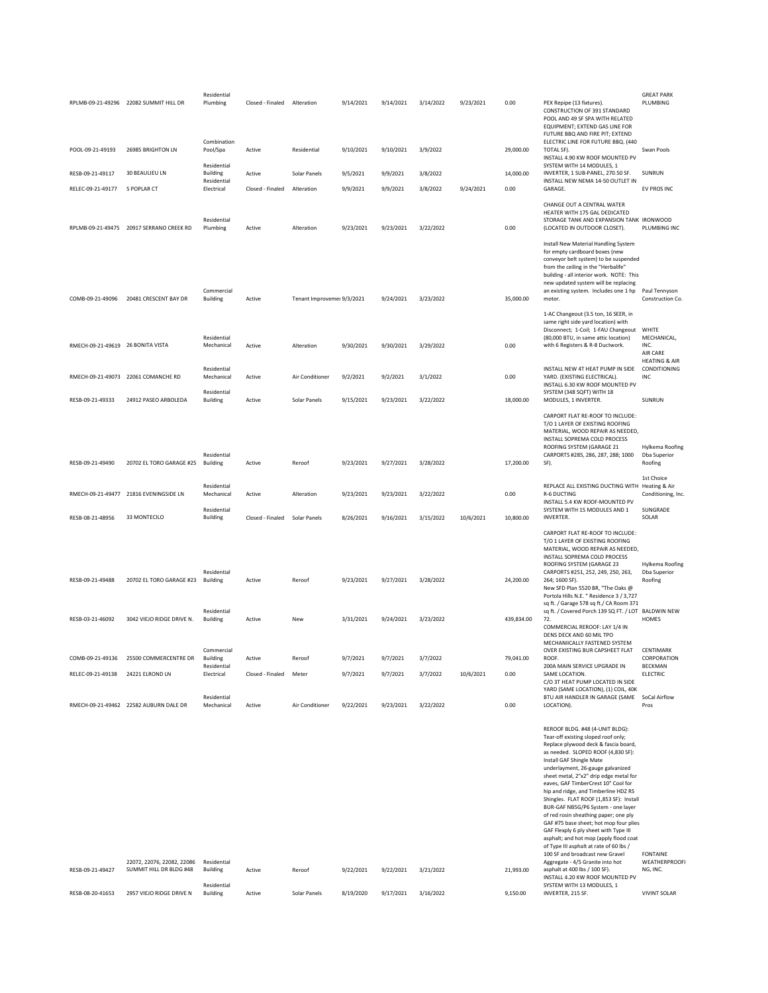|                                   | RPLMB-09-21-49296 22082 SUMMIT HILL DR   | Residential<br>Plumbing                  | Closed - Finaled | Alteration                 | 9/14/2021 | 9/14/2021 | 3/14/2022 | 9/23/2021 | 0.00       | PEX Repipe (13 fixtures).<br>CONSTRUCTION OF 391 STANDARD<br>POOL AND 49 SF SPA WITH RELATED<br>EQUIPMENT; EXTEND GAS LINE FOR<br>FUTURE BBQ AND FIRE PIT; EXTEND                                                                                                                                                                                                                                                                                                                                                                                                                                                                                                                                                       | <b>GREAT PARK</b><br>PLUMBING                     |
|-----------------------------------|------------------------------------------|------------------------------------------|------------------|----------------------------|-----------|-----------|-----------|-----------|------------|-------------------------------------------------------------------------------------------------------------------------------------------------------------------------------------------------------------------------------------------------------------------------------------------------------------------------------------------------------------------------------------------------------------------------------------------------------------------------------------------------------------------------------------------------------------------------------------------------------------------------------------------------------------------------------------------------------------------------|---------------------------------------------------|
| POOL-09-21-49193                  | 26985 BRIGHTON LN                        | Combination<br>Pool/Spa<br>Residential   | Active           | Residential                | 9/10/2021 | 9/10/2021 | 3/9/2022  |           | 29,000.00  | ELECTRIC LINE FOR FUTURE BBQ. (440<br>TOTAL SF).<br>INSTALL 4.90 KW ROOF MOUNTED PV<br>SYSTEM WITH 14 MODULES, 1                                                                                                                                                                                                                                                                                                                                                                                                                                                                                                                                                                                                        | Swan Pools                                        |
| RESB-09-21-49117                  | 30 BEAULIEU LN                           | <b>Building</b><br>Residential           | Active           | Solar Panels               | 9/5/2021  | 9/9/2021  | 3/8/2022  |           | 14,000.00  | INVERTER, 1 SUB-PANEL, 270.50 SF.<br>INSTALL NEW NEMA 14-50 OUTLET IN                                                                                                                                                                                                                                                                                                                                                                                                                                                                                                                                                                                                                                                   | SUNRUN                                            |
| RELEC-09-21-49177                 | 5 POPLAR CT                              | Electrical                               | Closed - Finaled | Alteration                 | 9/9/2021  | 9/9/2021  | 3/8/2022  | 9/24/2021 | 0.00       | GARAGE.                                                                                                                                                                                                                                                                                                                                                                                                                                                                                                                                                                                                                                                                                                                 | EV PROS INC                                       |
|                                   | RPLMB-09-21-49475 20917 SERRANO CREEK RD | <b>Residential</b><br>Plumbing           | Active           | Alteration                 | 9/23/2021 | 9/23/2021 | 3/22/2022 |           | 0.00       | CHANGE OUT A CENTRAL WATER<br>HEATER WITH 175 GAL DEDICATED<br>STORAGE TANK AND EXPANSION TANK IRONWOOD<br>(LOCATED IN OUTDOOR CLOSET).                                                                                                                                                                                                                                                                                                                                                                                                                                                                                                                                                                                 | PLUMBING INC                                      |
| COMB-09-21-49096                  | 20481 CRESCENT BAY DR                    | Commercial<br><b>Building</b>            | Active           | Tenant Improveme: 9/3/2021 |           | 9/24/2021 | 3/23/2022 |           | 35,000.00  | Install New Material Handling System<br>for empty cardboard boxes (new<br>conveyor belt system) to be suspended<br>from the ceiling in the "Herbalife"<br>building - all interior work. NOTE: This<br>new updated system will be replacing<br>an existing system. Includes one 1 hp<br>motor.<br>1-AC Changeout (3.5 ton, 16 SEER, in                                                                                                                                                                                                                                                                                                                                                                                   | Paul Tennyson<br>Construction Co.                 |
| RMECH-09-21-49619 26 BONITA VISTA |                                          | Residential<br>Mechanical                | Active           | Alteration                 | 9/30/2021 | 9/30/2021 | 3/29/2022 |           | 0.00       | same right side yard location) with<br>Disconnect; 1-Coil; 1-FAU Changeout<br>(80,000 BTU, in same attic location)<br>with 6 Registers & R-8 Ductwork.                                                                                                                                                                                                                                                                                                                                                                                                                                                                                                                                                                  | WHITE<br>MECHANICAL,<br>INC.<br>AIR CARE          |
|                                   | RMECH-09-21-49073 22061 COMANCHE RD      | Residential<br>Mechanical                | Active           | Air Conditioner            | 9/2/2021  | 9/2/2021  | 3/1/2022  |           | 0.00       | INSTALL NEW 4T HEAT PUMP IN SIDE<br>YARD. (EXISTING ELECTRICAL).<br>INSTALL 6.30 KW ROOF MOUNTED PV                                                                                                                                                                                                                                                                                                                                                                                                                                                                                                                                                                                                                     | <b>HEATING &amp; AIR</b><br>CONDITIONING<br>INC   |
| RESB-09-21-49333                  | 24912 PASEO ARBOLEDA                     | Residential<br><b>Building</b>           | Active           | Solar Panels               | 9/15/2021 | 9/23/2021 | 3/22/2022 |           | 18,000.00  | SYSTEM (348 SQFT) WITH 18<br>MODULES, 1 INVERTER.                                                                                                                                                                                                                                                                                                                                                                                                                                                                                                                                                                                                                                                                       | SUNRUN                                            |
| RESB-09-21-49490                  | 20702 EL TORO GARAGE #25                 | Residential<br><b>Building</b>           | Active           | Reroof                     | 9/23/2021 | 9/27/2021 | 3/28/2022 |           | 17,200.00  | CARPORT FLAT RE-ROOF TO INCLUDE:<br>T/O 1 LAYER OF EXISTING ROOFING<br>MATERIAL, WOOD REPAIR AS NEEDED,<br>INSTALL SOPREMA COLD PROCESS<br>ROOFING SYSTEM (GARAGE 21<br>CARPORTS #285, 286, 287, 288; 1000<br>SF).                                                                                                                                                                                                                                                                                                                                                                                                                                                                                                      | Hylkema Roofing<br><b>Dba Superior</b><br>Roofing |
|                                   |                                          |                                          |                  |                            |           |           |           |           |            |                                                                                                                                                                                                                                                                                                                                                                                                                                                                                                                                                                                                                                                                                                                         | 1st Choice                                        |
|                                   | RMECH-09-21-49477 21816 EVENINGSIDE LN   | Residential<br>Mechanical<br>Residential | Active           | Alteration                 | 9/23/2021 | 9/23/2021 | 3/22/2022 |           | 0.00       | REPLACE ALL EXISTING DUCTING WITH Heating & Air<br>R-6 DUCTING<br>INSTALL 5.4 KW ROOF-MOUNTED PV<br>SYSTEM WITH 15 MODULES AND 1                                                                                                                                                                                                                                                                                                                                                                                                                                                                                                                                                                                        | Conditioning, Inc.<br>SUNGRADE                    |
| RESB-08-21-48956                  | 33 MONTECILO                             | Building                                 | Closed - Finaled | Solar Panels               | 8/26/2021 | 9/16/2021 | 3/15/2022 | 10/6/2021 | 10,800.00  | INVERTER.                                                                                                                                                                                                                                                                                                                                                                                                                                                                                                                                                                                                                                                                                                               | SOLAR                                             |
| RESB-09-21-49488                  | 20702 EL TORO GARAGE #23 Building        | Residential                              | Active           | Reroof                     | 9/23/2021 | 9/27/2021 | 3/28/2022 |           | 24,200.00  | CARPORT FLAT RE-ROOF TO INCLUDE:<br>T/O 1 LAYER OF EXISTING ROOFING<br>MATERIAL, WOOD REPAIR AS NEEDED,<br>INSTALL SOPREMA COLD PROCESS<br>ROOFING SYSTEM (GARAGE 23<br>CARPORTS #251, 252, 249, 250, 263,<br>264; 1600 SF).<br>New SFD Plan 5520 BR, "The Oaks @                                                                                                                                                                                                                                                                                                                                                                                                                                                       | Hylkema Roofing<br><b>Dba Superior</b><br>Roofing |
|                                   |                                          | Residential                              |                  |                            |           |           |           |           |            | Portola Hills N.E. " Residence 3 / 3,727<br>sq ft. / Garage 578 sq ft./ CA Room 371<br>sq ft. / Covered Porch 139 SQ FT. / LOT BALDWIN NEW                                                                                                                                                                                                                                                                                                                                                                                                                                                                                                                                                                              |                                                   |
| RESB-03-21-46092                  | 3042 VIEJO RIDGE DRIVE N.                | <b>Building</b>                          | Active           | New                        | 3/31/2021 | 9/24/2021 | 3/23/2022 |           | 439,834.00 | 72.<br>COMMERCIAL REROOF: LAY 1/4 IN<br>DENS DECK AND 60 MIL TPO<br>MECHANIICALLY FASTENED SYSTEM                                                                                                                                                                                                                                                                                                                                                                                                                                                                                                                                                                                                                       | HOMES                                             |
| COMB-09-21-49136                  | 25500 COMMERCENTRE DR                    | Commercial<br>Building                   | Active           | Reroof                     | 9/7/2021  | 9/7/2021  | 3/7/2022  |           | 79,041.00  | OVER EXISTING BUR CAPSHEET FLAT<br>ROOF.                                                                                                                                                                                                                                                                                                                                                                                                                                                                                                                                                                                                                                                                                | CENTIMARK<br>CORPORATION                          |
| RELEC-09-21-49138                 | 24221 ELROND LN                          | Residential<br>Electrical                | Closed - Finaled | Meter                      | 9/7/2021  | 9/7/2021  | 3/7/2022  | 10/6/2021 | 0.00       | 200A MAIN SERVICE UPGRADE IN<br>SAME LOCATION.<br>C/O 3T HEAT PUMP LOCATED IN SIDE                                                                                                                                                                                                                                                                                                                                                                                                                                                                                                                                                                                                                                      | <b>BECKMAN</b><br><b>ELECTRIC</b>                 |
|                                   |                                          | Residential                              |                  |                            |           |           |           |           |            | YARD (SAME LOCATION), (1) COIL, 40K<br>BTU AIR HANDLER IN GARAGE (SAME SoCal Airflow                                                                                                                                                                                                                                                                                                                                                                                                                                                                                                                                                                                                                                    |                                                   |
|                                   | RMECH-09-21-49462 22582 AUBURN DALE DR   | Mechanical                               | Active           | Air Conditioner            | 9/22/2021 | 9/23/2021 | 3/22/2022 |           | 0.00       | LOCATION).                                                                                                                                                                                                                                                                                                                                                                                                                                                                                                                                                                                                                                                                                                              | Pros                                              |
|                                   | 22072, 22076, 22082, 22086 Residential   |                                          |                  |                            |           |           |           |           |            | REROOF BLDG. #48 (4-UNIT BLDG):<br>Tear-off existing sloped roof only;<br>Replace plywood deck & fascia board,<br>as needed. SLOPED ROOF (4,830 SF):<br>Install GAF Shingle Mate<br>underlayment, 26-gauge galvanized<br>sheet metal, 2"x2" drip edge metal for<br>eaves, GAF TimberCrest 10" Cool for<br>hip and ridge, and Timberline HDZ RS<br>Shingles. FLAT ROOF (1,853 SF): Install<br>BUR-GAF NB5G/P6 System - one layer<br>of red rosin sheathing paper; one ply<br>GAF #75 base sheet; hot mop four plies<br>GAF Flexply 6 ply sheet with Type III<br>asphalt; and hot mop (apply flood coat<br>of Type III asphalt at rate of 60 lbs /<br>100 SF and broadcast new Gravel<br>Aggregate - 4/5 Granite into hot | <b>FONTAINE</b><br>WEATHERPROOFI                  |
| RESB-09-21-49427                  | SUMMIT HILL DR BLDG #48                  | <b>Building</b><br>Residential           | Active           | Reroof                     | 9/22/2021 | 9/22/2021 | 3/21/2022 |           | 21,993.00  | asphalt at 400 lbs / 100 SF).<br>INSTALL 4.20 KW ROOF MOUNTED PV<br>SYSTEM WITH 13 MODULES, 1                                                                                                                                                                                                                                                                                                                                                                                                                                                                                                                                                                                                                           | NG, INC.                                          |
| RESB-08-20-41653                  | 2957 VIEJO RIDGE DRIVE N                 | <b>Building</b>                          | Active           | Solar Panels               | 8/19/2020 | 9/17/2021 | 3/16/2022 |           | 9,150.00   | INVERTER, 215 SF.                                                                                                                                                                                                                                                                                                                                                                                                                                                                                                                                                                                                                                                                                                       | <b>VIVINT SOLAR</b>                               |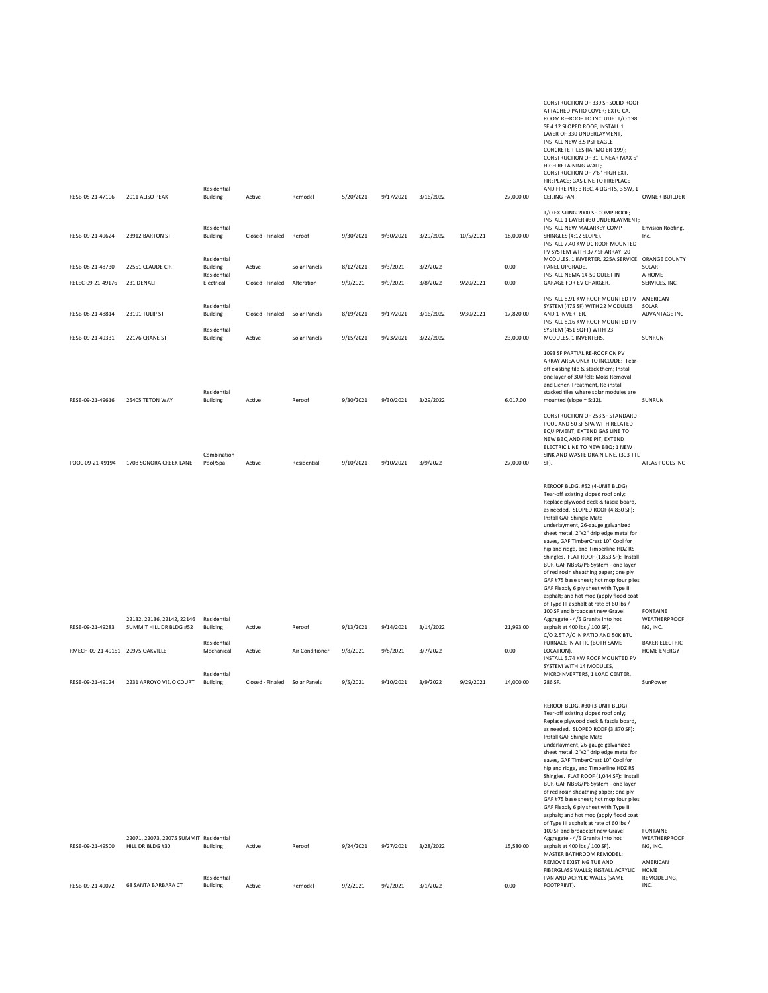| RESB-05-21-47106                     | 2011 ALISO PEAK                                                                          | Residential<br><b>Building</b>                | Active           | Remodel           | 5/20/2021             | 9/17/2021             | 3/16/2022             |           | 27,000.00         | CONSTRUCTION OF 339 SF SOLID ROOF<br>ATTACHED PATIO COVER; EXTG CA.<br>ROOM RE-ROOF TO INCLUDE: T/O 198<br>SF 4:12 SLOPED ROOF; INSTALL 1<br>LAYER OF 330 UNDERLAYMENT,<br>INSTALL NEW 8.5 PSF EAGLE<br>CONCRETE TILES (IAPMO ER-199);<br>CONSTRUCTION OF 31' LINEAR MAX 5'<br>HIGH RETAINING WALL;<br>CONSTRUCTION OF 7'6" HIGH EXT.<br>FIREPLACE; GAS LINE TO FIREPLACE<br>AND FIRE PIT; 3 REC, 4 LIGHTS, 3 SW, 1<br>CEILING FAN.                                                                                                                                                                                                                                                                                                                                                                                                                                                                | OWNER-BUILDER                                                                                  |
|--------------------------------------|------------------------------------------------------------------------------------------|-----------------------------------------------|------------------|-------------------|-----------------------|-----------------------|-----------------------|-----------|-------------------|----------------------------------------------------------------------------------------------------------------------------------------------------------------------------------------------------------------------------------------------------------------------------------------------------------------------------------------------------------------------------------------------------------------------------------------------------------------------------------------------------------------------------------------------------------------------------------------------------------------------------------------------------------------------------------------------------------------------------------------------------------------------------------------------------------------------------------------------------------------------------------------------------|------------------------------------------------------------------------------------------------|
|                                      |                                                                                          |                                               |                  |                   |                       |                       |                       |           |                   | T/O EXISTING 2000 SF COMP ROOF;                                                                                                                                                                                                                                                                                                                                                                                                                                                                                                                                                                                                                                                                                                                                                                                                                                                                    |                                                                                                |
| RESB-09-21-49624                     | 23912 BARTON ST                                                                          | Residential<br><b>Building</b><br>Residential | Closed - Finaled | Reroof            | 9/30/2021             | 9/30/2021             | 3/29/2022             | 10/5/2021 | 18,000.00         | INSTALL 1 LAYER #30 UNDERLAYMENT;<br>INSTALL NEW MALARKEY COMP<br>SHINGLES (4:12 SLOPE).<br>INSTALL 7.40 KW DC ROOF MOUNTED<br>PV SYSTEM WITH 377 SF ARRAY: 20<br>MODULES, 1 INVERTER, 225A SERVICE ORANGE COUNTY                                                                                                                                                                                                                                                                                                                                                                                                                                                                                                                                                                                                                                                                                  | Envision Roofing,<br>Inc.                                                                      |
| RESB-08-21-48730                     | 22551 CLAUDE CIR                                                                         | <b>Building</b><br>Residential                | Active           | Solar Panels      | 8/12/2021             | 9/3/2021              | 3/2/2022              |           | 0.00              | PANEL UPGRADE.<br>INSTALL NEMA 14-50 OULET IN                                                                                                                                                                                                                                                                                                                                                                                                                                                                                                                                                                                                                                                                                                                                                                                                                                                      | SOLAR<br>A-HOME                                                                                |
| RELEC-09-21-49176                    | 231 DENALI                                                                               | Electrical                                    | Closed - Finaled | Alteration        | 9/9/2021              | 9/9/2021              | 3/8/2022              | 9/20/2021 | 0.00              | GARAGE FOR EV CHARGER.                                                                                                                                                                                                                                                                                                                                                                                                                                                                                                                                                                                                                                                                                                                                                                                                                                                                             | SERVICES, INC.                                                                                 |
| RESB-08-21-48814                     | 23191 TULIP ST                                                                           | Residential<br><b>Building</b>                | Closed - Finaled | Solar Panels      | 8/19/2021             | 9/17/2021             | 3/16/2022             | 9/30/2021 | 17,820.00         | INSTALL 8.91 KW ROOF MOUNTED PV AMERICAN<br>SYSTEM (475 SF) WITH 22 MODULES<br>AND 1 INVERTER.<br>INSTALL 8.16 KW ROOF MOUNTED PV                                                                                                                                                                                                                                                                                                                                                                                                                                                                                                                                                                                                                                                                                                                                                                  | SOLAR<br>ADVANTAGE INC                                                                         |
| RESB-09-21-49331                     | 22176 CRANE ST                                                                           | Residential<br><b>Building</b>                | Active           | Solar Panels      | 9/15/2021             | 9/23/2021             | 3/22/2022             |           | 23,000.00         | SYSTEM (451 SQFT) WITH 23<br>MODULES, 1 INVERTERS.                                                                                                                                                                                                                                                                                                                                                                                                                                                                                                                                                                                                                                                                                                                                                                                                                                                 | SUNRUN                                                                                         |
| RESB-09-21-49616                     | 25405 TETON WAY                                                                          | Residential<br>Building                       | Active           | Reroof            | 9/30/2021             | 9/30/2021             | 3/29/2022             |           | 6,017.00          | 1093 SF PARTIAL RE-ROOF ON PV<br>ARRAY AREA ONLY TO INCLUDE: Tear-<br>off existing tile & stack them; Install<br>one layer of 30# felt; Moss Removal<br>and Lichen Treatment, Re-install<br>stacked tiles where solar modules are<br>mounted (slope = 5:12).                                                                                                                                                                                                                                                                                                                                                                                                                                                                                                                                                                                                                                       | SUNRUN                                                                                         |
| POOL-09-21-49194                     | 1708 SONORA CREEK LANE                                                                   | Combination<br>Pool/Spa                       | Active           | Residential       | 9/10/2021             | 9/10/2021             | 3/9/2022              |           | 27,000.00         | CONSTRUCTION OF 253 SF STANDARD<br>POOL AND 50 SF SPA WITH RELATED<br>EQUIPMENT; EXTEND GAS LINE TO<br>NEW BBQ AND FIRE PIT; EXTEND<br>ELECTRIC LINE TO NEW BBQ; 1 NEW<br>SINK AND WASTE DRAIN LINE. (303 TTL<br>SF).                                                                                                                                                                                                                                                                                                                                                                                                                                                                                                                                                                                                                                                                              | ATLAS POOLS INC                                                                                |
|                                      |                                                                                          |                                               |                  |                   |                       |                       |                       |           |                   |                                                                                                                                                                                                                                                                                                                                                                                                                                                                                                                                                                                                                                                                                                                                                                                                                                                                                                    |                                                                                                |
|                                      |                                                                                          |                                               |                  |                   |                       |                       |                       |           |                   | REROOF BLDG. #52 (4-UNIT BLDG):<br>Tear-off existing sloped roof only;<br>Replace plywood deck & fascia board,<br>as needed. SLOPED ROOF (4,830 SF):<br>Install GAF Shingle Mate<br>underlayment, 26-gauge galvanized<br>sheet metal, 2"x2" drip edge metal for<br>eaves, GAF TimberCrest 10" Cool for<br>hip and ridge, and Timberline HDZ RS<br>Shingles. FLAT ROOF (1,853 SF): Install<br>BUR-GAF NB5G/P6 System - one layer<br>of red rosin sheathing paper; one ply<br>GAF #75 base sheet; hot mop four plies<br>GAF Flexply 6 ply sheet with Type III<br>asphalt; and hot mop (apply flood coat<br>of Type III asphalt at rate of 60 lbs /<br>100 SF and broadcast new Gravel                                                                                                                                                                                                                | <b>FONTAINE</b>                                                                                |
| RESB-09-21-49283                     | 22132, 22136, 22142, 22146<br>SUMMIT HILL DR BLDG #52                                    | Residential<br><b>Building</b>                | Active           | Reroof            | 9/13/2021             | 9/14/2021             | 3/14/2022             |           | 21,993.00         | Aggregate - 4/5 Granite into hot<br>asphalt at 400 lbs / 100 SF).<br>C/O 2.5T A/C IN PATIO AND 50K BTU                                                                                                                                                                                                                                                                                                                                                                                                                                                                                                                                                                                                                                                                                                                                                                                             | WEATHERPROOFI<br>NG, INC.                                                                      |
| RMECH-09-21-49151 20975 OAKVILLE     |                                                                                          | Residential<br>Mechanical                     | Active           | Air Conditioner   | 9/8/2021              | 9/8/2021              | 3/7/2022              |           | 0.00              | FURNACE IN ATTIC (BOTH SAME<br>LOCATION).<br>INSTALL 5.74 KW ROOF MOUNTED PV                                                                                                                                                                                                                                                                                                                                                                                                                                                                                                                                                                                                                                                                                                                                                                                                                       | <b>BAKER ELECTRIC</b><br>HOME ENERGY                                                           |
| RESB-09-21-49124                     | 2231 ARROYO VIEJO COURT                                                                  | Residential<br><b>Building</b>                | Closed - Finaled | Solar Panels      | 9/5/2021              | 9/10/2021             | 3/9/2022              | 9/29/2021 | 14,000.00         | SYSTEM WITH 14 MODULES,<br>MICROINVERTERS, 1 LOAD CENTER,<br>286 SF.                                                                                                                                                                                                                                                                                                                                                                                                                                                                                                                                                                                                                                                                                                                                                                                                                               | SunPower                                                                                       |
| RESB-09-21-49500<br>RESB-09-21-49072 | 22071, 22073, 22075 SUMMIT Residential<br>HILL DR BLDG #30<br><b>68 SANTA BARBARA CT</b> | <b>Building</b><br>Residential<br>Building    | Active<br>Active | Reroof<br>Remodel | 9/24/2021<br>9/2/2021 | 9/27/2021<br>9/2/2021 | 3/28/2022<br>3/1/2022 |           | 15,580.00<br>0.00 | REROOF BLDG. #30 (3-UNIT BLDG):<br>Tear-off existing sloped roof only;<br>Replace plywood deck & fascia board,<br>as needed. SLOPED ROOF (3,870 SF):<br>Install GAF Shingle Mate<br>underlayment, 26-gauge galvanized<br>sheet metal, 2"x2" drip edge metal for<br>eaves, GAF TimberCrest 10" Cool for<br>hip and ridge, and Timberline HDZ RS<br>Shingles. FLAT ROOF (1,044 SF): Install<br>BUR-GAF NB5G/P6 System - one layer<br>of red rosin sheathing paper; one ply<br>GAF #75 base sheet; hot mop four plies<br>GAF Flexply 6 ply sheet with Type III<br>asphalt; and hot mop (apply flood coat<br>of Type III asphalt at rate of 60 lbs /<br>100 SF and broadcast new Gravel<br>Aggregate - 4/5 Granite into hot<br>asphalt at 400 lbs / 100 SF).<br>MASTER BATHROOM REMODEL:<br>REMOVE EXISTING TUB AND<br>FIBERGLASS WALLS; INSTALL ACRYLIC<br>PAN AND ACRYLIC WALLS (SAME<br>FOOTPRINT). | <b>FONTAINE</b><br><b>WEATHERPROOFI</b><br>NG, INC.<br>AMERICAN<br>HOME<br>REMODELING,<br>INC. |
|                                      |                                                                                          |                                               |                  |                   |                       |                       |                       |           |                   |                                                                                                                                                                                                                                                                                                                                                                                                                                                                                                                                                                                                                                                                                                                                                                                                                                                                                                    |                                                                                                |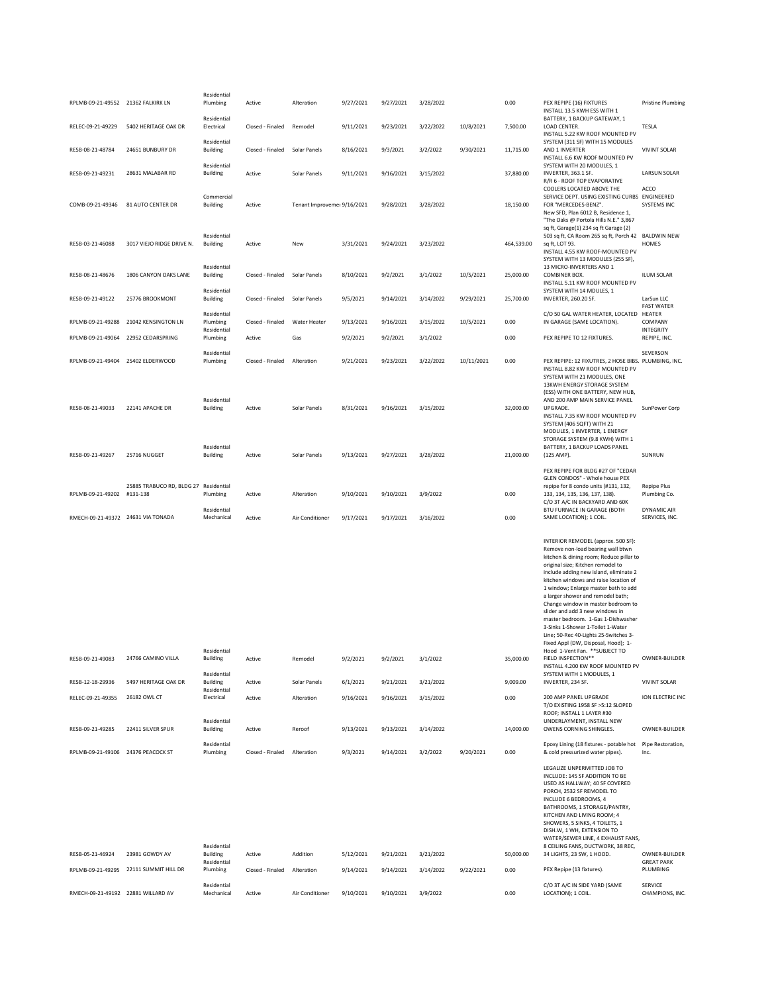| RPLMB-09-21-49552 21362 FALKIRK LN |                                                          | Residential<br>Plumbing                       | Active                     | Alteration                  | 9/27/2021              | 9/27/2021              | 3/28/2022              |            | 0.00              | PEX REPIPE (16) FIXTURES<br>INSTALL 13.5 KWH ESS WITH 1                                                                                                                                                                                                                                                                                                                                                                                                                                                                                                                                       | <b>Pristine Plumbing</b>                       |
|------------------------------------|----------------------------------------------------------|-----------------------------------------------|----------------------------|-----------------------------|------------------------|------------------------|------------------------|------------|-------------------|-----------------------------------------------------------------------------------------------------------------------------------------------------------------------------------------------------------------------------------------------------------------------------------------------------------------------------------------------------------------------------------------------------------------------------------------------------------------------------------------------------------------------------------------------------------------------------------------------|------------------------------------------------|
| RELEC-09-21-49229                  | 5402 HERITAGE OAK DR                                     | Residential<br>Electrical                     | Closed - Finaled           | Remodel                     | 9/11/2021              | 9/23/2021              | 3/22/2022              | 10/8/2021  | 7,500.00          | BATTERY, 1 BACKUP GATEWAY, 1<br>LOAD CENTER.<br>INSTALL 5.22 KW ROOF MOUNTED PV                                                                                                                                                                                                                                                                                                                                                                                                                                                                                                               | TESLA                                          |
| RESB-08-21-48784                   | 24651 BUNBURY DR                                         | Residential<br><b>Building</b>                | Closed - Finaled           | Solar Panels                | 8/16/2021              | 9/3/2021               | 3/2/2022               | 9/30/2021  | 11,715.00         | SYSTEM (311 SF) WITH 15 MODULES<br>AND 1 INVERTER                                                                                                                                                                                                                                                                                                                                                                                                                                                                                                                                             | <b>VIVINT SOLAR</b>                            |
| RESB-09-21-49231                   | 28631 MALABAR RD                                         | Residential<br>Building                       | Active                     | Solar Panels                | 9/11/2021              | 9/16/2021              | 3/15/2022              |            | 37,880.00         | INSTALL 6.6 KW ROOF MOUNTED PV<br>SYSTEM WITH 20 MODULES, 1<br>INVERTER, 363.1 SF.<br>R/R 6 - ROOF TOP EVAPORATIVE                                                                                                                                                                                                                                                                                                                                                                                                                                                                            | <b>LARSUN SOLAR</b>                            |
| COMB-09-21-49346                   | 81 AUTO CENTER DR                                        | Commercial<br><b>Building</b>                 | Active                     | Tenant Improveme: 9/16/2021 |                        | 9/28/2021              | 3/28/2022              |            | 18,150.00         | COOLERS LOCATED ABOVE THE<br>SERVICE DEPT. USING EXISTING CURBS ENGINEERED<br>FOR "MERCEDES-BENZ".<br>New SFD, Plan 6012 B, Residence 1,<br>"The Oaks @ Portola Hills N.E." 3,867                                                                                                                                                                                                                                                                                                                                                                                                             | ACCO<br><b>SYSTEMS INC</b>                     |
| RESB-03-21-46088                   | 3017 VIEJO RIDGE DRIVE N.                                | Residential<br><b>Building</b>                | Active                     | New                         | 3/31/2021              | 9/24/2021              | 3/23/2022              |            | 464,539.00        | sq ft, Garage(1) 234 sq ft Garage (2)<br>503 sq ft, CA Room 265 sq ft, Porch 42 BALDWIN NEW<br>sq ft, LOT 93.<br>INSTALL 4.55 KW ROOF-MOUNTED PV<br>SYSTEM WITH 13 MODULES (255 SF),                                                                                                                                                                                                                                                                                                                                                                                                          | HOMES                                          |
| RESB-08-21-48676                   | 1806 CANYON OAKS LANE                                    | Residential<br>Building                       | Closed - Finaled           | Solar Panels                | 8/10/2021              | 9/2/2021               | 3/1/2022               | 10/5/2021  | 25,000.00         | 13 MICRO-INVERTERS AND 1<br><b>COMBINER BOX.</b><br>INSTALL 5.11 KW ROOF MOUNTED PV                                                                                                                                                                                                                                                                                                                                                                                                                                                                                                           | <b>ILUM SOLAR</b>                              |
| RESB-09-21-49122                   | 25776 BROOKMONT                                          | Residential<br><b>Building</b>                | Closed - Finaled           | Solar Panels                | 9/5/2021               | 9/14/2021              | 3/14/2022              | 9/29/2021  | 25,700.00         | SYSTEM WITH 14 MDULES, 1<br><b>INVERTER, 260.20 SF.</b>                                                                                                                                                                                                                                                                                                                                                                                                                                                                                                                                       | LarSun LLC<br><b>FAST WATER</b>                |
|                                    | RPLMB-09-21-49288 21042 KENSINGTON LN                    | Residential<br>Plumbing<br>Residential        | Closed - Finaled           | Water Heater                | 9/13/2021              | 9/16/2021              | 3/15/2022              | 10/5/2021  | 0.00              | C/O 50 GAL WATER HEATER, LOCATED<br>IN GARAGE (SAME LOCATION).                                                                                                                                                                                                                                                                                                                                                                                                                                                                                                                                | HEATER<br>COMPANY<br>INTEGRITY                 |
| RPLMB-09-21-49064                  | 22952 CEDARSPRING                                        | Plumbing                                      | Active                     | Gas                         | 9/2/2021               | 9/2/2021               | 3/1/2022               |            | 0.00              | PEX REPIPE TO 12 FIXTURES.                                                                                                                                                                                                                                                                                                                                                                                                                                                                                                                                                                    | REPIPE, INC.                                   |
| RPLMB-09-21-49404                  | 25402 ELDERWOOD                                          | Residential<br>Plumbing                       | Closed - Finaled           | Alteration                  | 9/21/2021              | 9/23/2021              | 3/22/2022              | 10/11/2021 | 0.00              | PEX REPIPE: 12 FIXUTRES, 2 HOSE BIBS. PLUMBING, INC.<br>INSTALL 8.82 KW ROOF MOUNTED PV<br>SYSTEM WITH 21 MODULES, ONE<br>13KWH ENERGY STORAGE SYSTEM<br>(ESS) WITH ONE BATTERY, NEW HUB,                                                                                                                                                                                                                                                                                                                                                                                                     | SEVERSON                                       |
| RESB-08-21-49033                   | 22141 APACHE DR                                          | Residential<br><b>Building</b>                | Active                     | Solar Panels                | 8/31/2021              | 9/16/2021              | 3/15/2022              |            | 32,000.00         | AND 200 AMP MAIN SERVICE PANEL<br>UPGRADE.<br>INSTALL 7.35 KW ROOF MOUNTED PV<br>SYSTEM (406 SQFT) WITH 21<br>MODULES, 1 INVERTER, 1 ENERGY<br>STORAGE SYSTEM (9.8 KWH) WITH 1                                                                                                                                                                                                                                                                                                                                                                                                                | SunPower Corp                                  |
| RESB-09-21-49267                   | 25716 NUGGET                                             | Residential<br><b>Building</b>                | Active                     | Solar Panels                | 9/13/2021              | 9/27/2021              | 3/28/2022              |            | 21,000.00         | BATTERY, 1 BACKUP LOADS PANEL<br>(125 AMP).                                                                                                                                                                                                                                                                                                                                                                                                                                                                                                                                                   | <b>SUNRUN</b>                                  |
| RPLMB-09-21-49202                  | 25885 TRABUCO RD, BLDG 27 Residential<br>#131-138        | Plumbing<br>Residential                       | Active                     | Alteration                  | 9/10/2021              | 9/10/2021              | 3/9/2022               |            | 0.00              | PEX REPIPE FOR BLDG #27 OF "CEDAR<br>GLEN CONDOS" - Whole house PEX<br>repipe for 8 condo units (#131, 132,<br>133, 134, 135, 136, 137, 138).<br>C/O 3T A/C IN BACKYARD AND 60K<br>BTU FURNACE IN GARAGE (BOTH                                                                                                                                                                                                                                                                                                                                                                                | Repipe Plus<br>Plumbing Co.<br>DYNAMIC AIR     |
| RMECH-09-21-49372 24631 VIA TONADA |                                                          | Mechanical                                    | Active                     | Air Conditioner             | 9/17/2021              | 9/17/2021              | 3/16/2022              |            | 0.00              | SAME LOCATION); 1 COIL.                                                                                                                                                                                                                                                                                                                                                                                                                                                                                                                                                                       | SERVICES, INC.                                 |
|                                    |                                                          | Residential                                   |                            |                             |                        |                        |                        |            |                   | INTERIOR REMODEL (approx. 500 SF):<br>Remove non-load bearing wall btwn<br>kitchen & dining room; Reduce pillar to<br>original size; Kitchen remodel to<br>include adding new island, eliminate 2<br>kitchen windows and raise location of<br>1 window; Enlarge master bath to add<br>a larger shower and remodel bath;<br>Change window in master bedroom to<br>slider and add 3 new windows in<br>master bedroom. 1-Gas 1-Dishwasher<br>3-Sinks 1-Shower 1-Toilet 1-Water<br>Line; 50-Rec 40-Lights 25-Switches 3-<br>Fixed Appl (DW, Disposal, Hood); 1-<br>Hood 1-Vent Fan. ** SUBJECT TO |                                                |
| RESB-09-21-49083                   | 24766 CAMINO VILLA                                       | <b>Building</b>                               | Active                     | Remodel                     | 9/2/2021               | 9/2/2021               | 3/1/2022               |            | 35,000.00         | FIELD INSPECTION**<br>INSTALL 4.200 KW ROOF MOUNTED PV                                                                                                                                                                                                                                                                                                                                                                                                                                                                                                                                        | OWNER-BUILDER                                  |
| RESB-12-18-29936                   | 5497 HERITAGE OAK DR                                     | Residential<br><b>Building</b><br>Residential | Active                     | Solar Panels                | 6/1/2021               | 9/21/2021              | 3/21/2022              |            | 9,009.00          | SYSTEM WITH 1 MODULES, 1<br>INVERTER, 234 SF.                                                                                                                                                                                                                                                                                                                                                                                                                                                                                                                                                 | <b>VIVINT SOLAR</b>                            |
| RELEC-09-21-49355                  | 26182 OWL CT                                             | Electrical                                    | Active                     | Alteration                  | 9/16/2021              | 9/16/2021              | 3/15/2022              |            | 0.00              | 200 AMP PANEL UPGRADE<br>T/O EXISTING 1958 SF > 5:12 SLOPED<br>ROOF; INSTALL 1 LAYER #30                                                                                                                                                                                                                                                                                                                                                                                                                                                                                                      | ION ELECTRIC INC                               |
| RESB-09-21-49285                   | 22411 SILVER SPUR                                        | Residential<br><b>Building</b>                | Active                     | Reroof                      | 9/13/2021              | 9/13/2021              | 3/14/2022              |            | 14,000.00         | UNDERLAYMENT, INSTALL NEW<br>OWENS CORNING SHINGLES.                                                                                                                                                                                                                                                                                                                                                                                                                                                                                                                                          | OWNER-BUILDER                                  |
| RPLMB-09-21-49106 24376 PEACOCK ST |                                                          | Residential<br>Plumbing                       | Closed - Finaled           | Alteration                  | 9/3/2021               | 9/14/2021              | 3/2/2022               | 9/20/2021  | 0.00              | Epoxy Lining (18 fixtures - potable hot  Pipe Restoration,<br>& cold pressurized water pipes).                                                                                                                                                                                                                                                                                                                                                                                                                                                                                                | Inc.                                           |
|                                    |                                                          | Residential                                   |                            |                             |                        |                        |                        |            |                   | LEGALIZE UNPERMITTED JOB TO<br>INCLUDE: 145 SF ADDITION TO BE<br>USED AS HALLWAY; 40 SF COVERED<br>PORCH, 2532 SF REMODEL TO<br>INCLUDE 6 BEDROOMS, 4<br>BATHROOMS, 1 STORAGE/PANTRY,<br>KITCHEN AND LIVING ROOM; 4<br>SHOWERS, 5 SINKS, 4 TOILETS, 1<br>DISH.W, 1 WH, EXTENSION TO<br>WATER/SEWER LINE, 4 EXHAUST FANS,<br>8 CEILING FANS, DUCTWORK, 38 REC,                                                                                                                                                                                                                                 |                                                |
| RESB-05-21-46924                   | 23981 GOWDY AV<br>RPLMB-09-21-49295 22111 SUMMIT HILL DR | Building<br>Residential<br>Plumbing           | Active<br>Closed - Finaled | Addition<br>Alteration      | 5/12/2021<br>9/14/2021 | 9/21/2021<br>9/14/2021 | 3/21/2022<br>3/14/2022 | 9/22/2021  | 50,000.00<br>0.00 | 34 LIGHTS, 23 SW, 1 HOOD.<br>PEX Repipe (13 fixtures).                                                                                                                                                                                                                                                                                                                                                                                                                                                                                                                                        | OWNER-BUILDER<br><b>GREAT PARK</b><br>PLUMBING |
|                                    |                                                          | Residential                                   |                            |                             |                        |                        |                        |            |                   | C/O 3T A/C IN SIDE YARD (SAME                                                                                                                                                                                                                                                                                                                                                                                                                                                                                                                                                                 | SERVICE                                        |
| RMECH-09-21-49192 22881 WILLARD AV |                                                          | Mechanical                                    | Active                     | Air Conditioner             | 9/10/2021              | 9/10/2021              | 3/9/2022               |            | 0.00              | LOCATION); 1 COIL.                                                                                                                                                                                                                                                                                                                                                                                                                                                                                                                                                                            | CHAMPIONS, INC                                 |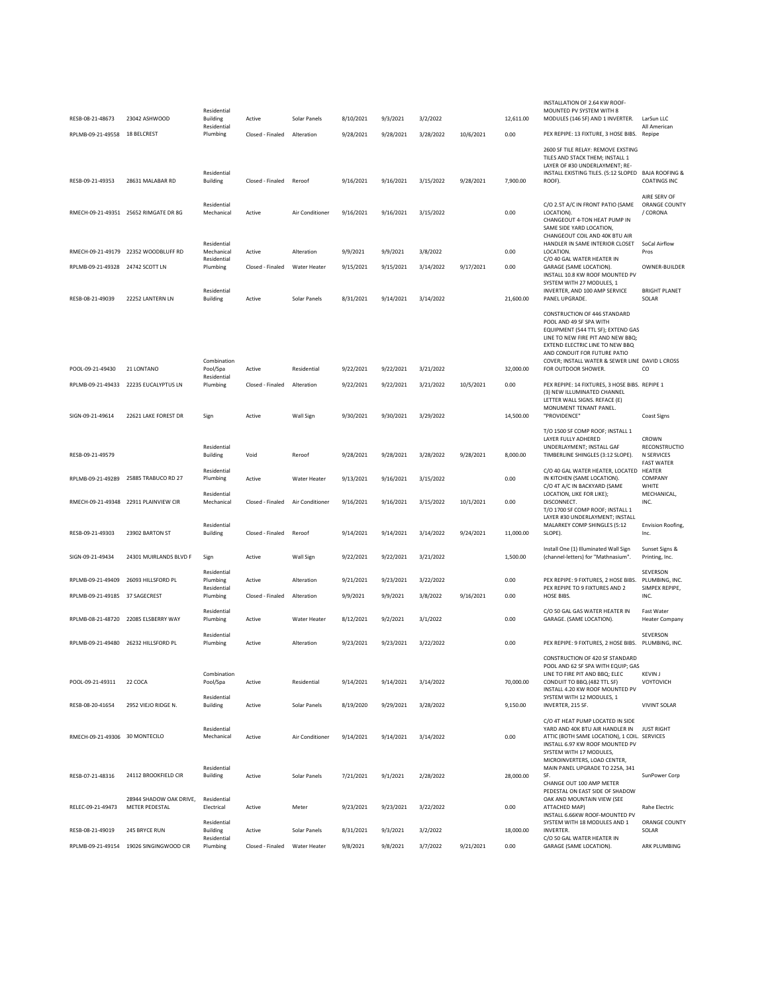|                                      |                                                               | Residential                    |                            |                         |                        |                        |                        |           |                   | INSTALLATION OF 2.64 KW ROOF-<br>MOUNTED PV SYSTEM WITH 8                                                                                                                                                                                                                       |                                                           |
|--------------------------------------|---------------------------------------------------------------|--------------------------------|----------------------------|-------------------------|------------------------|------------------------|------------------------|-----------|-------------------|---------------------------------------------------------------------------------------------------------------------------------------------------------------------------------------------------------------------------------------------------------------------------------|-----------------------------------------------------------|
| RESB-08-21-48673                     | 23042 ASHWOOD                                                 | Building                       | Active                     | Solar Panels            | 8/10/2021              | 9/3/2021               | 3/2/2022               |           | 12.611.00         | MODULES (146 SF) AND 1 INVERTER.                                                                                                                                                                                                                                                | LarSun LLC                                                |
| RPLMB-09-21-49558                    | <b>18 BELCREST</b>                                            | Residential<br>Plumbing        | Closed - Finaled           | Alteration              | 9/28/2021              | 9/28/2021              | 3/28/2022              | 10/6/2021 | 0.00              | PEX REPIPE: 13 FIXTURE, 3 HOSE BIBS.                                                                                                                                                                                                                                            | All American<br>Repipe                                    |
|                                      |                                                               |                                |                            |                         |                        |                        |                        |           |                   | 2600 SF TILE RELAY: REMOVE EXSTING<br>TILES AND STACK THEM; INSTALL 1<br>LAYER OF #30 UNDERLAYMENT; RE-                                                                                                                                                                         |                                                           |
| RESB-09-21-49353                     | 28631 MALABAR RD                                              | Residential<br><b>Building</b> | Closed - Finaled           | Reroof                  | 9/16/2021              | 9/16/2021              | 3/15/2022              | 9/28/2021 | 7,900.00          | INSTALL EXISTING TILES. (5:12 SLOPED BAJA ROOFING &<br>ROOF).                                                                                                                                                                                                                   | COATINGS INC.                                             |
|                                      | RMECH-09-21-49351 25652 RIMGATE DR 8G                         | Residential<br>Mechanical      | Active                     | Air Conditioner         | 9/16/2021              | 9/16/2021              | 3/15/2022              |           | 0.00              | C/O 2.5T A/C IN FRONT PATIO (SAME<br>LOCATION).<br>CHANGEOUT 4-TON HEAT PUMP IN<br>SAME SIDE YARD LOCATION,<br>CHANGEOUT COIL AND 40K BTU AIR                                                                                                                                   | AIRE SERV OF<br>ORANGE COUNTY<br>/ CORONA                 |
|                                      | RMECH-09-21-49179 22352 WOODBLUFF RD                          | Residential<br>Mechanical      | Active                     | Alteration              | 9/9/2021               | 9/9/2021               | 3/8/2022               |           | 0.00              | HANDLER IN SAME INTERIOR CLOSET<br>LOCATION.                                                                                                                                                                                                                                    | SoCal Airflow<br>Pros                                     |
| RPLMB-09-21-49328 24742 SCOTT LN     |                                                               | Residential<br>Plumbing        | Closed - Finaled           | Water Heater            | 9/15/2021              | 9/15/2021              | 3/14/2022              | 9/17/2021 | 0.00              | C/O 40 GAL WATER HEATER IN<br>GARAGE (SAME LOCATION).<br>INSTALL 10.8 KW ROOF MOUNTED PV                                                                                                                                                                                        | OWNER-BUILDER                                             |
| RESB-08-21-49039                     | 22252 LANTERN LN                                              | Residential<br><b>Building</b> | Active                     | Solar Panels            | 8/31/2021              | 9/14/2021              | 3/14/2022              |           | 21,600.00         | SYSTEM WITH 27 MODULES, 1<br>INVERTER, AND 100 AMP SERVICE<br>PANEL UPGRADE.                                                                                                                                                                                                    | <b>BRIGHT PLANET</b><br>SOLAR                             |
| POOL-09-21-49430                     | 21 LONTANO                                                    | Combination<br>Pool/Spa        | Active                     | Residential             | 9/22/2021              | 9/22/2021              | 3/21/2022              |           | 32.000.00         | CONSTRUCTION OF 446 STANDARD<br>POOL AND 49 SF SPA WITH<br>EQUIPMENT (544 TTL SF); EXTEND GAS<br>LINE TO NEW FIRE PIT AND NEW BBQ;<br>EXTEND ELECTRIC LINE TO NEW BBQ<br>AND CONDUIT FOR FUTURE PATIO<br>COVER; INSTALL WATER & SEWER LINE DAVID L CROSS<br>FOR OUTDOOR SHOWER. | <sub>co</sub>                                             |
|                                      |                                                               | Residential                    |                            |                         |                        |                        |                        |           |                   |                                                                                                                                                                                                                                                                                 |                                                           |
| SIGN-09-21-49614                     | RPLMB-09-21-49433 22235 EUCALYPTUS LN<br>22621 LAKE FOREST DR | Plumbing<br>Sign               | Closed - Finaled<br>Active | Alteration<br>Wall Sign | 9/22/2021<br>9/30/2021 | 9/22/2021<br>9/30/2021 | 3/21/2022<br>3/29/2022 | 10/5/2021 | 0.00<br>14,500.00 | PEX REPIPE: 14 FIXTURES, 3 HOSE BIBS. REPIPE 1<br>(3) NEW ILLUMINATED CHANNEL<br>LETTER WALL SIGNS. REFACE (E)<br>MONUMENT TENANT PANEL.<br>"PROVIDENCE"                                                                                                                        | <b>Coast Signs</b>                                        |
|                                      |                                                               |                                |                            |                         |                        |                        |                        |           |                   | T/O 1500 SF COMP ROOF; INSTALL 1                                                                                                                                                                                                                                                |                                                           |
| RESB-09-21-49579                     |                                                               | Residential<br><b>Building</b> | Void                       | Reroof                  | 9/28/2021              | 9/28/2021              | 3/28/2022              | 9/28/2021 | 8,000.00          | LAYER FULLY ADHERED<br>UNDERLAYMENT; INSTALL GAF<br>TIMBERLINE SHINGLES (3:12 SLOPE).                                                                                                                                                                                           | CROWN<br>RECONSTRUCTIO<br>N SERVICES<br><b>FAST WATER</b> |
|                                      | RPLMB-09-21-49289 25885 TRABUCO RD 27                         | Residential<br>Plumbing        | Active                     | <b>Water Heater</b>     | 9/13/2021              | 9/16/2021              | 3/15/2022              |           | 0.00              | C/O 40 GAL WATER HEATER, LOCATED<br>IN KITCHEN (SAME LOCATION).<br>C/O 4T A/C IN BACKYARD (SAME                                                                                                                                                                                 | HEATER<br>COMPANY<br>WHITE                                |
|                                      | RMECH-09-21-49348 22911 PLAINVIEW CIR                         | Residential<br>Mechanical      | Closed - Finaled           | Air Conditioner         | 9/16/2021              | 9/16/2021              | 3/15/2022              | 10/1/2021 | 0.00              | LOCATION, LIKE FOR LIKE);<br>DISCONNECT.<br>T/O 1700 SF COMP ROOF; INSTALL 1<br>LAYER #30 UNDERLAYMENT; INSTALL                                                                                                                                                                 | MECHANICAL,<br>INC.                                       |
| RESB-09-21-49303                     | 23902 BARTON ST                                               | Residential<br><b>Building</b> | Closed - Finaled           | Reroof                  | 9/14/2021              | 9/14/2021              | 3/14/2022              | 9/24/2021 | 11,000.00         | MALARKEY COMP SHINGLES (5:12<br>SLOPE).                                                                                                                                                                                                                                         | <b>Envision Roofing,</b><br>Inc.                          |
| SIGN-09-21-49434                     | 24301 MUIRLANDS BLVD F                                        | Sign                           | Active                     | Wall Sign               | 9/22/2021              | 9/22/2021              | 3/21/2022              |           | 1,500.00          | Install One (1) Illuminated Wall Sign<br>(channel-letters) for "Mathnasium".                                                                                                                                                                                                    | Sunset Signs &<br>Printing, Inc.                          |
| RPLMB-09-21-49409                    | 26093 HILLSFORD PL                                            | Residential<br>Plumbing        | Active                     | Alteration              | 9/21/2021              | 9/23/2021              | 3/22/2022              |           | 0.00              | PEX REPIPE: 9 FIXTURES, 2 HOSE BIBS.                                                                                                                                                                                                                                            | SEVERSON<br>PLUMBING, INC.                                |
| RPLMB-09-21-49185 37 SAGECREST       |                                                               | Residential<br>Plumbing        | Closed - Finaled           | Alteration              | 9/9/2021               | 9/9/2021               | 3/8/2022               | 9/16/2021 | 0.00              | PEX REPIPE TO 9 FIXTURES AND 2<br>HOSE BIBS.                                                                                                                                                                                                                                    | SIMPEX REPIPE,<br>INC.                                    |
|                                      | RPLMB-08-21-48720 22085 ELSBERRY WAY                          | Residential<br>Plumbing        | Active                     | Water Heater            | 8/12/2021              | 9/2/2021               | 3/1/2022               |           | 0.00              | C/O 50 GAL GAS WATER HEATER IN<br>GARAGE. (SAME LOCATION).                                                                                                                                                                                                                      | <b>Fast Water</b><br><b>Heater Company</b>                |
| RPLMB-09-21-49480 26232 HILLSFORD PL |                                                               | Residential<br>Plumbing        | Active                     | Alteration              | 9/23/2021              | 9/23/2021              | 3/22/2022              |           | 0.00              | PEX REPIPE: 9 FIXTURES, 2 HOSE BIBS. PLUMBING, INC.                                                                                                                                                                                                                             | SEVERSON                                                  |
| POOL-09-21-49311                     | 22 COCA                                                       | Combination<br>Pool/Spa        | Active                     | Residential             | 9/14/2021              | 9/14/2021              | 3/14/2022              |           | 70,000.00         | CONSTRUCTION OF 420 SF STANDARD<br>POOL AND 62 SF SPA WITH EQUIP; GAS<br>LINE TO FIRE PIT AND BBQ; ELEC<br>CONDUIT TO BBQ.(482 TTL SF)                                                                                                                                          | <b>KEVIN J</b><br>VOYTOVICH                               |
| RESB-08-20-41654                     | 2952 VIEJO RIDGE N.                                           | Residential<br><b>Building</b> | Active                     | Solar Panels            | 8/19/2020              | 9/29/2021              | 3/28/2022              |           | 9,150.00          | INSTALL 4.20 KW ROOF MOUNTED PV<br>SYSTEM WITH 12 MODULES, 1<br>INVERTER, 215 SF.                                                                                                                                                                                               | <b>VIVINT SOLAR</b>                                       |
| RMECH-09-21-49306 30 MONTECILO       |                                                               | Residential<br>Mechanical      | Active                     | Air Conditioner         | 9/14/2021              | 9/14/2021              | 3/14/2022              |           | 0.00              | C/O 4T HEAT PUMP LOCATED IN SIDE<br>YARD AND 40K BTU AIR HANDLER IN<br>ATTIC (BOTH SAME LOCATION), 1 COIL. SERVICES<br>INSTALL 6.97 KW ROOF MOUNTED PV<br>SYSTEM WITH 17 MODULES,<br>MICROINVERTERS, LOAD CENTER,<br>MAIN PANEL UPGRADE TO 225A, 341                            | <b>JUST RIGHT</b>                                         |
| RESB-07-21-48316                     | 24112 BROOKFIELD CIR                                          | Residential<br><b>Building</b> | Active                     | Solar Panels            | 7/21/2021              | 9/1/2021               | 2/28/2022              |           | 28,000.00         | SF.<br>CHANGE OUT 100 AMP METER<br>PEDESTAL ON EAST SIDE OF SHADOW                                                                                                                                                                                                              | SunPower Corp                                             |
| RELEC-09-21-49473                    | 28944 SHADOW OAK DRIVE,<br>METER PEDESTAL                     | Residential<br>Electrical      | Active                     | Meter                   | 9/23/2021              | 9/23/2021              | 3/22/2022              |           | 0.00              | OAK AND MOUNTAIN VIEW (SEE<br>ATTACHED MAP)<br>INSTALL 6.66KW ROOF-MOUNTED PV                                                                                                                                                                                                   | <b>Rahe Electric</b>                                      |
| RESB-08-21-49019                     | 245 BRYCE RUN                                                 | Residential<br><b>Building</b> | Active                     | Solar Panels            | 8/31/2021              | 9/3/2021               | 3/2/2022               |           | 18,000.00         | SYSTEM WITH 18 MODULES AND 1<br><b>INVERTER.</b>                                                                                                                                                                                                                                | ORANGE COUNTY<br>SOLAR                                    |
|                                      | RPLMB-09-21-49154 19026 SINGINGWOOD CIR                       | Residential<br>Plumbing        | Closed - Finaled           | Water Heater            | 9/8/2021               | 9/8/2021               | 3/7/2022               | 9/21/2021 | 0.00              | C/O 50 GAL WATER HEATER IN<br>GARAGE (SAME LOCATION).                                                                                                                                                                                                                           | ARK PLUMBING                                              |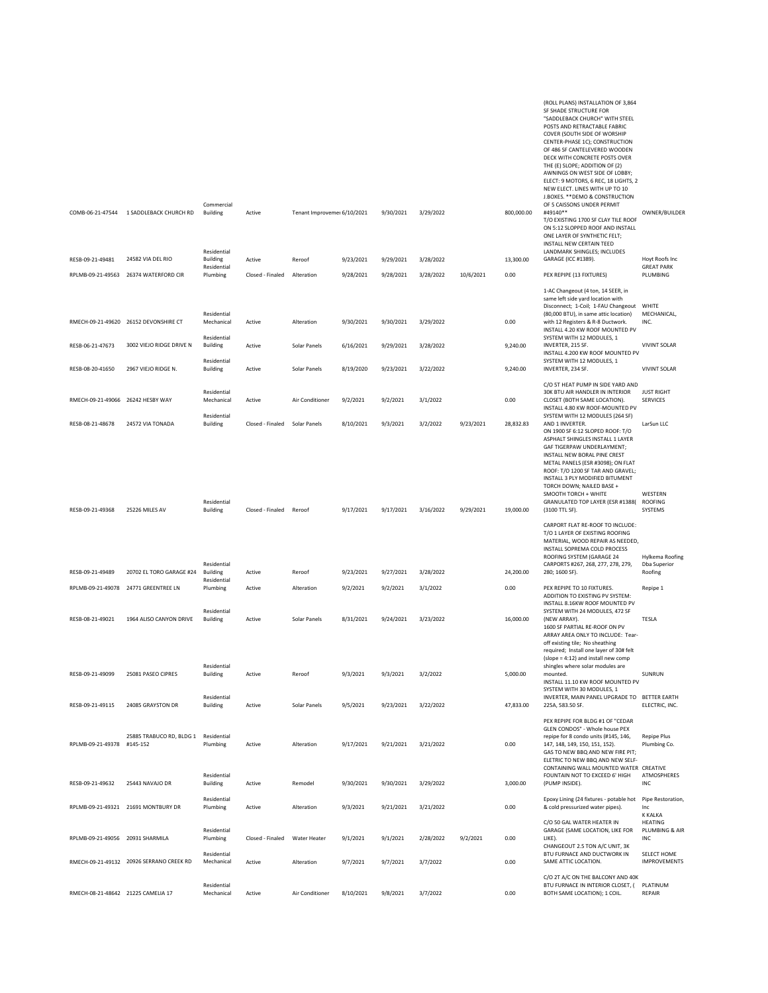| COMB-06-21-47544                     | 1 SADDLEBACK CHURCH RD                                            | Commercial<br><b>Building</b>                                    | Active                                      | Tenant Improvemer 6/10/2021 |                        | 9/30/2021              | 3/29/2022              |                        | 800,000.00             | (ROLL PLANS) INSTALLATION OF 3,864<br>SF SHADE STRUCTURE FOR<br>"SADDLEBACK CHURCH" WITH STEEL<br>POSTS AND RETRACTABLE FABRIC<br>COVER (SOUTH SIDE OF WORSHIP<br>CENTER-PHASE 1C); CONSTRUCTION<br>OF 486 SF CANTELEVERED WOODEN<br>DECK WITH CONCRETE POSTS OVER<br>THE (E) SLOPE; ADDITION OF (2)<br>AWNINGS ON WEST SIDE OF LOBBY;<br>ELECT: 9 MOTORS, 6 REC, 18 LIGHTS, 2<br>NEW ELECT. LINES WITH UP TO 10<br>J.BOXES. ** DEMO & CONSTRUCTION<br>OF 5 CAISSONS UNDER PERMIT<br>#49140**<br>T/O EXISTING 1700 SF CLAY TILE ROOF<br>ON 5:12 SLOPPED ROOF AND INSTALL<br>ONE LAYER OF SYNTHETIC FELT;<br>INSTALL NEW CERTAIN TEED | OWNER/BUILDER                                       |
|--------------------------------------|-------------------------------------------------------------------|------------------------------------------------------------------|---------------------------------------------|-----------------------------|------------------------|------------------------|------------------------|------------------------|------------------------|--------------------------------------------------------------------------------------------------------------------------------------------------------------------------------------------------------------------------------------------------------------------------------------------------------------------------------------------------------------------------------------------------------------------------------------------------------------------------------------------------------------------------------------------------------------------------------------------------------------------------------------|-----------------------------------------------------|
| RESB-09-21-49481                     | 24582 VIA DEL RIO                                                 | Residential<br>Building<br>Residential                           | Active                                      | Reroof                      | 9/23/2021              | 9/29/2021              | 3/28/2022              |                        | 13,300.00              | LANDMARK SHINGLES; INCLUDES<br>GARAGE (ICC #1389).                                                                                                                                                                                                                                                                                                                                                                                                                                                                                                                                                                                   | Hoyt Roofs Inc<br><b>GREAT PARK</b>                 |
|                                      | RPLMB-09-21-49563 26374 WATERFORD CIR                             | Plumbing                                                         | Closed - Finaled                            | Alteration                  | 9/28/2021              | 9/28/2021              | 3/28/2022              | 10/6/2021              | 0.00                   | PEX REPIPE (13 FIXTURES)                                                                                                                                                                                                                                                                                                                                                                                                                                                                                                                                                                                                             | PLUMBING                                            |
| RESB-06-21-47673                     | RMECH-09-21-49620 26152 DEVONSHIRE CT<br>3002 VIEJO RIDGE DRIVE N | Residential<br>Mechanical<br>Residential<br><b>Building</b>      | Active<br>Active                            | Alteration<br>Solar Panels  | 9/30/2021<br>6/16/2021 | 9/30/2021<br>9/29/2021 | 3/29/2022<br>3/28/2022 |                        | 0.00<br>9,240.00       | 1-AC Changeout (4 ton, 14 SEER, in<br>same left side yard location with<br>Disconnect; 1-Coil; 1-FAU Changeout<br>(80,000 BTU), in same attic location)<br>with 12 Registers & R-8 Ductwork.<br>INSTALL 4.20 KW ROOF MOUNTED PV<br>SYSTEM WITH 12 MODULES, 1<br>INVERTER, 215 SF.<br>INSTALL 4.200 KW ROOF MOUNTED PV                                                                                                                                                                                                                                                                                                                | WHITE<br>MECHANICAL,<br>INC.<br><b>VIVINT SOLAR</b> |
| RESB-08-20-41650                     | 2967 VIEJO RIDGE N.                                               | Residential<br><b>Building</b>                                   | Active                                      | Solar Panels                | 8/19/2020              | 9/23/2021              | 3/22/2022              |                        | 9,240.00               | SYSTEM WITH 12 MODULES, 1<br>INVERTER, 234 SF.                                                                                                                                                                                                                                                                                                                                                                                                                                                                                                                                                                                       | <b>VIVINT SOLAR</b>                                 |
| RMECH-09-21-49066 26242 HESBY WAY    |                                                                   | Residential<br>Mechanical                                        | Active                                      | Air Conditioner             | 9/2/2021               | 9/2/2021               | 3/1/2022               |                        | 0.00                   | C/O 5T HEAT PUMP IN SIDE YARD AND<br>30K BTU AIR HANDLER IN INTERIOR<br>CLOSET (BOTH SAME LOCATION).<br>INSTALL 4.80 KW ROOF-MOUNTED PV                                                                                                                                                                                                                                                                                                                                                                                                                                                                                              | <b>JUST RIGHT</b><br><b>SERVICES</b>                |
| RESB-08-21-48678<br>RESB-09-21-49368 | 24572 VIA TONADA<br>25226 MILES AV                                | Residential<br><b>Building</b><br>Residential<br><b>Building</b> | Closed - Finaled<br>Closed - Finaled Reroof | Solar Panels                | 8/10/2021<br>9/17/2021 | 9/3/2021<br>9/17/2021  | 3/2/2022<br>3/16/2022  | 9/23/2021<br>9/29/2021 | 28,832.83<br>19,000.00 | SYSTEM WITH 12 MODULES (264 SF)<br>AND 1 INVERTER.<br>ON 1900 SF 6:12 SLOPED ROOF: T/O<br>ASPHALT SHINGLES INSTALL 1 LAYER<br>GAF TIGERPAW UNDERLAYMENT;<br>INSTALL NEW BORAL PINE CREST<br>METAL PANELS (ESR #3098); ON FLAT<br>ROOF: T/O 1200 SF TAR AND GRAVEL;<br>INSTALL 3 PLY MODIFIED BITUMENT<br>TORCH DOWN; NAILED BASE +<br>SMOOTH TORCH + WHITE<br>GRANULATED TOP LAYER (ESR #1388)<br>(3100 TTL SF).                                                                                                                                                                                                                     | LarSun LLC<br>WESTERN<br><b>ROOFING</b><br>SYSTEMS  |
|                                      |                                                                   | Residential                                                      |                                             |                             |                        |                        |                        |                        |                        | CARPORT FLAT RE-ROOF TO INCLUDE:<br>T/O 1 LAYER OF EXISTING ROOFING<br>MATERIAL, WOOD REPAIR AS NEEDED,<br>INSTALL SOPREMA COLD PROCESS<br>ROOFING SYSTEM (GARAGE 24<br>CARPORTS #267, 268, 277, 278, 279,                                                                                                                                                                                                                                                                                                                                                                                                                           | Hylkema Roofing<br>Dba Superior                     |
| RESB-09-21-49489                     | 20702 EL TORO GARAGE #24<br>RPLMB-09-21-49078 24771 GREENTREE LN  | <b>Building</b><br>Residential<br>Plumbing                       | Active                                      | Reroof                      | 9/23/2021<br>9/2/2021  | 9/27/2021<br>9/2/2021  | 3/28/2022<br>3/1/2022  |                        | 24,200.00<br>0.00      | 280; 1600 SF).<br>PEX REPIPE TO 10 FIXTURES.                                                                                                                                                                                                                                                                                                                                                                                                                                                                                                                                                                                         | Roofing                                             |
| RESB-08-21-49021                     | 1964 ALISO CANYON DRIVE                                           | Residential<br><b>Building</b>                                   | Active<br>Active                            | Alteration<br>Solar Panels  | 8/31/2021              | 9/24/2021              | 3/23/2022              |                        | 16,000.00              | ADDITION TO EXISTING PV SYSTEM:<br>INSTALL 8.16KW ROOF MOUNTED PV<br>SYSTEM WITH 24 MODULES, 472 SF<br>(NEW ARRAY).<br>1600 SF PARTIAL RE-ROOF ON PV<br>ARRAY AREA ONLY TO INCLUDE: Tear-<br>off existing tile; No sheathing<br>required; Install one layer of 30# felt                                                                                                                                                                                                                                                                                                                                                              | Repipe 1<br>TESLA                                   |
| RESB-09-21-49099                     | 25081 PASEO CIPRES                                                | Residential<br><b>Building</b>                                   | Active                                      | Reroof                      | 9/3/2021               | 9/3/2021               | 3/2/2022               |                        | 5,000.00               | (slope = 4:12) and install new comp<br>shingles where solar modules are<br>mounted.<br>INSTALL 11.10 KW ROOF MOUNTED PV<br>SYSTEM WITH 30 MODULES, 1                                                                                                                                                                                                                                                                                                                                                                                                                                                                                 | SUNRUN                                              |
| RESB-09-21-49115                     | 24085 GRAYSTON DR                                                 | Residential<br>Building                                          | Active                                      | Solar Panels                | 9/5/2021               | 9/23/2021              | 3/22/2022              |                        | 47,833.00              | INVERTER, MAIN PANEL UPGRADE TO BETTER EARTH<br>225A, 583.50 SF.                                                                                                                                                                                                                                                                                                                                                                                                                                                                                                                                                                     | ELECTRIC, INC.                                      |
| RPLMB-09-21-49378 #145-152           | 25885 TRABUCO RD, BLDG 1                                          | Residential<br>Plumbing                                          | Active                                      | Alteration                  | 9/17/2021              | 9/21/2021              | 3/21/2022              |                        | 0.00                   | PEX REPIPE FOR BLDG #1 OF "CEDAR<br>GLEN CONDOS" - Whole house PEX<br>repipe for 8 condo units (#145, 146,<br>147, 148, 149, 150, 151, 152).<br>GAS TO NEW BBQ AND NEW FIRE PIT;<br>ELETRIC TO NEW BBQ AND NEW SELF-<br>CONTAINING WALL MOUNTED WATER CREATIVE                                                                                                                                                                                                                                                                                                                                                                       | Repipe Plus<br>Plumbing Co.                         |
| RESB-09-21-49632                     | 25443 NAVAJO DR                                                   | Residential<br><b>Building</b>                                   | Active                                      | Remodel                     | 9/30/2021              | 9/30/2021              | 3/29/2022              |                        | 3,000.00               | FOUNTAIN NOT TO EXCEED 6' HIGH<br>(PUMP INSIDE).                                                                                                                                                                                                                                                                                                                                                                                                                                                                                                                                                                                     | ATMOSPHERES<br><b>INC</b>                           |
|                                      | RPLMB-09-21-49321 21691 MONTBURY DR                               | Residential<br>Plumbing                                          | Active                                      | Alteration                  | 9/3/2021               | 9/21/2021              | 3/21/2022              |                        | 0.00                   | Epoxy Lining (24 fixtures - potable hot<br>& cold pressurized water pipes).                                                                                                                                                                                                                                                                                                                                                                                                                                                                                                                                                          | Pipe Restoration,<br>Inc<br><b>K KALKA</b>          |
| RPLMB-09-21-49056 20931 SHARMILA     |                                                                   | Residential<br>Plumbing                                          | Closed - Finaled                            | Water Heater                | 9/1/2021               | 9/1/2021               | 2/28/2022              | 9/2/2021               | 0.00                   | C/O 50 GAL WATER HEATER IN<br>GARAGE (SAME LOCATION, LIKE FOR<br>LIKE).<br>CHANGEOUT 2.5 TON A/C UNIT, 3K                                                                                                                                                                                                                                                                                                                                                                                                                                                                                                                            | HEATING<br>PLUMBING & AIR<br>INC                    |
|                                      | RMECH-09-21-49132 20926 SERRANO CREEK RD                          | Residential<br>Mechanical                                        | Active                                      | Alteration                  | 9/7/2021               | 9/7/2021               | 3/7/2022               |                        | 0.00                   | BTU FURNACE AND DUCTWORK IN<br>SAME ATTIC LOCATION.                                                                                                                                                                                                                                                                                                                                                                                                                                                                                                                                                                                  | SELECT HOME<br><b>IMPROVEMENTS</b>                  |
| RMECH-08-21-48642 21225 CAMELIA 17   |                                                                   | Residential<br>Mechanical                                        | Active                                      | Air Conditioner             | 8/10/2021              | 9/8/2021               | 3/7/2022               |                        | 0.00                   | C/O 2T A/C ON THE BALCONY AND 40K<br>BTU FURNACE IN INTERIOR CLOSET, (<br>BOTH SAME LOCATION); 1 COIL.                                                                                                                                                                                                                                                                                                                                                                                                                                                                                                                               | PLATINUM<br>REPAIR                                  |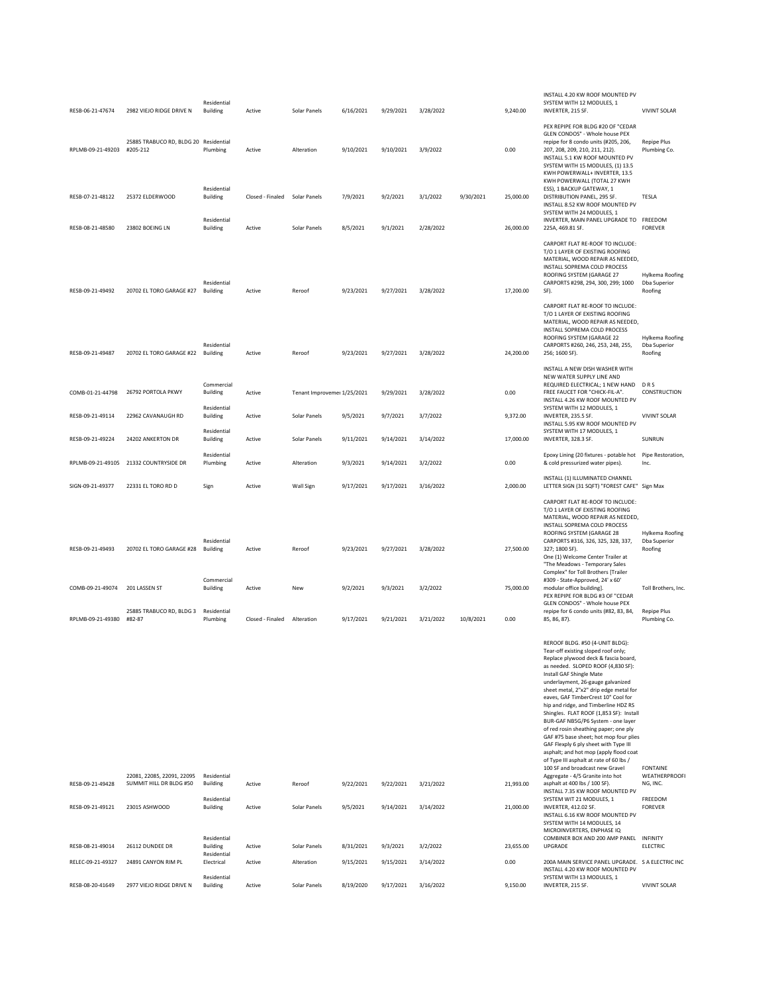| RESB-06-21-47674  | 2982 VIEJO RIDGE DRIVE N                          | <b>Residential</b><br><b>Building</b> | Active           | Solar Panels                | 6/16/2021 | 9/29/2021 | 3/28/2022 |           | 9,240.00  | INSTALL 4.20 KW ROOF MOUNTED PV<br>SYSTEM WITH 12 MODULES. 1<br>INVERTER, 215 SF.                                                                                                                                                                                                                                                                                                                                                                                                                                                                                                                                                                                                                                       | <b>VIVINT SOLAR</b>                               |
|-------------------|---------------------------------------------------|---------------------------------------|------------------|-----------------------------|-----------|-----------|-----------|-----------|-----------|-------------------------------------------------------------------------------------------------------------------------------------------------------------------------------------------------------------------------------------------------------------------------------------------------------------------------------------------------------------------------------------------------------------------------------------------------------------------------------------------------------------------------------------------------------------------------------------------------------------------------------------------------------------------------------------------------------------------------|---------------------------------------------------|
| RPLMB-09-21-49203 | 25885 TRABUCO RD, BLDG 20 Residential<br>#205-212 | Plumbing                              | Active           | Alteration                  | 9/10/2021 | 9/10/2021 | 3/9/2022  |           | 0.00      | PEX REPIPE FOR BLDG #20 OF "CEDAR<br>GLEN CONDOS" - Whole house PEX<br>repipe for 8 condo units (#205, 206,<br>207, 208, 209, 210, 211, 212).<br>INSTALL 5.1 KW ROOF MOUNTED PV                                                                                                                                                                                                                                                                                                                                                                                                                                                                                                                                         | <b>Repipe Plus</b><br>Plumbing Co.                |
| RESB-07-21-48122  | 25372 ELDERWOOD                                   | Residential<br><b>Building</b>        | Closed - Finaled | Solar Panels                | 7/9/2021  | 9/2/2021  | 3/1/2022  | 9/30/2021 | 25,000.00 | SYSTEM WITH 15 MODULES, (1) 13.5<br>KWH POWERWALL+ INVERTER, 13.5<br>KWH POWERWALL (TOTAL 27 KWH<br>ESS), 1 BACKUP GATEWAY, 1<br>DISTRIBUTION PANEL, 295 SF.<br>INSTALL 8.52 KW ROOF MOUNTED PV                                                                                                                                                                                                                                                                                                                                                                                                                                                                                                                         | TESLA                                             |
| RESB-08-21-48580  | 23802 BOFING LN                                   | Residential<br><b>Building</b>        | Active           | Solar Panels                | 8/5/2021  | 9/1/2021  | 2/28/2022 |           | 26,000.00 | SYSTEM WITH 24 MODULES, 1<br>INVERTER, MAIN PANEL UPGRADE TO FREEDOM<br>225A, 469.81 SF.                                                                                                                                                                                                                                                                                                                                                                                                                                                                                                                                                                                                                                | <b>FOREVER</b>                                    |
| RESB-09-21-49492  | 20702 EL TORO GARAGE #27                          | Residential<br><b>Building</b>        | Active           | Reroof                      | 9/23/2021 | 9/27/2021 | 3/28/2022 |           | 17,200.00 | CARPORT FLAT RE-ROOF TO INCLUDE:<br>T/O 1 LAYER OF EXISTING ROOFING<br>MATERIAL, WOOD REPAIR AS NEEDED,<br>INSTALL SOPREMA COLD PROCESS<br>ROOFING SYSTEM (GARAGE 27<br>CARPORTS #298, 294, 300, 299; 1000<br>SF).                                                                                                                                                                                                                                                                                                                                                                                                                                                                                                      | Hylkema Roofing<br><b>Dba Superior</b><br>Roofing |
| RESB-09-21-49487  | 20702 EL TORO GARAGE #22                          | Residential<br>Building               | Active           | Reroof                      | 9/23/2021 | 9/27/2021 | 3/28/2022 |           | 24,200.00 | CARPORT FLAT RE-ROOF TO INCLUDE:<br>T/O 1 LAYER OF EXISTING ROOFING<br>MATERIAL, WOOD REPAIR AS NEEDED,<br>INSTALL SOPREMA COLD PROCESS<br>ROOFING SYSTEM (GARAGE 22<br>CARPORTS #260, 246, 253, 248, 255,<br>256; 1600 SF).                                                                                                                                                                                                                                                                                                                                                                                                                                                                                            | Hylkema Roofing<br>Dba Superior<br>Roofing        |
|                   |                                                   | Commercial                            |                  |                             |           |           |           |           |           | INSTALL A NEW DISH WASHER WITH<br>NEW WATER SUPPLY LINE AND<br>REQUIRED ELECTRICAL; 1 NEW HAND                                                                                                                                                                                                                                                                                                                                                                                                                                                                                                                                                                                                                          | DRS                                               |
| COMB-01-21-44798  | 26792 PORTOLA PKWY                                | <b>Building</b><br>Residential        | Active           | Tenant Improveme: 1/25/2021 |           | 9/29/2021 | 3/28/2022 |           | 0.00      | FREE FAUCET FOR "CHICK-FIL-A".<br>INSTALL 4.26 KW ROOF MOUNTED PV<br>SYSTEM WITH 12 MODULES, 1                                                                                                                                                                                                                                                                                                                                                                                                                                                                                                                                                                                                                          | CONSTRUCTION                                      |
| RESB-09-21-49114  | 22962 CAVANAUGH RD                                | <b>Building</b><br>Residential        | Active           | Solar Panels                | 9/5/2021  | 9/7/2021  | 3/7/2022  |           | 9,372.00  | INVERTER, 235.5 SF.<br>INSTALL 5.95 KW ROOF MOUNTED PV<br>SYSTEM WITH 17 MODULES, 1                                                                                                                                                                                                                                                                                                                                                                                                                                                                                                                                                                                                                                     | <b>VIVINT SOLAR</b>                               |
| RESB-09-21-49224  | 24202 ANKERTON DR                                 | <b>Building</b><br>Residential        | Active           | Solar Panels                | 9/11/2021 | 9/14/2021 | 3/14/2022 |           | 17,000.00 | INVERTER, 328.3 SF.<br>Epoxy Lining (20 fixtures - potable hot                                                                                                                                                                                                                                                                                                                                                                                                                                                                                                                                                                                                                                                          | SUNRUN<br>Pipe Restoration,                       |
| RPLMB-09-21-49105 | 21332 COUNTRYSIDE DR                              | Plumbing                              | Active           | Alteration                  | 9/3/2021  | 9/14/2021 | 3/2/2022  |           | 0.00      | & cold pressurized water pipes).                                                                                                                                                                                                                                                                                                                                                                                                                                                                                                                                                                                                                                                                                        | Inc.                                              |
| SIGN-09-21-49377  | 22331 EL TORO RD D                                | Sign                                  | Active           | Wall Sign                   | 9/17/2021 | 9/17/2021 | 3/16/2022 |           | 2,000.00  | INSTALL (1) ILLUMINATED CHANNEL<br>LETTER SIGN (31 SQFT) "FOREST CAFE" Sign Max                                                                                                                                                                                                                                                                                                                                                                                                                                                                                                                                                                                                                                         |                                                   |
| RESB-09-21-49493  | 20702 EL TORO GARAGE #28                          | Residential<br><b>Building</b>        | Active           | Reroof                      | 9/23/2021 | 9/27/2021 | 3/28/2022 |           | 27,500.00 | CARPORT FLAT RE-ROOF TO INCLUDE:<br>T/O 1 LAYER OF EXISTING ROOFING<br>MATERIAL, WOOD REPAIR AS NEEDED,<br>INSTALL SOPREMA COLD PROCESS<br>ROOFING SYSTEM (GARAGE 28<br>CARPORTS #316, 326, 325, 328, 337,<br>327; 1800 SF).<br>One (1) Welcome Center Trailer at<br>"The Meadows - Temporary Sales<br>Complex" for Toll Brothers [Trailer                                                                                                                                                                                                                                                                                                                                                                              | Hylkema Roofing<br><b>Dba Superior</b><br>Roofing |
| COMB-09-21-49074  | 201 LASSEN ST                                     | Commercial<br><b>Building</b>         | Active           | New                         | 9/2/2021  | 9/3/2021  | 3/2/2022  |           | 75,000.00 | #309 - State-Approved, 24' x 60'<br>modular office building].<br>PEX REPIPE FOR BLDG #3 OF "CEDAR                                                                                                                                                                                                                                                                                                                                                                                                                                                                                                                                                                                                                       | Toll Brothers, Inc.                               |
| RPLMB-09-21-49380 | 25885 TRABUCO RD, BLDG 3<br>#82-87                | Residential<br>Plumbing               | Closed - Finaled | Alteration                  | 9/17/2021 | 9/21/2021 | 3/21/2022 | 10/8/2021 | 0.00      | GLEN CONDOS" - Whole house PEX<br>repipe for 6 condo units (#82, 83, 84,<br>85, 86, 87).                                                                                                                                                                                                                                                                                                                                                                                                                                                                                                                                                                                                                                | Repipe Plus<br>Plumbing Co.                       |
|                   | 22081, 22085, 22091, 22095                        | Residential                           |                  |                             |           |           |           |           |           | REROOF BLDG. #50 (4-UNIT BLDG):<br>Tear-off existing sloped roof only;<br>Replace plywood deck & fascia board,<br>as needed. SLOPED ROOF (4,830 SF):<br>Install GAF Shingle Mate<br>underlayment, 26-gauge galvanized<br>sheet metal, 2"x2" drip edge metal for<br>eaves, GAF TimberCrest 10" Cool for<br>hip and ridge, and Timberline HDZ RS<br>Shingles. FLAT ROOF (1,853 SF): Install<br>BUR-GAF NB5G/P6 System - one layer<br>of red rosin sheathing paper; one ply<br>GAF #75 base sheet; hot mop four plies<br>GAF Flexply 6 ply sheet with Type III<br>asphalt; and hot mop (apply flood coat<br>of Type III asphalt at rate of 60 lbs /<br>100 SF and broadcast new Gravel<br>Aggregate - 4/5 Granite into hot | <b>FONTAINE</b><br><b>WEATHERPROOFI</b>           |
| RESB-09-21-49428  | SUMMIT HILL DR BLDG #50                           | <b>Building</b>                       | Active           | Reroof                      | 9/22/2021 | 9/22/2021 | 3/21/2022 |           | 21,993.00 | asphalt at 400 lbs / 100 SF).<br>INSTALL 7.35 KW ROOF MOUNTED PV                                                                                                                                                                                                                                                                                                                                                                                                                                                                                                                                                                                                                                                        | NG, INC.                                          |
| RESB-09-21-49121  | 23015 ASHWOOD                                     | Residential<br><b>Building</b>        | Active           | Solar Panels                | 9/5/2021  | 9/14/2021 | 3/14/2022 |           | 21,000.00 | SYSTEM WIT 21 MODULES, 1<br>INVERTER, 412.02 SF.<br>INSTALL 6.16 KW ROOF MOUNTED PV<br>SYSTEM WITH 14 MODULES, 14<br>MICROINVERTERS, ENPHASE IQ                                                                                                                                                                                                                                                                                                                                                                                                                                                                                                                                                                         | FREEDOM<br><b>FOREVER</b>                         |
| RESB-08-21-49014  | 26112 DUNDEE DR                                   | Residential<br><b>Building</b>        | Active           | Solar Panels                | 8/31/2021 | 9/3/2021  | 3/2/2022  |           | 23,655.00 | COMBINER BOX AND 200 AMP PANEL INFINITY<br><b>UPGRADE</b>                                                                                                                                                                                                                                                                                                                                                                                                                                                                                                                                                                                                                                                               | <b>ELECTRIC</b>                                   |
| RELEC-09-21-49327 | 24891 CANYON RIM PL                               | Residential<br>Electrical             | Active           | Alteration                  | 9/15/2021 | 9/15/2021 | 3/14/2022 |           | 0.00      | 200A MAIN SERVICE PANEL UPGRADE. S A ELECTRIC INC<br>INSTALL 4.20 KW ROOF MOUNTED PV                                                                                                                                                                                                                                                                                                                                                                                                                                                                                                                                                                                                                                    |                                                   |
| RESB-08-20-41649  | 2977 VIEJO RIDGE DRIVE N                          | Residential<br><b>Building</b>        | Active           | Solar Panels                | 8/19/2020 | 9/17/2021 | 3/16/2022 |           | 9,150.00  | SYSTEM WITH 13 MODULES, 1<br>INVERTER, 215 SF.                                                                                                                                                                                                                                                                                                                                                                                                                                                                                                                                                                                                                                                                          | <b>VIVINT SOLAR</b>                               |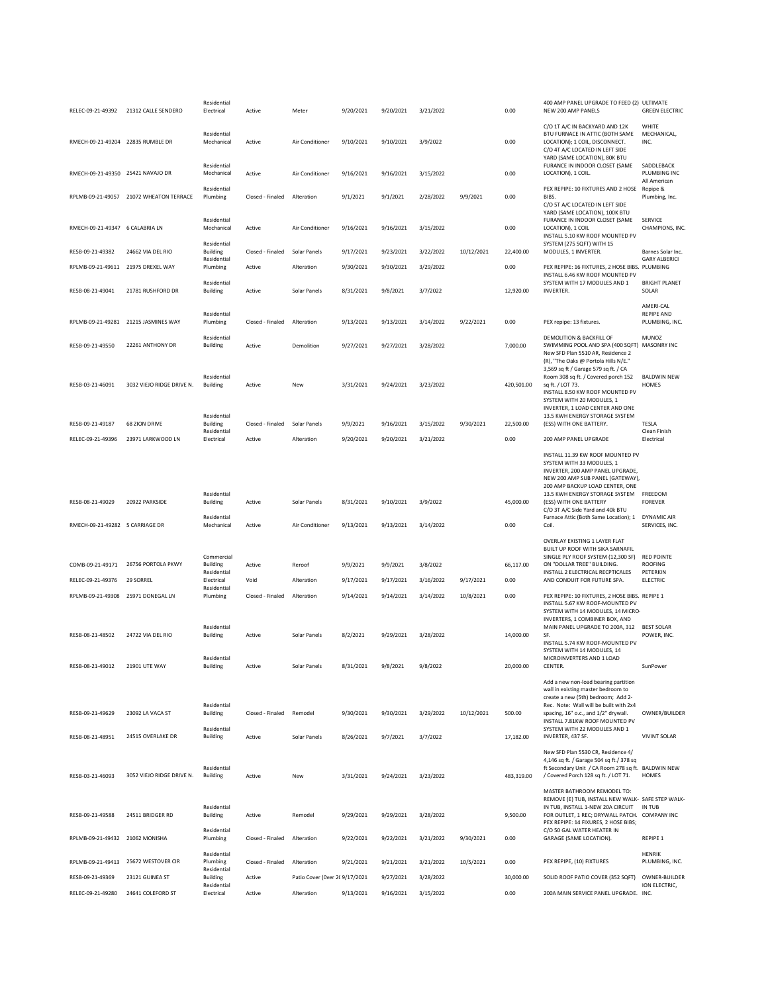| RELEC-09-21-49392                                   | 21312 CALLE SENDERO                     | Residential<br>Electrical                                   | Active           | Meter                           | 9/20/2021              | 9/20/2021              | 3/21/2022             |            | 0.00              | 400 AMP PANEL UPGRADE TO FEED (2) ULTIMATE<br>NEW 200 AMP PANELS                                                                                                                                                                                                                                                           | <b>GREEN ELECTRIC</b>                                      |
|-----------------------------------------------------|-----------------------------------------|-------------------------------------------------------------|------------------|---------------------------------|------------------------|------------------------|-----------------------|------------|-------------------|----------------------------------------------------------------------------------------------------------------------------------------------------------------------------------------------------------------------------------------------------------------------------------------------------------------------------|------------------------------------------------------------|
| RMECH-09-21-49204 22835 RUMBLE DR                   |                                         | Residential<br>Mechanical                                   | Active           | Air Conditioner                 | 9/10/2021              | 9/10/2021              | 3/9/2022              |            | 0.00              | C/O 1T A/C IN BACKYARD AND 12K<br>BTU FURNACE IN ATTIC (BOTH SAME<br>LOCATION); 1 COIL, DISCONNECT.<br>C/O 4T A/C LOCATED IN LEFT SIDE                                                                                                                                                                                     | WHITE<br>MECHANICAL,<br>INC.                               |
| RMECH-09-21-49350 25421 NAVAJO DR                   |                                         | Residential<br>Mechanical                                   | Active           | Air Conditioner                 | 9/16/2021              | 9/16/2021              | 3/15/2022             |            | 0.00              | YARD (SAME LOCATION), 80K BTU<br>FURANCE IN INDOOR CLOSET (SAME<br>LOCATION), 1 COIL.                                                                                                                                                                                                                                      | SADDLEBACK<br>PLUMBING INC<br>All American                 |
|                                                     | RPLMB-09-21-49057 21072 WHEATON TERRACE | Residential<br>Plumbing                                     | Closed - Finaled | Alteration                      | 9/1/2021               | 9/1/2021               | 2/28/2022             | 9/9/2021   | 0.00              | PEX REPIPE: 10 FIXTURES AND 2 HOSE<br>BIBS.<br>C/O 5T A/C LOCATED IN LEFT SIDE                                                                                                                                                                                                                                             | Repipe &<br>Plumbing, Inc.                                 |
| RMECH-09-21-49347 6 CALABRIA LN                     |                                         | Residential<br>Mechanical                                   | Active           | Air Conditioner                 | 9/16/2021              | 9/16/2021              | 3/15/2022             |            | 0.00              | YARD (SAME LOCATION), 100K BTU<br>FURANCE IN INDOOR CLOSET (SAME<br>LOCATION), 1 COIL<br>INSTALL 5.10 KW ROOF MOUNTED PV                                                                                                                                                                                                   | <b>SERVICE</b><br>CHAMPIONS, INC                           |
| RESB-09-21-49382                                    | 24662 VIA DEL RIO                       | Residential<br><b>Building</b>                              | Closed - Finaled | Solar Panels                    | 9/17/2021              | 9/23/2021              | 3/22/2022             | 10/12/2021 | 22,400.00         | SYSTEM (275 SQFT) WITH 15<br>MODULES, 1 INVERTER.                                                                                                                                                                                                                                                                          | Barnes Solar Inc.                                          |
| RPLMB-09-21-49611 21975 DREXEL WAY                  |                                         | Residential<br>Plumbing                                     | Active           | Alteration                      | 9/30/2021              | 9/30/2021              | 3/29/2022             |            | 0.00              | PEX REPIPE: 16 FIXTURES, 2 HOSE BIBS. PLUMBING                                                                                                                                                                                                                                                                             | <b>GARY ALBERICI</b>                                       |
| RESB-08-21-49041                                    | 21781 RUSHFORD DR                       | Residential<br><b>Building</b>                              | Active           | Solar Panels                    | 8/31/2021              | 9/8/2021               | 3/7/2022              |            | 12,920.00         | INSTALL 6.46 KW ROOF MOUNTED PV<br>SYSTEM WITH 17 MODULES AND 1<br><b>INVERTER.</b>                                                                                                                                                                                                                                        | <b>BRIGHT PLANET</b><br>SOLAR                              |
|                                                     | RPLMB-09-21-49281 21215 JASMINES WAY    | Residential<br>Plumbing                                     | Closed - Finaled | Alteration                      | 9/13/2021              | 9/13/2021              | 3/14/2022             | 9/22/2021  | 0.00              | PEX repipe: 13 fixtures.                                                                                                                                                                                                                                                                                                   | AMERI-CAL<br><b>REPIPE AND</b><br>PLUMBING, INC.           |
| RESB-09-21-49550                                    | 22261 ANTHONY DR                        | Residential<br>Building                                     | Active           | Demolition                      | 9/27/2021              | 9/27/2021              | 3/28/2022             |            | 7,000.00          | DEMOLITION & BACKFILL OF<br>SWIMMING POOL AND SPA (400 SQFT) MASONRY INC<br>New SFD Plan 5510 AR, Residence 2                                                                                                                                                                                                              | MUNOZ                                                      |
| RFSB-03-21-46091                                    | 3032 VIEJO RIDGE DRIVE N.               | <b>Residential</b><br><b>Building</b><br>Residential        | Active           | New                             | 3/31/2021              | 9/24/2021              | 3/23/2022             |            | 420,501.00        | (R), "The Oaks @ Portola Hills N/E."<br>3,569 sq ft / Garage 579 sq ft. / CA<br>Room 308 sq ft. / Covered porch 152<br>sq ft. / LOT 73.<br>INSTALL 8.50 KW ROOF MOUNTED PV<br>SYSTEM WITH 20 MODULES, 1<br>INVERTER, 1 LOAD CENTER AND ONE<br>13.5 KWH ENERGY STORAGE SYSTEM                                               | <b>BALDWIN NEW</b><br>HOMES                                |
| RESB-09-21-49187                                    | <b>68 ZION DRIVE</b>                    | <b>Building</b><br>Residential                              | Closed - Finaled | Solar Panels                    | 9/9/2021               | 9/16/2021              | 3/15/2022             | 9/30/2021  | 22,500.00         | (ESS) WITH ONE BATTERY.                                                                                                                                                                                                                                                                                                    | TESLA<br>Clean Finish                                      |
| RELEC-09-21-49396                                   | 23971 LARKWOOD LN                       | Electrical                                                  | Active           | Alteration                      | 9/20/2021              | 9/20/2021              | 3/21/2022             |            | 0.00              | 200 AMP PANEL UPGRADE                                                                                                                                                                                                                                                                                                      | Electrical                                                 |
| RESB-08-21-49029<br>RMECH-09-21-49282 5 CARRIAGE DR | 20922 PARKSIDE                          | Residential<br><b>Building</b><br>Residential<br>Mechanical | Active<br>Active | Solar Panels<br>Air Conditioner | 8/31/2021<br>9/13/2021 | 9/10/2021<br>9/13/2021 | 3/9/2022<br>3/14/2022 |            | 45,000.00<br>0.00 | INSTALL 11.39 KW ROOF MOUNTED PV<br>SYSTEM WITH 33 MODULES, 1<br>INVERTER, 200 AMP PANEL UPGRADE,<br>NEW 200 AMP SUB PANEL (GATEWAY),<br>200 AMP BACKUP LOAD CENTER, ONE<br>13.5 KWH ENERGY STORAGE SYSTEM<br>(ESS) WITH ONE BATTERY<br>C/O 3T A/C Side Yard and 40k BTU<br>Furnace Attic (Both Same Location); 1<br>Coil. | FREEDOM<br><b>FOREVER</b><br>DYNAMIC AIR<br>SERVICES, INC. |
|                                                     |                                         |                                                             |                  |                                 |                        |                        |                       |            |                   | OVERLAY EXISTING 1 LAYER FLAT<br>BUILT UP ROOF WITH SIKA SARNAFIL                                                                                                                                                                                                                                                          |                                                            |
| COMB-09-21-49171                                    | 26756 PORTOLA PKWY                      | Commercial<br><b>Building</b>                               | Active           | Reroof                          | 9/9/2021               | 9/9/2021               | 3/8/2022              |            | 66,117.00         | SINGLE PLY ROOF SYSTEM (12,300 SF)<br>ON "DOLLAR TREE" BUILDING.                                                                                                                                                                                                                                                           | <b>RED POINTE</b><br><b>ROOFING</b>                        |
| RELEC-09-21-49376                                   | 29 SORREL                               | Residential<br>Electrical                                   | Void             | Alteration                      | 9/17/2021              | 9/17/2021              | 3/16/2022             | 9/17/2021  | 0.00              | INSTALL 2 ELECTRICAL RECPTICALES<br>AND CONDUIT FOR FUTURE SPA.                                                                                                                                                                                                                                                            | PETERKIN<br><b>ELECTRIC</b>                                |
| RPLMB-09-21-49308 25971 DONEGAL LN                  |                                         | Residential<br>Plumbing                                     | Closed - Finaled | Alteration                      | 9/14/2021              | 9/14/2021              | 3/14/2022             | 10/8/2021  | 0.00              | PEX REPIPE: 10 FIXTURES, 2 HOSE BIBS. REPIPE 1                                                                                                                                                                                                                                                                             |                                                            |
| RESB-08-21-48502                                    | 24722 VIA DEL RIO                       | Residential<br><b>Building</b>                              | Active           | Solar Panels                    | 8/2/2021               | 9/29/2021              | 3/28/2022             |            | 14,000.00         | INSTALL 5.67 KW ROOF-MOUNTED PV<br>SYSTEM WITH 14 MODULES, 14 MICRO-<br>INVERTERS, 1 COMBINER BOX, AND<br>MAIN PANEL UPGRADE TO 200A, 312 BEST SOLAR<br><b>SF</b>                                                                                                                                                          | POWER, INC.                                                |
| RESB-08-21-49012                                    | 21901 UTE WAY                           | Residential<br><b>Building</b>                              | Active           | Solar Panels                    | 8/31/2021              | 9/8/2021               | 9/8/2022              |            | 20,000.00         | INSTALL 5.74 KW ROOF-MOUNTED PV<br>SYSTEM WITH 14 MODULES, 14<br>MICROINVERTERS AND 1 LOAD<br>CENTER.                                                                                                                                                                                                                      | SunPower                                                   |
|                                                     |                                         |                                                             |                  |                                 |                        |                        |                       |            |                   | Add a new non-load bearing partition                                                                                                                                                                                                                                                                                       |                                                            |
| RESB-09-21-49629                                    | 23092 LA VACA ST                        | Residential<br><b>Building</b>                              | Closed - Finaled | Remodel                         | 9/30/2021              | 9/30/2021              | 3/29/2022             | 10/12/2021 | 500.00            | wall in existing master bedroom to<br>create a new (5th) bedroom; Add 2-<br>Rec. Note: Wall will be built with 2x4<br>spacing, 16" o.c., and 1/2" drywall.<br>INSTALL 7.81KW ROOF MOUNTED PV                                                                                                                               | OWNER/BUILDER                                              |
| RESB-08-21-48951                                    |                                         |                                                             |                  |                                 |                        |                        |                       |            |                   |                                                                                                                                                                                                                                                                                                                            |                                                            |
|                                                     | 24515 OVERLAKE DR                       | Residential<br><b>Building</b>                              | Active           | Solar Panels                    | 8/26/2021              | 9/7/2021               | 3/7/2022              |            | 17,182.00         | SYSTEM WITH 22 MODULES AND 1<br>INVERTER, 437 SF.                                                                                                                                                                                                                                                                          | <b>VIVINT SOLAR</b>                                        |
| RESB-03-21-46093                                    | 3052 VIEJO RIDGE DRIVE N.               | Residential<br><b>Building</b>                              | Active           | New                             | 3/31/2021              | 9/24/2021              | 3/23/2022             |            | 483,319.00        | New SFD Plan 5530 CR, Residence 4/<br>4,146 sq ft. / Garage 504 sq ft./ 378 sq<br>ft Secondary Unit / CA Room 278 sq ft. BALDWIN NEW<br>/ Covered Porch 128 sq ft. / LOT 71.                                                                                                                                               | HOMES                                                      |
| RESB-09-21-49588                                    | 24511 BRIDGER RD                        | Residential<br><b>Building</b>                              | Active           | Remodel                         | 9/29/2021              | 9/29/2021              | 3/28/2022             |            | 9,500.00          | MASTER BATHROOM REMODEL TO:<br>REMOVE (E) TUB, INSTALL NEW WALK- SAFE STEP WALK-<br>IN TUB, INSTALL 1-NEW 20A CIRCUIT IN TUB<br>FOR OUTLET, 1 REC; DRYWALL PATCH. COMPANY INC<br>PEX REPIPE: 14 FIXURES, 2 HOSE BIBS;                                                                                                      |                                                            |
| RPLMB-09-21-49432 21062 MONISHA                     |                                         | Residential<br>Plumbing                                     | Closed - Finaled | Alteration                      | 9/22/2021              | 9/22/2021              | 3/21/2022             | 9/30/2021  | 0.00              | C/O 50 GAL WATER HEATER IN<br>GARAGE (SAME LOCATION).                                                                                                                                                                                                                                                                      | REPIPE 1                                                   |
| RPLMB-09-21-49413                                   | 25672 WESTOVER CIR                      | Residential<br>Plumbing<br>Residential                      | Closed - Finaled | Alteration                      | 9/21/2021              | 9/21/2021              | 3/21/2022             | 10/5/2021  | 0.00              | PEX REPIPE, (10) FIXTURES                                                                                                                                                                                                                                                                                                  | HENRIK<br>PLUMBING, INC.                                   |
| RESB-09-21-49369                                    | 23121 GUINEA ST                         | Building<br>Residential                                     | Active           | Patio Cover (Over 2( 9/17/2021  |                        | 9/27/2021              | 3/28/2022             |            | 30,000.00         | SOLID ROOF PATIO COVER (352 SQFT)                                                                                                                                                                                                                                                                                          | OWNER-BUILDER<br>ION ELECTRIC,                             |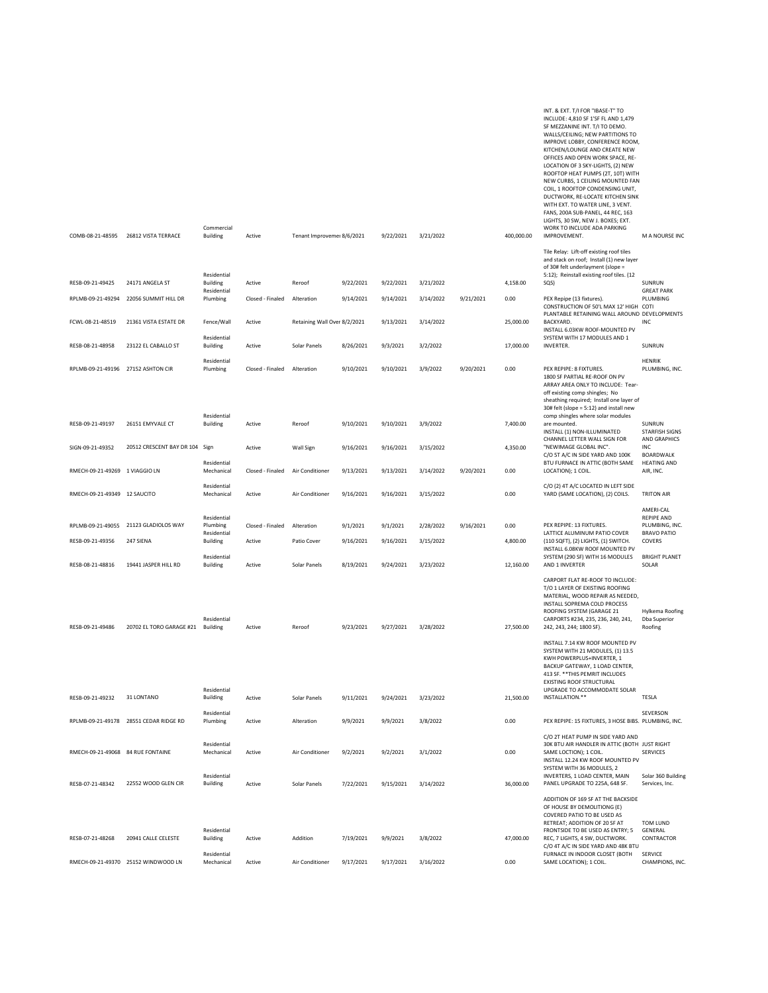|                                    |                                        | Commercial                               |                  |                              |           |           |           |           |            | INT. & EXT. T/I FOR "IBASE-T" TO<br>INCLUDE: 4,810 SF 1'SF FL AND 1,479<br>SF MEZZANINE INT. T/I TO DEMO.<br>WALLS/CEILING; NEW PARTITIONS TO<br>IMPROVE LOBBY, CONFERENCE ROOM,<br>KITCHEN/LOUNGE AND CREATE NEW<br>OFFICES AND OPEN WORK SPACE, RE-<br>LOCATION OF 3 SKY-LIGHTS, (2) NEW<br>ROOFTOP HEAT PUMPS (2T, 10T) WITH<br>NEW CURBS, 1 CEILING MOUNTED FAN<br>COIL, 1 ROOFTOP CONDENSING UNIT,<br>DUCTWORK, RE-LOCATE KITCHEN SINK<br>WITH EXT. TO WATER LINE, 3 VENT.<br>FANS, 200A SUB-PANEL, 44 REC, 163<br>LIGHTS, 30 SW, NEW J. BOXES; EXT.<br>WORK TO INCLUDE ADA PARKING |                                                   |
|------------------------------------|----------------------------------------|------------------------------------------|------------------|------------------------------|-----------|-----------|-----------|-----------|------------|------------------------------------------------------------------------------------------------------------------------------------------------------------------------------------------------------------------------------------------------------------------------------------------------------------------------------------------------------------------------------------------------------------------------------------------------------------------------------------------------------------------------------------------------------------------------------------------|---------------------------------------------------|
| COMB-08-21-48595                   | 26812 VISTA TERRACE                    | <b>Building</b>                          | Active           | Tenant Improveme: 8/6/2021   |           | 9/22/2021 | 3/21/2022 |           | 400,000.00 | IMPROVEMENT.<br>Tile Relay: Lift-off existing roof tiles                                                                                                                                                                                                                                                                                                                                                                                                                                                                                                                                 | M A NOURSE INC                                    |
| RESB-09-21-49425                   | 24171 ANGELA ST                        | Residential<br><b>Building</b>           | Active           | Reroof                       | 9/22/2021 | 9/22/2021 | 3/21/2022 |           | 4,158.00   | and stack on roof; Install (1) new layer<br>of 30# felt underlayment (slope =<br>5:12); Reinstall existing roof tiles. (12<br>SQS)                                                                                                                                                                                                                                                                                                                                                                                                                                                       | SUNRUN                                            |
|                                    | RPLMB-09-21-49294 22056 SUMMIT HILL DR | Residential<br>Plumbing                  | Closed - Finaled | Alteration                   | 9/14/2021 | 9/14/2021 | 3/14/2022 | 9/21/2021 | 0.00       | PEX Repipe (13 fixtures).<br>CONSTRUCTION OF 50'L MAX 12' HIGH                                                                                                                                                                                                                                                                                                                                                                                                                                                                                                                           | <b>GREAT PARK</b><br>PLUMBING<br>COTI             |
| FCWL-08-21-48519                   | 21361 VISTA ESTATE DR                  | Fence/Wall                               | Active           | Retaining Wall Over 8/2/2021 |           | 9/13/2021 | 3/14/2022 |           | 25,000.00  | PLANTABLE RETAINING WALL AROUND DEVELOPMENTS<br><b>BACKYARD.</b>                                                                                                                                                                                                                                                                                                                                                                                                                                                                                                                         | INC                                               |
| RESB-08-21-48958                   | 23122 EL CABALLO ST                    | Residential<br>Building                  | Active           | Solar Panels                 | 8/26/2021 | 9/3/2021  | 3/2/2022  |           | 17,000.00  | INSTALL 6.03KW ROOF-MOUNTED PV<br>SYSTEM WITH 17 MODULES AND 1<br><b>INVERTER.</b>                                                                                                                                                                                                                                                                                                                                                                                                                                                                                                       | SUNRUN                                            |
|                                    |                                        | Residential                              |                  |                              |           |           |           |           |            |                                                                                                                                                                                                                                                                                                                                                                                                                                                                                                                                                                                          | HENRIK                                            |
| RPLMB-09-21-49196 27152 ASHTON CIR |                                        | Plumbing<br>Residential                  | Closed - Finaled | Alteration                   | 9/10/2021 | 9/10/2021 | 3/9/2022  | 9/20/2021 | 0.00       | PEX REPIPE: 8 FIXTURES.<br>1800 SF PARTIAL RE-ROOF ON PV<br>ARRAY AREA ONLY TO INCLUDE: Tear-<br>off existing comp shingles; No<br>sheathing required; Install one layer of<br>30# felt (slope = 5:12) and install new<br>comp shingles where solar modules                                                                                                                                                                                                                                                                                                                              | PLUMBING, INC.                                    |
| RESB-09-21-49197                   | 26151 EMYVALE CT                       | <b>Building</b>                          | Active           | Reroof                       | 9/10/2021 | 9/10/2021 | 3/9/2022  |           | 7,400.00   | are mounted.<br>INSTALL (1) NON-ILLUMINATED                                                                                                                                                                                                                                                                                                                                                                                                                                                                                                                                              | SUNRUN<br><b>STARFISH SIGNS</b>                   |
| SIGN-09-21-49352                   | 20512 CRESCENT BAY DR 104 Sign         |                                          | Active           | Wall Sign                    | 9/16/2021 | 9/16/2021 | 3/15/2022 |           | 4,350.00   | CHANNEL LETTER WALL SIGN FOR<br>"NEWIMAGE GLOBAL INC".<br>C/O 5T A/C IN SIDE YARD AND 100K                                                                                                                                                                                                                                                                                                                                                                                                                                                                                               | AND GRAPHICS<br><b>INC</b><br>BOARDWALK           |
| RMECH-09-21-49269 1 VIAGGIO LN     |                                        | Residential<br>Mechanical                | Closed - Finaled | Air Conditioner              | 9/13/2021 | 9/13/2021 | 3/14/2022 | 9/20/2021 | 0.00       | BTU FURNACE IN ATTIC (BOTH SAME<br>LOCATION); 1 COIL.                                                                                                                                                                                                                                                                                                                                                                                                                                                                                                                                    | <b>HEATING AND</b><br>AIR, INC.                   |
| RMECH-09-21-49349 12 SAUCITO       |                                        | Residential<br>Mechanical                | Active           | Air Conditioner              | 9/16/2021 | 9/16/2021 | 3/15/2022 |           | 0.00       | C/O (2) 4T A/C LOCATED IN LEFT SIDE<br>YARD (SAME LOCATION), (2) COILS.                                                                                                                                                                                                                                                                                                                                                                                                                                                                                                                  | <b>TRITON AIR</b>                                 |
|                                    |                                        | Residential                              |                  |                              |           |           |           |           |            |                                                                                                                                                                                                                                                                                                                                                                                                                                                                                                                                                                                          | AMERI-CAL<br><b>REPIPE AND</b>                    |
|                                    | RPLMB-09-21-49055 21123 GLADIOLOS WAY  | Plumbing<br>Residential                  | Closed - Finaled | Alteration                   | 9/1/2021  | 9/1/2021  | 2/28/2022 | 9/16/2021 | 0.00       | PEX REPIPE: 13 FIXTURES.<br>LATTICE ALUMINUM PATIO COVER                                                                                                                                                                                                                                                                                                                                                                                                                                                                                                                                 | PLUMBING, INC.<br><b>BRAVO PATIO</b>              |
| RESB-09-21-49356                   | 247 SIENA                              | Building<br>Residential                  | Active           | Patio Cover                  | 9/16/2021 | 9/16/2021 | 3/15/2022 |           | 4,800.00   | (110 SQFT), (2) LIGHTS, (1) SWITCH.<br>INSTALL 6.08KW ROOF MOUNTED PV<br>SYSTEM (290 SF) WITH 16 MODULES                                                                                                                                                                                                                                                                                                                                                                                                                                                                                 | COVERS<br><b>BRIGHT PLANET</b>                    |
| RESB-08-21-48816                   | 19441 JASPER HILL RD                   | <b>Building</b>                          | Active           | Solar Panels                 | 8/19/2021 | 9/24/2021 | 3/23/2022 |           | 12,160.00  | AND 1 INVERTER                                                                                                                                                                                                                                                                                                                                                                                                                                                                                                                                                                           | SOLAR                                             |
| RESB-09-21-49486                   | 20702 EL TORO GARAGE #21 Building      | Residential                              | Active           | Reroof                       | 9/23/2021 | 9/27/2021 | 3/28/2022 |           | 27,500.00  | CARPORT FLAT RE-ROOF TO INCLUDE:<br>T/O 1 LAYER OF EXISTING ROOFING<br>MATERIAL, WOOD REPAIR AS NEEDED,<br>INSTALL SOPREMA COLD PROCESS<br>ROOFING SYSTEM (GARAGE 21<br>CARPORTS #234, 235, 236, 240, 241,<br>242, 243, 244; 1800 SF).                                                                                                                                                                                                                                                                                                                                                   | Hylkema Roofing<br><b>Dba Superior</b><br>Roofing |
| RESB-09-21-49232                   | 31 LONTANO                             | Residential<br>Building                  | Active           | Solar Panels                 | 9/11/2021 | 9/24/2021 | 3/23/2022 |           | 21,500.00  | INSTALL 7.14 KW ROOF MOUNTED PV<br>SYSTEM WITH 21 MODULES, (1) 13.5<br>KWH POWERPLUS+INVERTER, 1<br>BACKUP GATEWAY, 1 LOAD CENTER,<br>413 SF. ** THIS PEMRIT INCLUDES<br>EXISTING ROOF STRUCTURAL<br>UPGRADE TO ACCOMMODATE SOLAR<br>INSTALLATION.**                                                                                                                                                                                                                                                                                                                                     | TESLA                                             |
|                                    |                                        | Residential                              |                  |                              |           |           |           |           |            |                                                                                                                                                                                                                                                                                                                                                                                                                                                                                                                                                                                          | SEVERSON                                          |
|                                    | RPLMB-09-21-49178 28551 CEDAR RIDGE RD | Plumbing                                 | Active           | Alteration                   | 9/9/2021  | 9/9/2021  | 3/8/2022  |           | 0.00       | PEX REPIPE: 15 FIXTURES, 3 HOSE BIBS. PLUMBING, INC.<br>C/O 2T HEAT PUMP IN SIDE YARD AND                                                                                                                                                                                                                                                                                                                                                                                                                                                                                                |                                                   |
| RMECH-09-21-49068 84 RUE FONTAINE  |                                        | Residential<br>Mechanical<br>Residential | Active           | Air Conditioner              | 9/2/2021  | 9/2/2021  | 3/1/2022  |           | 0.00       | 30K BTU AIR HANDLER IN ATTIC (BOTH JUST RIGHT<br>SAME LOCTION); 1 COIL.<br>INSTALL 12.24 KW ROOF MOUNTED PV<br>SYSTEM WITH 36 MODULES, 2<br>INVERTERS, 1 LOAD CENTER, MAIN                                                                                                                                                                                                                                                                                                                                                                                                               | SERVICES<br>Solar 360 Building                    |
| RESB-07-21-48342                   | 22552 WOOD GLEN CIR                    | <b>Building</b><br>Residential           | Active           | Solar Panels                 | 7/22/2021 | 9/15/2021 | 3/14/2022 |           | 36,000.00  | PANEL UPGRADE TO 225A, 648 SF.<br>ADDITION OF 169 SF AT THE BACKSIDE<br>OF HOUSE BY DEMOLITIONG (E)<br>COVERED PATIO TO BE USED AS<br>RETREAT; ADDITION OF 20 SF AT<br>FRONTSIDE TO BE USED AS ENTRY; 5                                                                                                                                                                                                                                                                                                                                                                                  | Services, Inc.<br><b>TOM LUND</b><br>GENERAL      |
| RESB-07-21-48268                   | 20941 CALLE CELESTE                    | Building<br>Residential                  | Active           | Addition                     | 7/19/2021 | 9/9/2021  | 3/8/2022  |           | 47,000.00  | REC, 7 LIGHTS, 4 SW, DUCTWORK.<br>C/O 4T A/C IN SIDE YARD AND 48K BTU<br>FURNACE IN INDOOR CLOSET (BOTH                                                                                                                                                                                                                                                                                                                                                                                                                                                                                  | CONTRACTOR<br>SERVICE                             |
|                                    | RMECH-09-21-49370 25152 WINDWOOD LN    | Mechanical                               | Active           | Air Conditioner              | 9/17/2021 | 9/17/2021 | 3/16/2022 |           | 0.00       | SAME LOCATION); 1 COIL.                                                                                                                                                                                                                                                                                                                                                                                                                                                                                                                                                                  | CHAMPIONS, INC.                                   |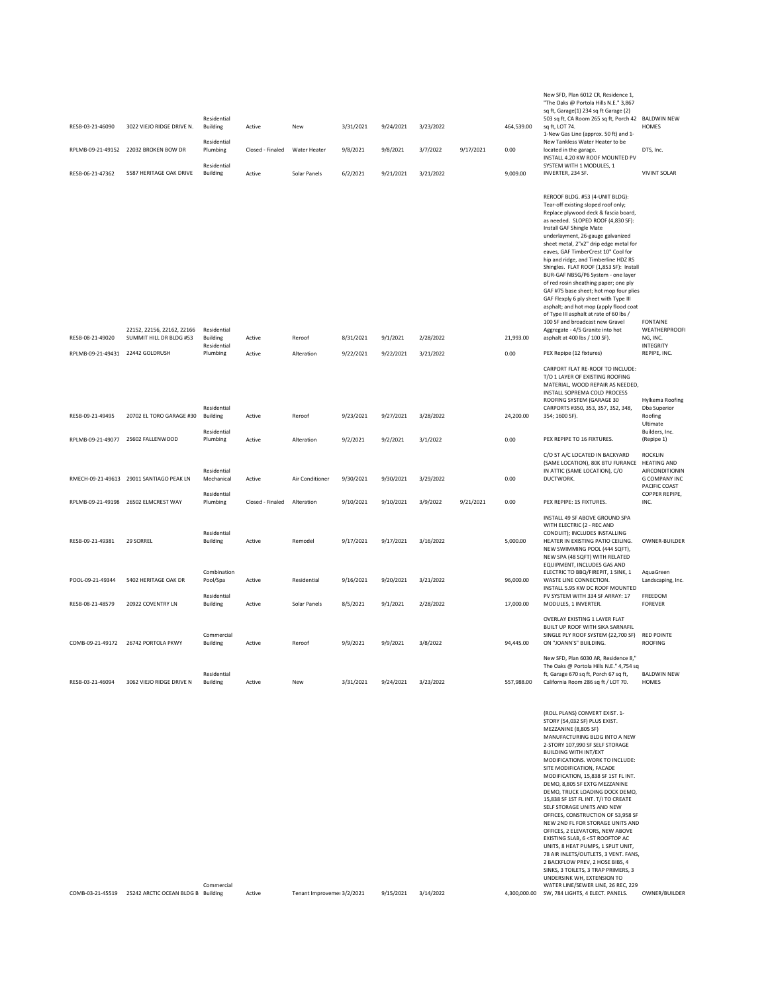| RESB-03-21-46090<br>RPLMB-09-21-49152<br>RESB-06-21-47362 | 3022 VIEJO RIDGE DRIVE N.<br>22032 BROKEN BOW DR<br>5587 HERITAGE OAK DRIVE | Residential<br><b>Building</b><br>Residential<br>Plumbing<br>Residential<br>Building | Active<br>Closed - Finaled<br>Active | New<br>Water Heater<br>Solar Panels | 3/31/2021<br>9/8/2021<br>6/2/2021 | 9/24/2021<br>9/8/2021<br>9/21/2021 | 3/23/2022<br>3/7/2022<br>3/21/2022 | 9/17/2021 | 464,539.00<br>0.00<br>9,009.00 | New SFD, Plan 6012 CR, Residence 1,<br>"The Oaks @ Portola Hills N.E." 3,867<br>sq ft, Garage(1) 234 sq ft Garage (2)<br>503 sq ft, CA Room 265 sq ft, Porch 42 BALDWIN NEW<br>sq ft, LOT 74.<br>1-New Gas Line (approx. 50 ft) and 1-<br>New Tankless Water Heater to be<br>located in the garage.<br>INSTALL 4.20 KW ROOF MOUNTED PV<br>SYSTEM WITH 1 MODULES, 1<br>INVERTER, 234 SF.                                                                                                                                                                                                                                                                                                                                                                                                                                                                                  | <b>HOMES</b><br>DTS, Inc.<br><b>VIVINT SOLAR</b>                                                |
|-----------------------------------------------------------|-----------------------------------------------------------------------------|--------------------------------------------------------------------------------------|--------------------------------------|-------------------------------------|-----------------------------------|------------------------------------|------------------------------------|-----------|--------------------------------|--------------------------------------------------------------------------------------------------------------------------------------------------------------------------------------------------------------------------------------------------------------------------------------------------------------------------------------------------------------------------------------------------------------------------------------------------------------------------------------------------------------------------------------------------------------------------------------------------------------------------------------------------------------------------------------------------------------------------------------------------------------------------------------------------------------------------------------------------------------------------|-------------------------------------------------------------------------------------------------|
| RESB-08-21-49020                                          | 22152, 22156, 22162, 22166<br>SUMMIT HILL DR BLDG #53                       | Residential<br><b>Building</b>                                                       | Active                               | Reroof                              | 8/31/2021                         | 9/1/2021                           | 2/28/2022                          |           | 21,993.00                      | REROOF BLDG. #53 (4-UNIT BLDG):<br>Tear-off existing sloped roof only;<br>Replace plywood deck & fascia board,<br>as needed. SLOPED ROOF (4,830 SF):<br>Install GAF Shingle Mate<br>underlayment, 26-gauge galvanized<br>sheet metal, 2"x2" drip edge metal for<br>eaves. GAF TimberCrest 10" Cool for<br>hip and ridge, and Timberline HDZ RS<br>Shingles. FLAT ROOF (1,853 SF): Install<br>BUR-GAF NB5G/P6 System - one layer<br>of red rosin sheathing paper; one ply<br>GAF #75 base sheet; hot mop four plies<br>GAF Flexply 6 ply sheet with Type III<br>asphalt; and hot mop (apply flood coat<br>of Type III asphalt at rate of 60 lbs /<br>100 SF and broadcast new Gravel<br>Aggregate - 4/5 Granite into hot<br>asphalt at 400 lbs / 100 SF).                                                                                                                 | <b>FONTAINE</b><br>WEATHERPROOFI<br>NG, INC.                                                    |
| RPLMB-09-21-49431 22442 GOLDRUSH                          |                                                                             | Residential<br>Plumbing                                                              | Active                               | Alteration                          | 9/22/2021                         | 9/22/2021                          | 3/21/2022                          |           | 0.00                           | PEX Repipe (12 fixtures)                                                                                                                                                                                                                                                                                                                                                                                                                                                                                                                                                                                                                                                                                                                                                                                                                                                 | INTEGRITY<br>REPIPE, INC.                                                                       |
| RESB-09-21-49495                                          | 20702 EL TORO GARAGE #30                                                    | Residential<br>Building                                                              | Active                               | Reroof                              | 9/23/2021                         | 9/27/2021                          | 3/28/2022                          |           | 24,200.00                      | CARPORT FLAT RE-ROOF TO INCLUDE:<br>T/O 1 LAYER OF EXISTING ROOFING<br>MATERIAL, WOOD REPAIR AS NEEDED,<br>INSTALL SOPREMA COLD PROCESS<br>ROOFING SYSTEM (GARAGE 30<br>CARPORTS #350, 353, 357, 352, 348,<br>354; 1600 SF).                                                                                                                                                                                                                                                                                                                                                                                                                                                                                                                                                                                                                                             | Hylkema Roofing<br>Dba Superior<br>Roofing                                                      |
| RPLMB-09-21-49077                                         | 25602 FALLENWOOD                                                            | Residential<br>Plumbing                                                              | Active                               | Alteration                          | 9/2/2021                          | 9/2/2021                           | 3/1/2022                           |           | 0.00                           | PEX REPIPE TO 16 FIXTURES.                                                                                                                                                                                                                                                                                                                                                                                                                                                                                                                                                                                                                                                                                                                                                                                                                                               | Ultimate<br>Builders, Inc.<br>(Repipe 1)                                                        |
|                                                           |                                                                             |                                                                                      |                                      |                                     |                                   |                                    |                                    |           |                                | C/O 5T A/C LOCATED IN BACKYARD                                                                                                                                                                                                                                                                                                                                                                                                                                                                                                                                                                                                                                                                                                                                                                                                                                           | <b>ROCKLIN</b>                                                                                  |
|                                                           | RMECH-09-21-49613 29011 SANTIAGO PEAK LN                                    | Residential<br>Mechanical<br>Residential                                             | Active                               | Air Conditioner                     | 9/30/2021                         | 9/30/2021                          | 3/29/2022                          |           | 0.00                           | (SAME LOCATION), 80K BTU FURANCE<br>IN ATTIC (SAME LOCATION), C/O<br>DUCTWORK.                                                                                                                                                                                                                                                                                                                                                                                                                                                                                                                                                                                                                                                                                                                                                                                           | <b>HEATING AND</b><br>AIRCONDITIONIN<br><b>G COMPANY INC</b><br>PACIFIC COAST<br>COPPER REPIPE, |
|                                                           | RPLMB-09-21-49198 26502 ELMCREST WAY                                        | Plumbing                                                                             | Closed - Finaled                     | Alteration                          | 9/10/2021                         | 9/10/2021                          | 3/9/2022                           | 9/21/2021 | 0.00                           | PEX REPIPE: 15 FIXTURES.                                                                                                                                                                                                                                                                                                                                                                                                                                                                                                                                                                                                                                                                                                                                                                                                                                                 | INC.                                                                                            |
| RESB-09-21-49381                                          | 29 SORREL                                                                   | Residential<br><b>Building</b>                                                       | Active                               | Remodel                             | 9/17/2021                         | 9/17/2021                          | 3/16/2022                          |           | 5,000.00                       | INSTALL 49 SF ABOVE GROUND SPA<br>WITH ELECTRIC (2 - REC AND<br>CONDUIT); INCLUDES INSTALLING<br>HEATER IN EXISTING PATIO CEILING.<br>NEW SWIMMING POOL (444 SQFT),<br>NEW SPA (48 SQFT) WITH RELATED<br>EQUIPMENT, INCLUDES GAS AND                                                                                                                                                                                                                                                                                                                                                                                                                                                                                                                                                                                                                                     | OWNER-BUILDER                                                                                   |
| POOL-09-21-49344                                          | 5402 HERITAGE OAK DR                                                        | Combination<br>Pool/Spa                                                              | Active                               | Residential                         | 9/16/2021                         | 9/20/2021                          | 3/21/2022                          |           | 96,000.00                      | ELECTRIC TO BBQ/FIREPIT, 1 SINK, 1<br>WASTE LINE CONNECTION.<br>INSTALL 5.95 KW DC ROOF MOUNTED                                                                                                                                                                                                                                                                                                                                                                                                                                                                                                                                                                                                                                                                                                                                                                          | AquaGreen<br>Landscaping, Inc.                                                                  |
| RESB-08-21-48579                                          | 20922 COVENTRY LN                                                           | Residential<br><b>Building</b>                                                       | Active                               | Solar Panels                        | 8/5/2021                          | 9/1/2021                           | 2/28/2022                          |           | 17,000.00                      | PV SYSTEM WITH 334 SF ARRAY: 17<br>MODULES, 1 INVERTER.                                                                                                                                                                                                                                                                                                                                                                                                                                                                                                                                                                                                                                                                                                                                                                                                                  | FREEDOM<br><b>FOREVER</b>                                                                       |
| COMB-09-21-49172                                          | 26742 PORTOLA PKWY                                                          | Commercial<br><b>Building</b>                                                        | Active                               | Reroof                              | 9/9/2021                          | 9/9/2021                           | 3/8/2022                           |           | 94,445.00                      | OVERLAY EXISTING 1 LAYER FLAT<br>BUILT UP ROOF WITH SIKA SARNAFIL<br>SINGLE PLY ROOF SYSTEM (22,700 SF)<br>ON "JOANN'S" BUILDING.                                                                                                                                                                                                                                                                                                                                                                                                                                                                                                                                                                                                                                                                                                                                        | <b>RED POINTE</b><br><b>ROOFING</b>                                                             |
| RESB-03-21-46094                                          | 3062 VIEJO RIDGE DRIVE N                                                    | Residential<br><b>Building</b>                                                       | Active                               | New                                 | 3/31/2021                         | 9/24/2021                          | 3/23/2022                          |           | 557,988.00                     | New SFD, Plan 6030 AR, Residence 8,"<br>The Oaks @ Portola Hills N.E." 4,754 sq<br>ft, Garage 670 sq ft, Porch 67 sq ft,<br>California Room 286 sq ft / LOT 70.                                                                                                                                                                                                                                                                                                                                                                                                                                                                                                                                                                                                                                                                                                          | <b>BALDWIN NEW</b><br>HOMES                                                                     |
|                                                           | COMB-03-21-45519 25242 ARCTIC OCEAN BLDG B Building                         | Commercial                                                                           | Active                               | Tenant Improveme: 3/2/2021          |                                   | 9/15/2021                          | 3/14/2022                          |           |                                | (ROLL PLANS) CONVERT EXIST. 1-<br>STORY (54,032 SF) PLUS EXIST.<br>MEZZANINE (8,805 SF)<br>MANUFACTURING BLDG INTO A NEW<br>2-STORY 107,990 SF SELF STORAGE<br><b>BUILDING WITH INT/EXT</b><br>MODIFICATIONS. WORK TO INCLUDE:<br>SITE MODIFICATION, FACADE<br>MODIFICATION, 15,838 SF 1ST FL INT.<br>DEMO, 8,805 SF EXTG MEZZANINE<br>DEMO, TRUCK LOADING DOCK DEMO,<br>15,838 SF 1ST FL INT. T/I TO CREATE<br>SELF STORAGE UNITS AND NEW<br>OFFICES, CONSTRUCTION OF 53,958 SF<br>NEW 2ND FL FOR STORAGE UNITS AND<br>OFFICES, 2 ELEVATORS, NEW ABOVE<br>EXISTING SLAB, 6 < 5T ROOFTOP AC<br>UNITS, 8 HEAT PUMPS, 1 SPLIT UNIT,<br>78 AIR INLETS/OUTLETS, 3 VENT. FANS,<br>2 BACKFLOW PREV, 2 HOSE BIBS, 4<br>SINKS, 3 TOILETS, 3 TRAP PRIMERS, 3<br>UNDERSINK WH, EXTENSION TO<br>WATER LINE/SEWER LINE, 26 REC, 229<br>4,300,000.00 SW, 784 LIGHTS, 4 ELECT. PANELS. | OWNER/BUILDER                                                                                   |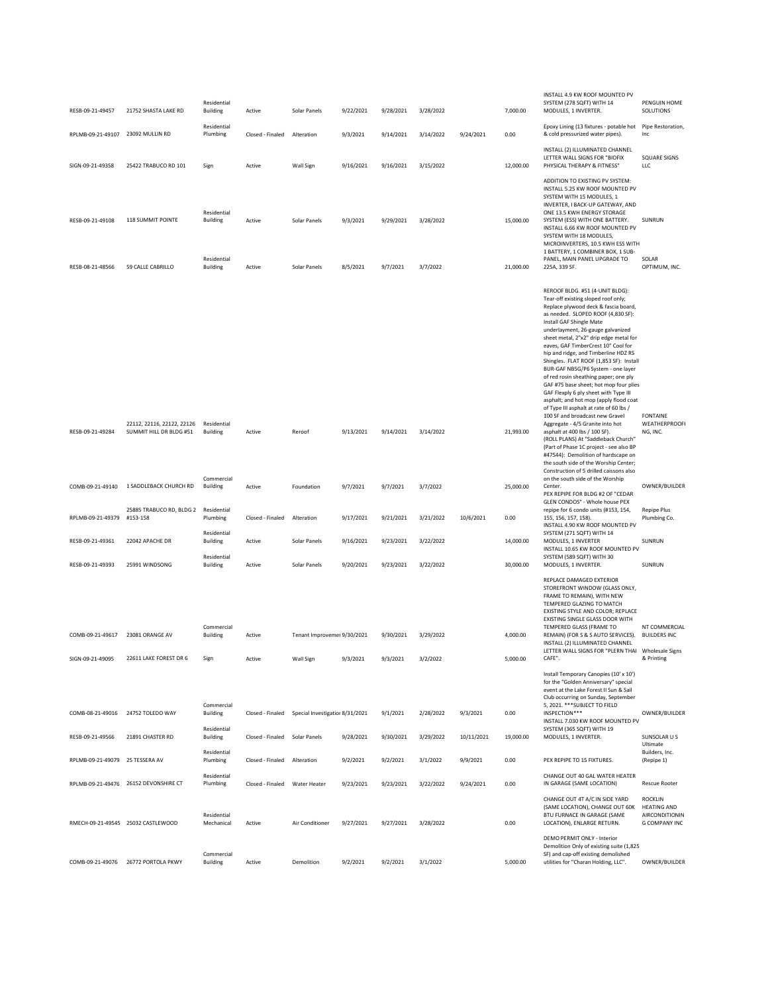| RESB-09-21-49457                     | 21752 SHASTA LAKE RD                                  | Residential<br><b>Building</b>                                   | Active           | Solar Panels                    | 9/22/2021            | 9/28/2021             | 3/28/2022             |            | 7,000.00               | INSTALL 4.9 KW ROOF MOUNTED PV<br>SYSTEM (278 SQFT) WITH 14<br>MODULES, 1 INVERTER.                                                                                                                                                                                                                                                                                                                                                                                                                                                                                                                                                                                                                                                                                                                                                                                                                                        | PENGUIN HOME<br>SOLUTIONS                                                      |
|--------------------------------------|-------------------------------------------------------|------------------------------------------------------------------|------------------|---------------------------------|----------------------|-----------------------|-----------------------|------------|------------------------|----------------------------------------------------------------------------------------------------------------------------------------------------------------------------------------------------------------------------------------------------------------------------------------------------------------------------------------------------------------------------------------------------------------------------------------------------------------------------------------------------------------------------------------------------------------------------------------------------------------------------------------------------------------------------------------------------------------------------------------------------------------------------------------------------------------------------------------------------------------------------------------------------------------------------|--------------------------------------------------------------------------------|
| RPLMB-09-21-49107 23092 MULLIN RD    |                                                       | Residential<br>Plumbing                                          | Closed - Finaled | Alteration                      | 9/3/2021             | 9/14/2021             | 3/14/2022             | 9/24/2021  | 0.00                   | Epoxy Lining (13 fixtures - potable hot<br>& cold pressurized water pipes).                                                                                                                                                                                                                                                                                                                                                                                                                                                                                                                                                                                                                                                                                                                                                                                                                                                | Pipe Restoration,<br>Inc                                                       |
| SIGN-09-21-49358                     | 25422 TRABUCO RD 101                                  | Sign                                                             | Active           | Wall Sign                       | 9/16/2021            | 9/16/2021             | 3/15/2022             |            | 12,000.00              | INSTALL (2) ILLUMINATED CHANNEL<br>LETTER WALL SIGNS FOR "BIOFIX<br>PHYSICAL THERAPY & FITNESS"                                                                                                                                                                                                                                                                                                                                                                                                                                                                                                                                                                                                                                                                                                                                                                                                                            | SQUARE SIGNS<br><b>LLC</b>                                                     |
| RESB-09-21-49108<br>RESB-08-21-48566 | 118 SUMMIT POINTE<br>59 CALLE CABRILLO                | Residential<br><b>Building</b><br>Residential<br><b>Building</b> | Active<br>Active | Solar Panels<br>Solar Panels    | 9/3/2021<br>8/5/2021 | 9/29/2021<br>9/7/2021 | 3/28/2022<br>3/7/2022 |            | 15,000.00<br>21,000.00 | ADDITION TO EXISTING PV SYSTEM:<br>INSTALL 5.25 KW ROOF MOUNTED PV<br>SYSTEM WITH 15 MODULES, 1<br>INVERTER, I BACK-UP GATEWAY, AND<br>ONE 13.5 KWH ENERGY STORAGE<br>SYSTEM (ESS) WITH ONE BATTERY.<br>INSTALL 6.66 KW ROOF MOUNTED PV<br>SYSTEM WITH 18 MODULES,<br>MICROINVERTERS, 10.5 KWH ESS WITH<br>1 BATTERY, 1 COMBINER BOX, 1 SUB-<br>PANEL, MAIN PANEL UPGRADE TO<br>225A, 339 SF.                                                                                                                                                                                                                                                                                                                                                                                                                                                                                                                              | SUNRUN<br>SOLAR<br>OPTIMUM, INC.                                               |
|                                      |                                                       |                                                                  |                  |                                 |                      |                       |                       |            |                        |                                                                                                                                                                                                                                                                                                                                                                                                                                                                                                                                                                                                                                                                                                                                                                                                                                                                                                                            |                                                                                |
| RESB-09-21-49284                     | 22112, 22116, 22122, 22126<br>SUMMIT HILL DR BLDG #51 | Residential<br><b>Building</b>                                   | Active           | Reroof                          | 9/13/2021            | 9/14/2021             | 3/14/2022             |            | 21.993.00              | REROOF BLDG. #51 (4-UNIT BLDG):<br>Tear-off existing sloped roof only;<br>Replace plywood deck & fascia board,<br>as needed. SLOPED ROOF (4,830 SF):<br>Install GAF Shingle Mate<br>underlayment, 26-gauge galvanized<br>sheet metal, 2"x2" drip edge metal for<br>eaves, GAF TimberCrest 10" Cool for<br>hip and ridge, and Timberline HDZ RS<br>Shingles. FLAT ROOF (1,853 SF): Install<br>BUR-GAF NB5G/P6 System - one layer<br>of red rosin sheathing paper; one ply<br>GAF #75 base sheet; hot mop four plies<br>GAF Flexply 6 ply sheet with Type III<br>asphalt; and hot mop (apply flood coat<br>of Type III asphalt at rate of 60 lbs /<br>100 SF and broadcast new Gravel<br>Aggregate - 4/5 Granite into hot<br>asphalt at 400 lbs / 100 SF).<br>(ROLL PLANS) At "Saddleback Church"<br>(Part of Phase 1C project - see also BP<br>#47544): Demolition of hardscape on<br>the south side of the Worship Center; | <b>FONTAINE</b><br>WEATHERPROOFI<br>NG, INC.                                   |
|                                      | 1 SADDLEBACK CHURCH RD                                | Commercial<br><b>Building</b>                                    | Active           | Foundation                      | 9/7/2021             | 9/7/2021              | 3/7/2022              |            | 25,000.00              | Construction of 5 drilled caissons also<br>on the south side of the Worship<br>Center.                                                                                                                                                                                                                                                                                                                                                                                                                                                                                                                                                                                                                                                                                                                                                                                                                                     | OWNER/BUILDER                                                                  |
|                                      |                                                       |                                                                  |                  |                                 |                      |                       |                       |            |                        |                                                                                                                                                                                                                                                                                                                                                                                                                                                                                                                                                                                                                                                                                                                                                                                                                                                                                                                            |                                                                                |
| COMB-09-21-49140                     |                                                       |                                                                  |                  |                                 |                      |                       |                       |            |                        | PEX REPIPE FOR BLDG #2 OF "CEDAR<br>GLEN CONDOS" - Whole house PEX                                                                                                                                                                                                                                                                                                                                                                                                                                                                                                                                                                                                                                                                                                                                                                                                                                                         |                                                                                |
| RPLMB-09-21-49379                    | 25885 TRABUCO RD, BLDG 2<br>#153-158                  | Residential<br>Plumbing                                          | Closed - Finaled | Alteration                      | 9/17/2021            | 9/21/2021             | 3/21/2022             | 10/6/2021  | 0.00                   | repipe for 6 condo units (#153, 154,<br>155, 156, 157, 158).<br>INSTALL 4.90 KW ROOF MOUNTED PV                                                                                                                                                                                                                                                                                                                                                                                                                                                                                                                                                                                                                                                                                                                                                                                                                            | Repipe Plus<br>Plumbing Co.                                                    |
| RESB-09-21-49361                     | 22042 APACHE DR                                       | Residential<br>Building                                          | Active           | Solar Panels                    | 9/16/2021            | 9/23/2021             | 3/22/2022             |            | 14,000.00              | SYSTEM (271 SQFT) WITH 14<br>MODULES, 1 INVERTER<br>INSTALL 10.65 KW ROOF MOUNTED PV                                                                                                                                                                                                                                                                                                                                                                                                                                                                                                                                                                                                                                                                                                                                                                                                                                       | SUNRUN                                                                         |
| RESB-09-21-49393                     | 25991 WINDSONG                                        | Residential<br><b>Building</b>                                   | Active           | Solar Panels                    | 9/20/2021            | 9/23/2021             | 3/22/2022             |            | 30,000.00              | SYSTEM (589 SQFT) WITH 30<br>MODULES, 1 INVERTER.                                                                                                                                                                                                                                                                                                                                                                                                                                                                                                                                                                                                                                                                                                                                                                                                                                                                          | SUNRUN                                                                         |
| COMB-09-21-49617                     | 23081 ORANGE AV                                       | Commercial<br><b>Building</b>                                    | Active           | Tenant Improveme: 9/30/2021     |                      | 9/30/2021             | 3/29/2022             |            | 4,000.00               | REPLACE DAMAGED EXTERIOR<br>STOREFRONT WINDOW (GLASS ONLY,<br>FRAME TO REMAIN), WITH NEW<br>TEMPERED GLAZING TO MATCH<br>EXISTING STYLE AND COLOR; REPLACE<br>EXISTING SINGLE GLASS DOOR WITH<br>TEMPERED GLASS (FRAME TO<br>REMAIN) (FOR S & S AUTO SERVICES).                                                                                                                                                                                                                                                                                                                                                                                                                                                                                                                                                                                                                                                            | NT COMMERCIAL<br><b>BUILDERS INC</b>                                           |
|                                      |                                                       |                                                                  |                  |                                 |                      |                       |                       |            |                        | INSTALL (2) ILLUMINATED CHANNEL<br>LETTER WALL SIGNS FOR "PLERN THAI  Wholesale Signs                                                                                                                                                                                                                                                                                                                                                                                                                                                                                                                                                                                                                                                                                                                                                                                                                                      |                                                                                |
| SIGN-09-21-49095                     | 22611 LAKE FOREST DR 6                                | Sign                                                             | Active           | Wall Sign                       | 9/3/2021             | 9/3/2021              | 3/2/2022              |            | 5,000.00               | CAFE".<br>Install Temporary Canopies (10' x 10')<br>for the "Golden Anniversary" special<br>event at the Lake Forest II Sun & Sail<br>Club occurring on Sunday, September                                                                                                                                                                                                                                                                                                                                                                                                                                                                                                                                                                                                                                                                                                                                                  | & Printing                                                                     |
| COMB-08-21-49016                     | 24752 TOLEDO WAY                                      | Commercial<br><b>Building</b>                                    | Closed - Finaled | Special Investigation 8/31/2021 |                      | 9/1/2021              | 2/28/2022             | 9/3/2021   | 0.00                   | 5, 2021. *** SUBJECT TO FIELD<br>INSPECTION***                                                                                                                                                                                                                                                                                                                                                                                                                                                                                                                                                                                                                                                                                                                                                                                                                                                                             | OWNER/BUILDER                                                                  |
| RESB-09-21-49566                     | 21891 CHASTER RD                                      | Residential<br><b>Building</b>                                   | Closed - Finaled | Solar Panels                    | 9/28/2021            | 9/30/2021             | 3/29/2022             | 10/11/2021 | 19,000.00              | INSTALL 7.030 KW ROOF MOUNTED PV<br>SYSTEM (365 SOFT) WITH 19<br>MODULES, 1 INVERTER.                                                                                                                                                                                                                                                                                                                                                                                                                                                                                                                                                                                                                                                                                                                                                                                                                                      | SUNSOLAR U S<br>Ultimate                                                       |
| RPLMB-09-21-49079                    | 25 TESSERA AV                                         | Residential<br>Plumbing                                          | Closed - Finaled | Alteration                      | 9/2/2021             | 9/2/2021              | 3/1/2022              | 9/9/2021   | 0.00                   | PEX REPIPE TO 15 FIXTURES.                                                                                                                                                                                                                                                                                                                                                                                                                                                                                                                                                                                                                                                                                                                                                                                                                                                                                                 | Builders, Inc.<br>(Repipe 1)                                                   |
|                                      | RPLMB-09-21-49476 26152 DEVONSHIRE CT                 | Residential<br>Plumbing                                          | Closed - Finaled | Water Heater                    | 9/23/2021            | 9/23/2021             | 3/22/2022             | 9/24/2021  | 0.00                   | CHANGE OUT 40 GAL WATER HEATER<br>IN GARAGE (SAME LOCATION)                                                                                                                                                                                                                                                                                                                                                                                                                                                                                                                                                                                                                                                                                                                                                                                                                                                                | <b>Rescue Rooter</b>                                                           |
| RMECH-09-21-49545 25032 CASTLEWOOD   |                                                       | Residential<br>Mechanical                                        | Active           | Air Conditioner                 | 9/27/2021            | 9/27/2021             | 3/28/2022             |            | 0.00                   | CHANGE OUT 4T A/C IN SIDE YARD<br>(SAME LOCATION), CHANGE OUT 60K<br>BTU FURNACE IN GARAGE (SAME<br>LOCATION), ENLARGE RETURN.<br>DEMO PERMIT ONLY - Interior                                                                                                                                                                                                                                                                                                                                                                                                                                                                                                                                                                                                                                                                                                                                                              | <b>ROCKLIN</b><br><b>HEATING AND</b><br>AIRCONDITIONIN<br><b>G COMPANY INC</b> |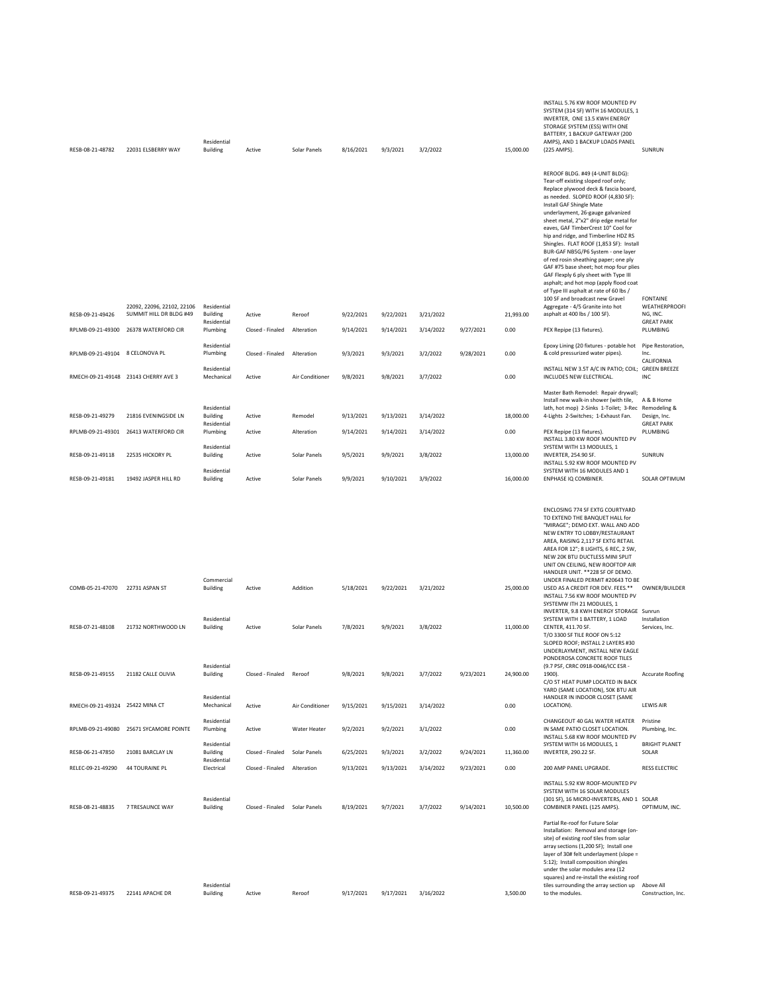| RESB-08-21-48782                | 22031 ELSBERRY WAY                                    | Residential<br><b>Building</b>                | Active           | Solar Panels    | 8/16/2021 | 9/3/2021  | 3/2/2022  |           | 15,000.00 | INSTALL 5.76 KW ROOF MOUNTED PV<br>SYSTEM (314 SF) WITH 16 MODULES, 1<br>INVERTER, ONE 13.5 KWH ENERGY<br>STORAGE SYSTEM (ESS) WITH ONE<br>BATTERY, 1 BACKUP GATEWAY (200<br>AMPS), AND 1 BACKUP LOADS PANEL<br>(225 AMPS).<br>REROOF BLDG. #49 (4-UNIT BLDG):<br>Tear-off existing sloped roof only;<br>Replace plywood deck & fascia board,<br>as needed. SLOPED ROOF (4,830 SF):<br>Install GAF Shingle Mate<br>underlayment, 26-gauge galvanized<br>sheet metal, 2"x2" drip edge metal for<br>eaves, GAF TimberCrest 10" Cool for<br>hip and ridge, and Timberline HDZ RS<br>Shingles. FLAT ROOF (1,853 SF): Install<br>BUR-GAF NB5G/P6 System - one layer<br>of red rosin sheathing paper; one ply<br>GAF #75 base sheet; hot mop four plies<br>GAF Flexply 6 ply sheet with Type III<br>asphalt; and hot mop (apply flood coat<br>of Type III asphalt at rate of 60 lbs /<br>100 SF and broadcast new Gravel | SUNRUN<br><b>FONTAINE</b>                      |
|---------------------------------|-------------------------------------------------------|-----------------------------------------------|------------------|-----------------|-----------|-----------|-----------|-----------|-----------|--------------------------------------------------------------------------------------------------------------------------------------------------------------------------------------------------------------------------------------------------------------------------------------------------------------------------------------------------------------------------------------------------------------------------------------------------------------------------------------------------------------------------------------------------------------------------------------------------------------------------------------------------------------------------------------------------------------------------------------------------------------------------------------------------------------------------------------------------------------------------------------------------------------------|------------------------------------------------|
| RESB-09-21-49426                | 22092, 22096, 22102, 22106<br>SUMMIT HILL DR BLDG #49 | Residential<br><b>Building</b><br>Residential | Active           | Reroof          | 9/22/2021 | 9/22/2021 | 3/21/2022 |           | 21,993.00 | Aggregate - 4/5 Granite into hot<br>asphalt at 400 lbs / 100 SF).                                                                                                                                                                                                                                                                                                                                                                                                                                                                                                                                                                                                                                                                                                                                                                                                                                                  | WEATHERPROOFI<br>NG, INC.<br><b>GREAT PARK</b> |
| RPLMB-09-21-49300               | 26378 WATERFORD CIR                                   | Plumbing                                      | Closed - Finaled | Alteration      | 9/14/2021 | 9/14/2021 | 3/14/2022 | 9/27/2021 | 0.00      | PEX Repipe (13 fixtures).                                                                                                                                                                                                                                                                                                                                                                                                                                                                                                                                                                                                                                                                                                                                                                                                                                                                                          | PLUMBING                                       |
| RPLMB-09-21-49104 8 CELONOVA PL |                                                       | Residential<br>Plumbing                       | Closed - Finaled | Alteration      | 9/3/2021  | 9/3/2021  | 3/2/2022  | 9/28/2021 | 0.00      | Epoxy Lining (20 fixtures - potable hot<br>& cold pressurized water pipes).                                                                                                                                                                                                                                                                                                                                                                                                                                                                                                                                                                                                                                                                                                                                                                                                                                        | Pipe Restoration,<br>Inc.<br>CALIFORNIA        |
|                                 | RMECH-09-21-49148 23143 CHERRY AVE 3                  | Residential<br>Mechanical                     | Active           | Air Conditioner | 9/8/2021  | 9/8/2021  | 3/7/2022  |           | 0.00      | INSTALL NEW 3.5T A/C IN PATIO; COIL; GREEN BREEZE<br>INCLUDES NEW ELECTRICAL.                                                                                                                                                                                                                                                                                                                                                                                                                                                                                                                                                                                                                                                                                                                                                                                                                                      | INC                                            |
| RESB-09-21-49279                | 21816 EVENINGSIDE LN                                  | Residential<br><b>Building</b>                | Active           | Remodel         | 9/13/2021 | 9/13/2021 | 3/14/2022 |           | 18,000.00 | Master Bath Remodel: Repair drywall;<br>Install new walk-in shower (with tile,<br>lath, hot mop) 2-Sinks 1-Toilet; 3-Rec<br>4-Lights 2-Switches; 1-Exhaust Fan.                                                                                                                                                                                                                                                                                                                                                                                                                                                                                                                                                                                                                                                                                                                                                    | A & B Home<br>Remodeling &<br>Design, Inc.     |
|                                 | RPLMB-09-21-49301 26413 WATERFORD CIR                 | Residential<br>Plumbing                       | Active           | Alteration      | 9/14/2021 | 9/14/2021 | 3/14/2022 |           | 0.00      | PEX Repipe (13 fixtures).                                                                                                                                                                                                                                                                                                                                                                                                                                                                                                                                                                                                                                                                                                                                                                                                                                                                                          | <b>GREAT PARK</b><br>PLUMBING                  |
| RESB-09-21-49118                | 22535 HICKORY PL                                      | Residential<br><b>Building</b>                | Active           | Solar Panels    | 9/5/2021  | 9/9/2021  | 3/8/2022  |           | 13,000.00 | INSTALL 3.80 KW ROOF MOUNTED PV<br>SYSTEM WITH 13 MODULES, 1<br><b>INVERTER, 254.90 SF.</b>                                                                                                                                                                                                                                                                                                                                                                                                                                                                                                                                                                                                                                                                                                                                                                                                                        | SUNRUN                                         |
| RESB-09-21-49181                | 19492 JASPER HILL RD                                  | Residential<br><b>Building</b>                | Active           | Solar Panels    | 9/9/2021  | 9/10/2021 | 3/9/2022  |           | 16,000.00 | INSTALL 5.92 KW ROOF MOUNTED PV<br>SYSTEM WITH 16 MODULES AND 1<br>ENPHASE IQ COMBINER.                                                                                                                                                                                                                                                                                                                                                                                                                                                                                                                                                                                                                                                                                                                                                                                                                            | <b>SOLAR OPTIMUM</b>                           |
|                                 |                                                       |                                               |                  |                 |           |           |           |           |           |                                                                                                                                                                                                                                                                                                                                                                                                                                                                                                                                                                                                                                                                                                                                                                                                                                                                                                                    |                                                |
| COMB-05-21-47070                | 22731 ASPAN ST                                        | Commercial<br><b>Building</b>                 | Active           | Addition        | 5/18/2021 | 9/22/2021 | 3/21/2022 |           | 25,000.00 | ENCLOSING 774 SF EXTG COURTYARD<br>TO EXTEND THE BANQUET HALL for<br>"MIRAGE"; DEMO EXT. WALL AND ADD<br>NEW ENTRY TO LOBBY/RESTAURANT<br>AREA, RAISING 2,117 SF EXTG RETAIL<br>AREA FOR 12"; 8 LIGHTS, 6 REC, 2 SW,<br>NEW 20K BTU DUCTLESS MINI SPLIT<br>UNIT ON CEILING, NEW ROOFTOP AIR<br>HANDLER UNIT. ** 228 SF OF DEMO.<br>UNDER FINALED PERMIT #20643 TO BE<br>USED AS A CREDIT FOR DEV. FEES.**                                                                                                                                                                                                                                                                                                                                                                                                                                                                                                          | OWNER/BUILDER                                  |
| RESB-07-21-48108                | 21732 NORTHWOOD LN                                    | Residential<br><b>Building</b>                | Active           | Solar Panels    | 7/8/2021  | 9/9/2021  | 3/8/2022  |           | 11,000.00 | INSTALL 7.56 KW ROOF MOUNTED PV<br>SYSTEMW ITH 21 MODULES, 1<br>INVERTER, 9.8 KWH ENERGY STORAGE Sunrun<br>SYSTEM WITH 1 BATTERY, 1 LOAD<br>CENTER, 411.70 SF.<br>T/O 3300 SF TILE ROOF ON 5:12<br>SLOPED ROOF; INSTALL 2 LAYERS #30<br>UNDERLAYMENT, INSTALL NEW EAGLE                                                                                                                                                                                                                                                                                                                                                                                                                                                                                                                                                                                                                                            | Installation<br>Services, Inc.                 |
| RESB-09-21-49155                | 21182 CALLE OLIVIA                                    | Residential<br><b>Building</b><br>Residential | Closed - Finaled | Reroof          | 9/8/2021  | 9/8/2021  | 3/7/2022  | 9/23/2021 | 24,900.00 | PONDEROSA CONCRETE ROOF TILES<br>(9.7 PSF, CRRC 0918-0046/ICC ESR -<br>1900).<br>C/O 5T HEAT PUMP LOCATED IN BACK<br>YARD (SAME LOCATION), 50K BTU AIR<br>HANDLER IN INDOOR CLOSET (SAME                                                                                                                                                                                                                                                                                                                                                                                                                                                                                                                                                                                                                                                                                                                           | <b>Accurate Roofing</b>                        |
| RMECH-09-21-49324 25422 MINA CT |                                                       | Mechanical<br>Residential                     | Active           | Air Conditioner | 9/15/2021 | 9/15/2021 | 3/14/2022 |           | 0.00      | LOCATION).<br>CHANGEOUT 40 GAL WATER HEATER                                                                                                                                                                                                                                                                                                                                                                                                                                                                                                                                                                                                                                                                                                                                                                                                                                                                        | LEWIS AIR<br>Pristine                          |
|                                 | RPLMB-09-21-49080 25671 SYCAMORE POINTE               | Plumbing<br>Residential                       | Active           | Water Heater    | 9/2/2021  | 9/2/2021  | 3/1/2022  |           | 0.00      | IN SAME PATIO CLOSET LOCATION.<br>INSTALL 5.68 KW ROOF MOUNTED PV<br>SYSTEM WITH 16 MODULES, 1                                                                                                                                                                                                                                                                                                                                                                                                                                                                                                                                                                                                                                                                                                                                                                                                                     | Plumbing, Inc.<br><b>BRIGHT PLANET</b>         |
| RESB-06-21-47850                | 21081 BARCLAY LN                                      | <b>Building</b><br>Residential                | Closed - Finaled | Solar Panels    | 6/25/2021 | 9/3/2021  | 3/2/2022  | 9/24/2021 | 11,360.00 | <b>INVERTER, 290.22 SF.</b>                                                                                                                                                                                                                                                                                                                                                                                                                                                                                                                                                                                                                                                                                                                                                                                                                                                                                        | SOLAR                                          |
| RELEC-09-21-49290               | 44 TOURAINE PL                                        | Electrical                                    | Closed - Finaled | Alteration      | 9/13/2021 | 9/13/2021 | 3/14/2022 | 9/23/2021 | 0.00      | 200 AMP PANEL UPGRADE.                                                                                                                                                                                                                                                                                                                                                                                                                                                                                                                                                                                                                                                                                                                                                                                                                                                                                             | <b>RESS ELECTRIC</b>                           |
| RESB-08-21-48835                | 7 TRESAUNCE WAY                                       | Residential<br><b>Building</b>                | Closed - Finaled | Solar Panels    | 8/19/2021 | 9/7/2021  | 3/7/2022  | 9/14/2021 | 10,500.00 | INSTALL 5.92 KW ROOF-MOUNTED PV<br>SYSTEM WITH 16 SOLAR MODULES<br>(301 SF), 16 MICRO-INVERTERS, AND 1 SOLAR<br>COMBINER PANEL (125 AMPS).                                                                                                                                                                                                                                                                                                                                                                                                                                                                                                                                                                                                                                                                                                                                                                         | OPTIMUM, INC.                                  |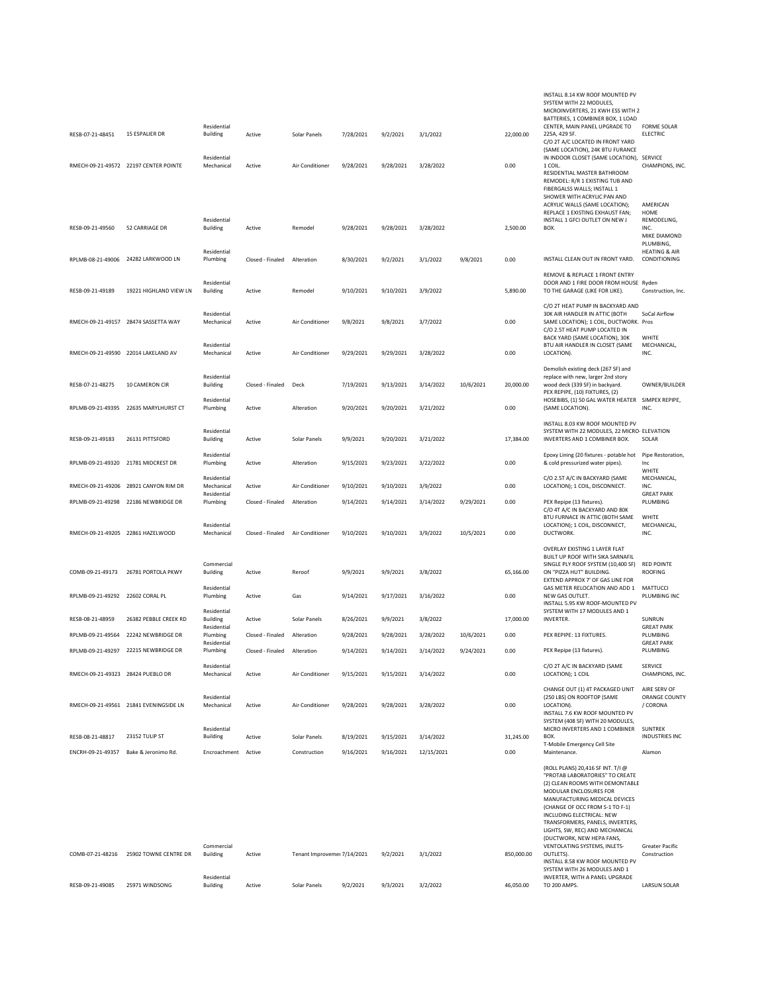| RESB-07-21-48451                    | 15 ESPALIER DR                         | Residential<br>Building                       | Active           | Solar Panels                | 7/28/2021 | 9/2/2021  | 3/1/2022   |           | 22,000.00  | INSTALL 8.14 KW ROOF MOUNTED PV<br>SYSTEM WITH 22 MODULES,<br>MICROINVERTERS, 21 KWH ESS WITH 2<br>BATTERIES, 1 COMBINER BOX, 1 LOAD<br>CENTER, MAIN PANEL UPGRADE TO<br>225A, 429 SF.<br>C/O 2T A/C LOCATED IN FRONT YARD                                                                                                             | <b>FORME SOLAR</b><br><b>ELECTRIC</b>                                |
|-------------------------------------|----------------------------------------|-----------------------------------------------|------------------|-----------------------------|-----------|-----------|------------|-----------|------------|----------------------------------------------------------------------------------------------------------------------------------------------------------------------------------------------------------------------------------------------------------------------------------------------------------------------------------------|----------------------------------------------------------------------|
|                                     | RMECH-09-21-49572 22197 CENTER POINTE  | Residential<br>Mechanical                     | Active           | Air Conditioner             | 9/28/2021 | 9/28/2021 | 3/28/2022  |           | 0.00       | (SAME LOCATION), 24K BTU FURANCE<br>IN INDOOR CLOSET (SAME LOCATION),<br>1 COIL.<br>RESIDENTIAL MASTER BATHROOM<br>REMODEL: R/R 1 EXISTING TUB AND<br>FIBERGALSS WALLS; INSTALL 1                                                                                                                                                      | <b>SERVICE</b><br>CHAMPIONS, INC.                                    |
| RESB-09-21-49560                    | 52 CARRIAGE DR                         | Residential<br>Building                       | Active           | Remodel                     | 9/28/2021 | 9/28/2021 | 3/28/2022  |           | 2,500.00   | SHOWER WITH ACRYLIC PAN AND<br>ACRYLIC WALLS (SAME LOCATION);<br>REPLACE 1 EXISTING EXHAUST FAN;<br>INSTALL 1 GFCI OUTLET ON NEW J<br>BOX.                                                                                                                                                                                             | AMERICAN<br>HOME<br>REMODELING,<br>INC.<br>MIKE DIAMOND<br>PLUMBING, |
|                                     | RPLMB-08-21-49006 24282 LARKWOOD LN    | Residential<br>Plumbing                       | Closed - Finaled | Alteration                  | 8/30/2021 | 9/2/2021  | 3/1/2022   | 9/8/2021  | 0.00       | INSTALL CLEAN OUT IN FRONT YARD.                                                                                                                                                                                                                                                                                                       | <b>HEATING &amp; AIR</b><br>CONDITIONING                             |
| RESB-09-21-49189                    | 19221 HIGHLAND VIEW LN                 | Residential<br><b>Building</b>                | Active           | Remodel                     | 9/10/2021 | 9/10/2021 | 3/9/2022   |           | 5,890.00   | REMOVE & REPLACE 1 FRONT ENTRY<br>DOOR AND 1 FIRE DOOR FROM HOUSE Ryden<br>TO THE GARAGE (LIKE FOR LIKE).                                                                                                                                                                                                                              | Construction, Inc.                                                   |
|                                     | RMECH-09-21-49157 28474 SASSETTA WAY   | Residential<br>Mechanical                     | Active           | Air Conditioner             | 9/8/2021  | 9/8/2021  | 3/7/2022   |           | 0.00       | C/O 2T HEAT PUMP IN BACKYARD AND<br>30K AIR HANDLER IN ATTIC (BOTH<br>SAME LOCATION); 1 COIL, DUCTWORK. Pros<br>C/O 2.5T HEAT PUMP LOCATED IN                                                                                                                                                                                          | SoCal Airflow                                                        |
| RMECH-09-21-49590 22014 LAKELAND AV |                                        | Residential<br>Mechanical                     | Active           | Air Conditioner             | 9/29/2021 | 9/29/2021 | 3/28/2022  |           | 0.00       | BACK YARD (SAME LOCATION), 30K<br>BTU AIR HANDLER IN CLOSET (SAME<br>LOCATION).                                                                                                                                                                                                                                                        | <b>WHITE</b><br>MECHANICAL,<br>INC.                                  |
| RESB-07-21-48275                    | 10 CAMERON CIR                         | Residential<br><b>Building</b>                | Closed - Finaled | Deck                        | 7/19/2021 | 9/13/2021 | 3/14/2022  | 10/6/2021 | 20,000.00  | Demolish existing deck (267 SF) and<br>replace with new, larger 2nd story<br>wood deck (339 SF) in backyard.<br>PEX REPIPE, (10) FIXTURES, (2)                                                                                                                                                                                         | OWNER/BUILDER                                                        |
| RPLMB-09-21-49395                   | 22635 MARYLHURST CT                    | Residential<br>Plumbing                       | Active           | Alteration                  | 9/20/2021 | 9/20/2021 | 3/21/2022  |           | 0.00       | HOSEBIBS, (1) 50 GAL WATER HEATER SIMPEX REPIPE,<br>(SAME LOCATION).                                                                                                                                                                                                                                                                   | INC.                                                                 |
| RESB-09-21-49183                    | 26131 PITTSFORD                        | Residential<br><b>Building</b>                | Active           | Solar Panels                | 9/9/2021  | 9/20/2021 | 3/21/2022  |           | 17,384.00  | INSTALL 8.03 KW ROOF MOUNTED PV<br>SYSTEM WITH 22 MODULES, 22 MICRO- ELEVATION<br>INVERTERS AND 1 COMBINER BOX.                                                                                                                                                                                                                        | SOLAR                                                                |
| RPLMB-09-21-49320                   | 21781 MIDCREST DR                      | Residential<br>Plumbing                       | Active           | Alteration                  | 9/15/2021 | 9/23/2021 | 3/22/2022  |           | 0.00       | Epoxy Lining (20 fixtures - potable hot<br>& cold pressurized water pipes).                                                                                                                                                                                                                                                            | Pipe Restoration,<br>Inc<br>WHITE                                    |
| RMECH-09-21-49206                   | 28921 CANYON RIM DR                    | Residential<br>Mechanical                     | Active           | Air Conditioner             | 9/10/2021 | 9/10/2021 | 3/9/2022   |           | 0.00       | C/O 2.5T A/C IN BACKYARD (SAME<br>LOCATION); 1 COIL, DISCONNECT.                                                                                                                                                                                                                                                                       | MECHANICAL,<br>INC.                                                  |
| RPLMB-09-21-49298                   | 22186 NEWBRIDGE DR                     | Residential<br>Plumbing                       | Closed - Finaled | Alteration                  | 9/14/2021 | 9/14/2021 | 3/14/2022  | 9/29/2021 | 0.00       | PEX Repipe (13 fixtures).<br>C/O 4T A/C IN BACKYARD AND 80K<br>BTU FURNACE IN ATTIC (BOTH SAME                                                                                                                                                                                                                                         | <b>GREAT PARK</b><br>PLUMBING<br>WHITE                               |
| RMECH-09-21-49205 22861 HAZELWOOD   |                                        | Residential<br>Mechanical                     | Closed - Finaled | Air Conditioner             | 9/10/2021 | 9/10/2021 | 3/9/2022   | 10/5/2021 | 0.00       | LOCATION); 1 COIL, DISCONNECT,<br>DUCTWORK.                                                                                                                                                                                                                                                                                            | MECHANICAL,<br>INC.                                                  |
| COMB-09-21-49173                    | 26781 PORTOLA PKWY                     | Commercial<br><b>Building</b>                 | Active           | Reroof                      | 9/9/2021  | 9/9/2021  | 3/8/2022   |           | 65,166.00  | OVERLAY EXISTING 1 LAYER FLAT<br>BUILT UP ROOF WITH SIKA SARNAFIL<br>SINGLE PLY ROOF SYSTEM (10,400 SF)<br>ON "PIZZA HUT" BUILDING.<br>EXTEND APPROX 7' OF GAS LINE FOR                                                                                                                                                                | <b>RED POINTE</b><br><b>ROOFING</b>                                  |
| RPLMB-09-21-49292 22602 CORAL PL    |                                        | Residential<br>Plumbing                       | Active           | Gas                         | 9/14/2021 | 9/17/2021 | 3/16/2022  |           | 0.00       | GAS METER RELOCATION AND ADD 1<br>NEW GAS OUTLET.<br>INSTALL 5.95 KW ROOF-MOUNTED PV                                                                                                                                                                                                                                                   | MATTUCCI<br>PLUMBING INC                                             |
| RESB-08-21-48959                    | 26382 PEBBLE CREEK RD                  | Residential<br><b>Building</b><br>Residential | Active           | Solar Panels                | 8/26/2021 | 9/9/2021  | 3/8/2022   |           | 17,000.00  | SYSTEM WITH 17 MODULES AND 1<br><b>INVERTER.</b>                                                                                                                                                                                                                                                                                       | SUNRUN<br><b>GREAT PARK</b>                                          |
|                                     | RPLMB-09-21-49564 22242 NEWBRIDGE DR   | Plumbing<br>Residential                       | Closed - Finaled | Alteration                  | 9/28/2021 | 9/28/2021 | 3/28/2022  | 10/6/2021 | 0.00       | PEX REPIPE: 13 FIXTURES.                                                                                                                                                                                                                                                                                                               | PIUMBING<br><b>GREAT PARK</b>                                        |
|                                     | RPLMB-09-21-49297 22215 NEWBRIDGE DR   | Plumbing                                      | Closed - Finaled | Alteration                  | 9/14/2021 | 9/14/2021 | 3/14/2022  | 9/24/2021 | 0.00       | PEX Repipe (13 fixtures).                                                                                                                                                                                                                                                                                                              | PLUMBING                                                             |
| RMFCH-09-21-49323 28424 PUFBLO DR   |                                        | Residential<br>Mechanical                     | Active           | Air Conditioner             | 9/15/2021 | 9/15/2021 | 3/14/2022  |           | 0.00       | C/O 2T A/C IN BACKYARD (SAME<br>LOCATION); 1 COIL                                                                                                                                                                                                                                                                                      | SERVICE<br>CHAMPIONS, INC.                                           |
|                                     | RMECH-09-21-49561 21841 EVENINGSIDE LN | Residential<br>Mechanical                     | Active           | Air Conditioner             | 9/28/2021 | 9/28/2021 | 3/28/2022  |           | 0.00       | CHANGE OUT (1) 4T PACKAGED UNIT<br>(250 LBS) ON ROOFTOP (SAME<br>LOCATION).<br>INSTALL 7.6 KW ROOF MOUNTED PV<br>SYSTEM (408 SF) WITH 20 MODULES,                                                                                                                                                                                      | AIRE SERV OF<br>ORANGE COUNTY<br>/ CORONA                            |
| RESB-08-21-48817                    | 23152 TULIP ST                         | Residential<br><b>Building</b>                | Active           | Solar Panels                | 8/19/2021 | 9/15/2021 | 3/14/2022  |           | 31,245.00  | MICRO INVERTERS AND 1 COMBINER<br>BOX.                                                                                                                                                                                                                                                                                                 | SUNTREK<br>INDUSTRIES INC                                            |
| ENCRH-09-21-49357                   | Bake & Jeronimo Rd.                    | Encroachment                                  | Active           | Construction                | 9/16/2021 | 9/16/2021 | 12/15/2021 |           | 0.00       | T-Mobile Emergency Cell Site<br>Maintenance.                                                                                                                                                                                                                                                                                           | Alamon                                                               |
|                                     |                                        |                                               |                  |                             |           |           |            |           |            | (ROLL PLANS) 20,416 SF INT. T/I @<br>"PROTAB LABORATORIES" TO CREATE<br>(2) CLEAN ROOMS WITH DEMONTABLE<br>MODULAR ENCLOSURES FOR<br>MANUFACTURING MEDICAL DEVICES<br>(CHANGE OF OCC FROM S-1 TO F-1)<br>INCLUDING ELECTRICAL: NEW<br>TRANSFORMERS, PANELS, INVERTERS,<br>LIGHTS, SW, REC) AND MECHANICAL<br>(DUCTWORK, NEW HEPA FANS, |                                                                      |
| COMB-07-21-48216                    | 25902 TOWNE CENTRE DR                  | Commercial<br><b>Building</b>                 | Active           | Tenant Improveme: 7/14/2021 |           | 9/2/2021  | 3/1/2022   |           | 850,000.00 | VENTOLATING SYSTEMS, INLETS-<br>OUTLETS).<br>INSTALL 8.58 KW ROOF MOUNTED PV<br>SYSTEM WITH 26 MODULES AND 1                                                                                                                                                                                                                           | <b>Greater Pacific</b><br>Construction                               |
| RESB-09-21-49085                    | 25971 WINDSONG                         | Residential<br><b>Building</b>                | Active           | Solar Panels                | 9/2/2021  | 9/3/2021  | 3/2/2022   |           | 46,050.00  | INVERTER, WITH A PANEL UPGRADE<br>TO 200 AMPS.                                                                                                                                                                                                                                                                                         | LARSUN SOLAR                                                         |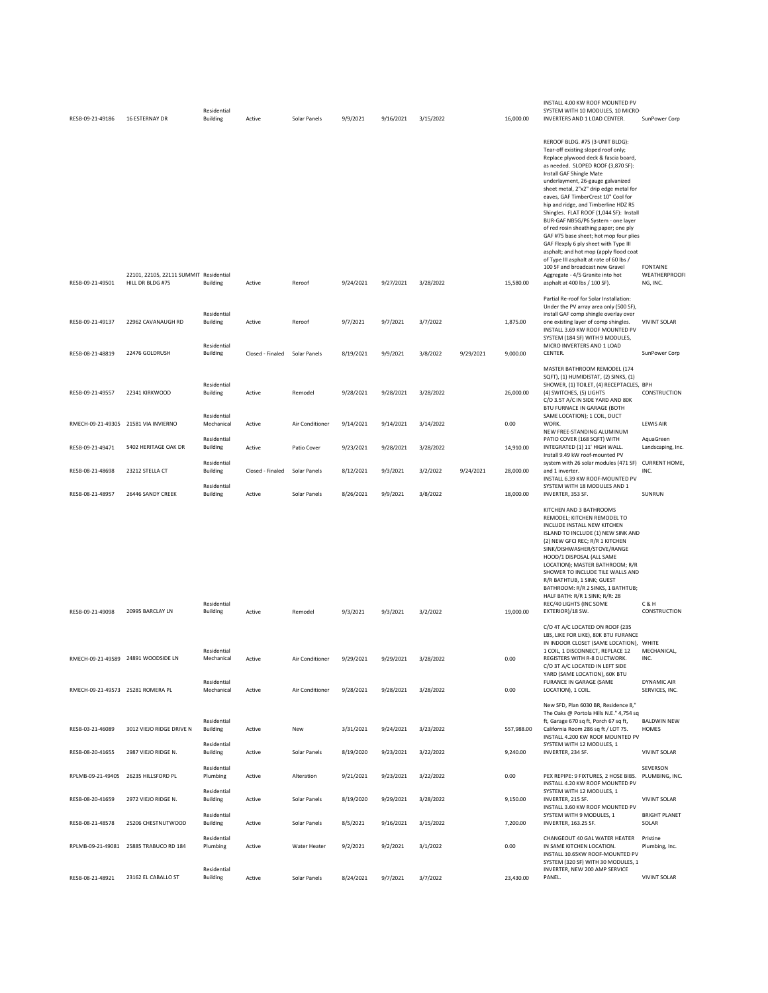| RESB-09-21-49186                     | 16 ESTERNAY DR                                             | Residential<br><b>Building</b>         | Active           | Solar Panels    | 9/9/2021  | 9/16/2021 | 3/15/2022 |           | 16,000.00  | INSTALL 4.00 KW ROOF MOUNTED PV<br>SYSTEM WITH 10 MODULES, 10 MICRO-<br>INVERTERS AND 1 LOAD CENTER.                                                                                                                                                                                                                                                                                                                                                                                                                                                                                                                                                                                                                                                     | SunPower Corp                                       |
|--------------------------------------|------------------------------------------------------------|----------------------------------------|------------------|-----------------|-----------|-----------|-----------|-----------|------------|----------------------------------------------------------------------------------------------------------------------------------------------------------------------------------------------------------------------------------------------------------------------------------------------------------------------------------------------------------------------------------------------------------------------------------------------------------------------------------------------------------------------------------------------------------------------------------------------------------------------------------------------------------------------------------------------------------------------------------------------------------|-----------------------------------------------------|
| RESB-09-21-49501                     | 22101, 22105, 22111 SUMMIT Residential<br>HILL DR BLDG #75 | Building                               | Active           | Reroof          | 9/24/2021 | 9/27/2021 | 3/28/2022 |           | 15,580.00  | REROOF BLDG. #75 (3-UNIT BLDG):<br>Tear-off existing sloped roof only;<br>Replace plywood deck & fascia board,<br>as needed. SLOPED ROOF (3,870 SF):<br>Install GAF Shingle Mate<br>underlayment, 26-gauge galvanized<br>sheet metal, 2"x2" drip edge metal for<br>eaves, GAF TimberCrest 10" Cool for<br>hip and ridge, and Timberline HDZ RS<br>Shingles. FLAT ROOF (1,044 SF): Install<br>BUR-GAF NB5G/P6 System - one layer<br>of red rosin sheathing paper; one ply<br>GAF #75 base sheet; hot mop four plies<br>GAF Flexply 6 ply sheet with Type III<br>asphalt; and hot mop (apply flood coat<br>of Type III asphalt at rate of 60 lbs /<br>100 SF and broadcast new Gravel<br>Aggregate - 4/5 Granite into hot<br>asphalt at 400 lbs / 100 SF). | <b>FONTAINE</b><br><b>WEATHERPROOFI</b><br>NG, INC. |
|                                      |                                                            |                                        |                  |                 |           |           |           |           |            | Partial Re-roof for Solar Installation:<br>Under the PV array area only (500 SF),                                                                                                                                                                                                                                                                                                                                                                                                                                                                                                                                                                                                                                                                        |                                                     |
| RESB-09-21-49137                     | 22962 CAVANAUGH RD                                         | Residential<br><b>Building</b>         | Active           | Reroof          | 9/7/2021  | 9/7/2021  | 3/7/2022  |           | 1,875.00   | install GAF comp shingle overlay over<br>one existing layer of comp shingles.<br>INSTALL 3.69 KW ROOF MOUNTED PV<br>SYSTEM (184 SF) WITH 9 MODULES,                                                                                                                                                                                                                                                                                                                                                                                                                                                                                                                                                                                                      | <b>VIVINT SOLAR</b>                                 |
| RESB-08-21-48819                     | 22476 GOLDRUSH                                             | Residential<br><b>Building</b>         | Closed - Finaled | Solar Panels    | 8/19/2021 | 9/9/2021  | 3/8/2022  | 9/29/2021 | 9,000.00   | MICRO INVERTERS AND 1 LOAD<br>CENTER.                                                                                                                                                                                                                                                                                                                                                                                                                                                                                                                                                                                                                                                                                                                    | SunPower Corp                                       |
| RESB-09-21-49557                     | 22341 KIRKWOOD                                             | Residential<br><b>Building</b>         | Active           | Remodel         | 9/28/2021 | 9/28/2021 | 3/28/2022 |           | 26,000.00  | MASTER BATHROOM REMODEL (174<br>SQFT), (1) HUMIDISTAT, (2) SINKS, (1)<br>SHOWER, (1) TOILET, (4) RECEPTACLES, BPH<br>(4) SWITCHES, (5) LIGHTS<br>C/O 3.5T A/C IN SIDE YARD AND 80K<br>BTU FURNACE IN GARAGE (BOTH<br>SAME LOCATION); 1 COIL, DUCT                                                                                                                                                                                                                                                                                                                                                                                                                                                                                                        | CONSTRUCTION                                        |
| RMECH-09-21-49305 21581 VIA INVIERNO |                                                            | Residential<br>Mechanical              | Active           | Air Conditioner | 9/14/2021 | 9/14/2021 | 3/14/2022 |           | 0.00       | WORK.<br>NEW FREE-STANDING ALUMINUM                                                                                                                                                                                                                                                                                                                                                                                                                                                                                                                                                                                                                                                                                                                      | LEWIS AIR                                           |
| RESB-09-21-49471                     | 5402 HERITAGE OAK DR                                       | Residential<br><b>Building</b>         | Active           | Patio Cover     | 9/23/2021 | 9/28/2021 | 3/28/2022 |           | 14,910.00  | PATIO COVER (168 SQFT) WITH<br>INTEGRATED (1) 11' HIGH WALL.<br>Install 9.49 kW roof-mounted PV                                                                                                                                                                                                                                                                                                                                                                                                                                                                                                                                                                                                                                                          | AquaGreen<br>Landscaping, Inc.                      |
| RESB-08-21-48698                     | 23212 STELLA CT                                            | Residential<br>Building                | Closed - Finaled | Solar Panels    | 8/12/2021 | 9/3/2021  | 3/2/2022  | 9/24/2021 | 28,000.00  | system with 26 solar modules (471 SF) CURRENT HOME,<br>and 1 inverter.<br>INSTALL 6.39 KW ROOF-MOUNTED PV                                                                                                                                                                                                                                                                                                                                                                                                                                                                                                                                                                                                                                                | INC.                                                |
| RESB-08-21-48957                     | 26446 SANDY CREEK                                          | Residential<br><b>Building</b>         | Active           | Solar Panels    | 8/26/2021 | 9/9/2021  | 3/8/2022  |           | 18,000.00  | SYSTEM WITH 18 MODULES AND 1<br>INVERTER, 353 SF.                                                                                                                                                                                                                                                                                                                                                                                                                                                                                                                                                                                                                                                                                                        | SUNRUN                                              |
| RESB-09-21-49098                     | 20995 BARCLAY LN                                           | Residential<br><b>Building</b>         | Active           | Remodel         | 9/3/2021  | 9/3/2021  | 3/2/2022  |           | 19,000.00  | KITCHEN AND 3 BATHROOMS<br>REMODEL; KITCHEN REMODEL TO<br>INCLUDE INSTALL NEW KITCHEN<br>ISLAND TO INCLUDE (1) NEW SINK AND<br>(2) NEW GFCI REC; R/R 1 KITCHEN<br>SINK/DISHWASHER/STOVE/RANGE<br>HOOD/1 DISPOSAL (ALL SAME<br>LOCATION); MASTER BATHROOM; R/R<br>SHOWER TO INCLUDE TILE WALLS AND<br>R/R BATHTUB, 1 SINK; GUEST<br>BATHROOM: R/R 2 SINKS, 1 BATHTUB;<br>HALF BATH: R/R 1 SINK; R/R: 28<br>REC/40 LIGHTS (INC SOME<br>EXTERIOR)/18 SW.                                                                                                                                                                                                                                                                                                    | C&H<br>CONSTRUCTION                                 |
|                                      |                                                            |                                        |                  |                 |           |           |           |           |            | C/O 4T A/C LOCATED ON ROOF (235<br>LBS, LIKE FOR LIKE), 80K BTU FURANCE                                                                                                                                                                                                                                                                                                                                                                                                                                                                                                                                                                                                                                                                                  |                                                     |
|                                      | RMECH-09-21-49589 24891 WOODSIDE LN                        | Residential<br>Mechanical              | Active           | Air Conditioner | 9/29/2021 | 9/29/2021 | 3/28/2022 |           | 0.00       | IN INDOOR CLOSET (SAME LOCATION), WHITE<br>1 COIL, 1 DISCONNECT, REPLACE 12<br>REGISTERS WITH R-8 DUCTWORK.<br>C/O 3T A/C LOCATED IN LEFT SIDE<br>YARD (SAME LOCATION), 60K BTU                                                                                                                                                                                                                                                                                                                                                                                                                                                                                                                                                                          | MECHANICAL,<br>INC.                                 |
| RMECH-09-21-49573 25281 ROMERA PL    |                                                            | Residential<br>Mechanical              | Active           | Air Conditioner | 9/28/2021 | 9/28/2021 | 3/28/2022 |           | 0.00       | FURANCE IN GARAGE (SAME<br>LOCATION), 1 COIL.                                                                                                                                                                                                                                                                                                                                                                                                                                                                                                                                                                                                                                                                                                            | <b>DYNAMIC AIR</b><br>SERVICES, INC.                |
| RESB-03-21-46089                     | 3012 VIEJO RIDGE DRIVE N                                   | Residential<br><b>Building</b>         | Active           | New             | 3/31/2021 | 9/24/2021 | 3/23/2022 |           | 557,988.00 | New SFD, Plan 6030 BR, Residence 8,"<br>The Oaks @ Portola Hills N.E." 4,754 sq<br>ft, Garage 670 sq ft, Porch 67 sq ft,<br>California Room 286 sq ft / LOT 75.<br>INSTALL 4.200 KW ROOF MOUNTED PV                                                                                                                                                                                                                                                                                                                                                                                                                                                                                                                                                      | <b>BALDWIN NEW</b><br>HOMES                         |
| RESB-08-20-41655                     | 2987 VIEJO RIDGE N.                                        | Residential<br><b>Building</b>         | Active           | Solar Panels    | 8/19/2020 | 9/23/2021 | 3/22/2022 |           | 9,240.00   | SYSTEM WITH 12 MODULES, 1<br>INVERTER, 234 SF.                                                                                                                                                                                                                                                                                                                                                                                                                                                                                                                                                                                                                                                                                                           | <b>VIVINT SOLAR</b>                                 |
| RPLMB-09-21-49405                    | 26235 HILLSFORD PL                                         | Residential<br>Plumbing                | Active           | Alteration      | 9/21/2021 | 9/23/2021 | 3/22/2022 |           | 0.00       | PEX REPIPE: 9 FIXTURES, 2 HOSE BIBS.<br>INSTALL 4.20 KW ROOF MOUNTED PV                                                                                                                                                                                                                                                                                                                                                                                                                                                                                                                                                                                                                                                                                  | SEVERSON<br>PLUMBING, INC.                          |
| RESB-08-20-41659                     | 2972 VIEJO RIDGE N.                                        | Residential<br><b>Building</b>         | Active           | Solar Panels    | 8/19/2020 | 9/29/2021 | 3/28/2022 |           | 9,150.00   | SYSTEM WITH 12 MODULES, 1<br>INVERTER, 215 SF.<br>INSTALL 3.60 KW ROOF MOUNTED PV                                                                                                                                                                                                                                                                                                                                                                                                                                                                                                                                                                                                                                                                        | <b>VIVINT SOLAR</b>                                 |
| RESB-08-21-48578                     | 25206 CHESTNUTWOOD                                         | Residential<br><b>Building</b>         | Active           | Solar Panels    | 8/5/2021  | 9/16/2021 | 3/15/2022 |           | 7,200.00   | SYSTEM WITH 9 MODULES, 1<br><b>INVERTER, 163.25 SF.</b>                                                                                                                                                                                                                                                                                                                                                                                                                                                                                                                                                                                                                                                                                                  | <b>BRIGHT PLANET</b><br>SOLAR                       |
|                                      |                                                            |                                        |                  |                 |           |           |           |           |            |                                                                                                                                                                                                                                                                                                                                                                                                                                                                                                                                                                                                                                                                                                                                                          |                                                     |
|                                      | RPLMB-09-21-49081 25885 TRABUCO RD 184                     | Residential<br>Plumbing<br>Residential | Active           | Water Heater    | 9/2/2021  | 9/2/2021  | 3/1/2022  |           | 0.00       | CHANGEOUT 40 GAL WATER HEATER<br>IN SAME KITCHEN LOCATION.<br>INSTALL 10.65KW ROOF-MOUNTED PV<br>SYSTEM (320 SF) WITH 30 MODULES, 1<br>INVERTER, NEW 200 AMP SERVICE                                                                                                                                                                                                                                                                                                                                                                                                                                                                                                                                                                                     | Pristine<br>Plumbing, Inc.                          |